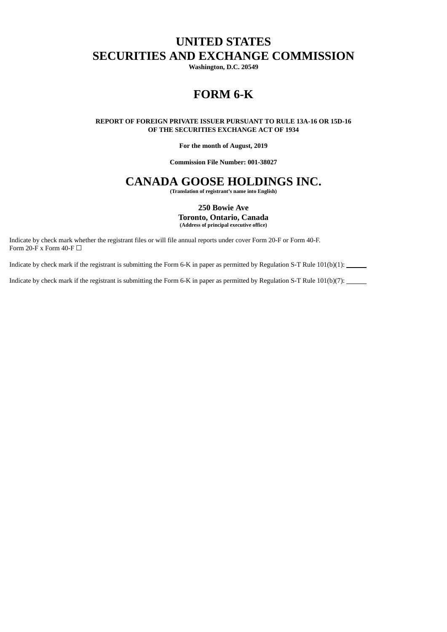# **UNITED STATES SECURITIES AND EXCHANGE COMMISSION**

**Washington, D.C. 20549**

## **FORM 6-K**

**REPORT OF FOREIGN PRIVATE ISSUER PURSUANT TO RULE 13A-16 OR 15D-16 OF THE SECURITIES EXCHANGE ACT OF 1934**

**For the month of August, 2019**

**Commission File Number: 001-38027**

## **CANADA GOOSE HOLDINGS INC.**

**(Translation of registrant's name into English)**

**250 Bowie Ave**

**Toronto, Ontario, Canada (Address of principal executive office)**

Indicate by check mark whether the registrant files or will file annual reports under cover Form 20-F or Form 40-F. Form 20-F x Form 40-F  $\Box$ 

Indicate by check mark if the registrant is submitting the Form 6-K in paper as permitted by Regulation S-T Rule 101(b)(1):

Indicate by check mark if the registrant is submitting the Form 6-K in paper as permitted by Regulation S-T Rule 101(b)(7):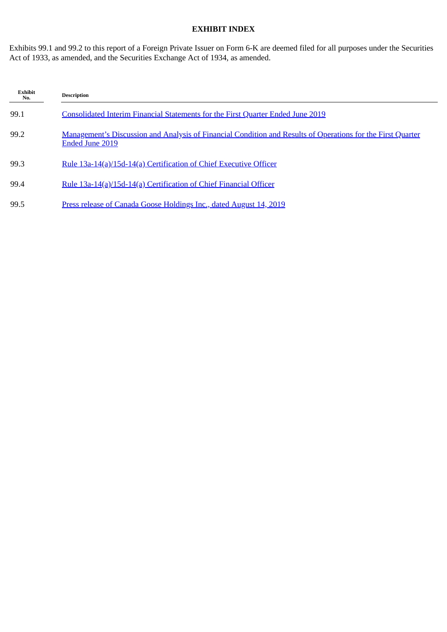#### **EXHIBIT INDEX**

Exhibits 99.1 and 99.2 to this report of a Foreign Private Issuer on Form 6-K are deemed filed for all purposes under the Securities Act of 1933, as amended, and the Securities Exchange Act of 1934, as amended.

| Exhibit<br>No. | <b>Description</b>                                                                                                                    |
|----------------|---------------------------------------------------------------------------------------------------------------------------------------|
| 99.1           | <b>Consolidated Interim Financial Statements for the First Quarter Ended June 2019</b>                                                |
| 99.2           | <u>Management's Discussion and Analysis of Financial Condition and Results of Operations for the First Quarter</u><br>Ended June 2019 |
| 99.3           | Rule 13a-14(a)/15d-14(a) Certification of Chief Executive Officer                                                                     |
| 99.4           | Rule 13a-14(a)/15d-14(a) Certification of Chief Financial Officer                                                                     |
| 99.5           | Press release of Canada Goose Holdings Inc., dated August 14, 2019                                                                    |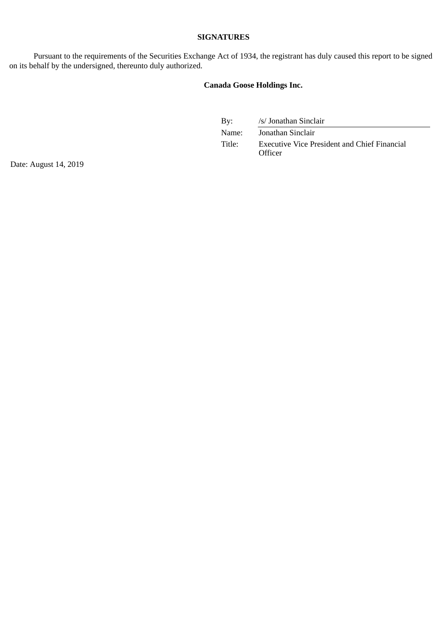## **SIGNATURES**

Pursuant to the requirements of the Securities Exchange Act of 1934, the registrant has duly caused this report to be signed on its behalf by the undersigned, thereunto duly authorized.

#### **Canada Goose Holdings Inc.**

By: /s/ Jonathan Sinclair Name: Jonathan Sinclair Title: Executive Vice President and Chief Financial **Officer** 

Date: August 14, 2019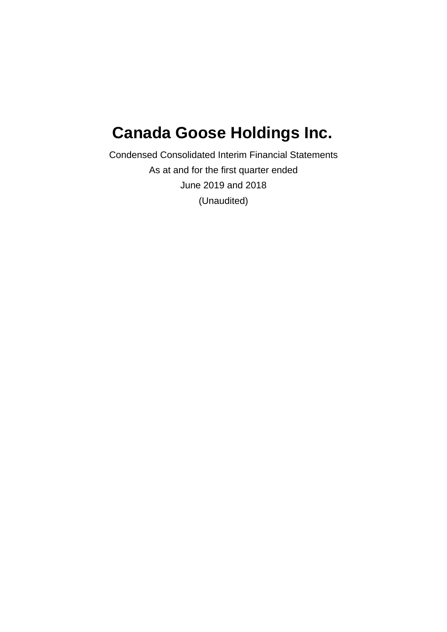# **Canada Goose Holdings Inc.**

Condensed Consolidated Interim Financial Statements As at and for the first quarter ended June 2019 and 2018 (Unaudited)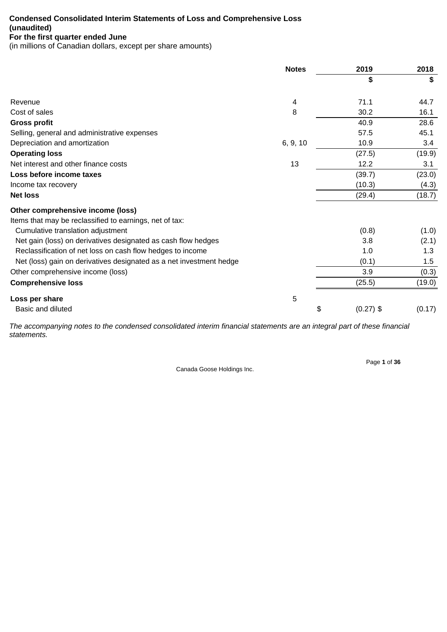#### **Condensed Consolidated Interim Statements of Loss and Comprehensive Loss (unaudited) For the first quarter ended June**

(in millions of Canadian dollars, except per share amounts)

|                                                                     | <b>Notes</b> | 2019        | 2018   |
|---------------------------------------------------------------------|--------------|-------------|--------|
|                                                                     |              | \$          | \$     |
| Revenue                                                             | 4            | 71.1        | 44.7   |
| Cost of sales                                                       | 8            | 30.2        | 16.1   |
| <b>Gross profit</b>                                                 |              | 40.9        | 28.6   |
| Selling, general and administrative expenses                        |              | 57.5        | 45.1   |
| Depreciation and amortization                                       | 6, 9, 10     | 10.9        | 3.4    |
| <b>Operating loss</b>                                               |              | (27.5)      | (19.9) |
| Net interest and other finance costs                                | 13           | 12.2        | 3.1    |
| Loss before income taxes                                            |              | (39.7)      | (23.0) |
| Income tax recovery                                                 |              | (10.3)      | (4.3)  |
| <b>Net loss</b>                                                     |              | (29.4)      | (18.7) |
| Other comprehensive income (loss)                                   |              |             |        |
| Items that may be reclassified to earnings, net of tax:             |              |             |        |
| Cumulative translation adjustment                                   |              | (0.8)       | (1.0)  |
| Net gain (loss) on derivatives designated as cash flow hedges       |              | 3.8         | (2.1)  |
| Reclassification of net loss on cash flow hedges to income          |              | 1.0         | 1.3    |
| Net (loss) gain on derivatives designated as a net investment hedge |              | (0.1)       | 1.5    |
| Other comprehensive income (loss)                                   |              | 3.9         | (0.3)  |
| <b>Comprehensive loss</b>                                           |              | (25.5)      | (19.0) |
| Loss per share                                                      | 5            |             |        |
| Basic and diluted                                                   | \$           | $(0.27)$ \$ | (0.17) |

The accompanying notes to the condensed consolidated interim financial statements are an integral part of these financial *statements.*

Canada Goose Holdings Inc.

Page **1** of **[36](#page-39-0)**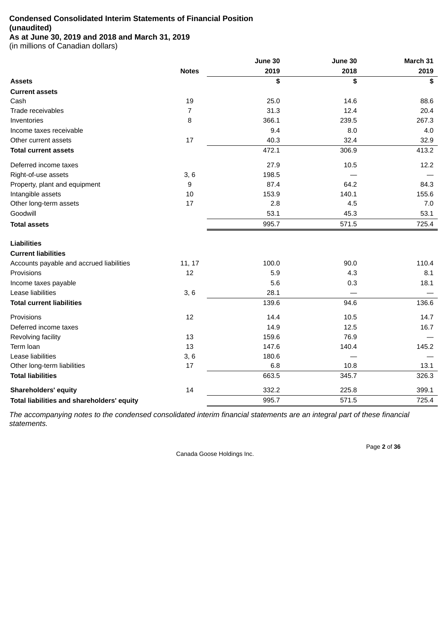## **Condensed Consolidated Interim Statements of Financial Position (unaudited)**

**As at June 30, 2019 and 2018 and March 31, 2019**

(in millions of Canadian dollars)

|                                            |                | June 30 | June 30 | March 31 |
|--------------------------------------------|----------------|---------|---------|----------|
|                                            | <b>Notes</b>   | 2019    | 2018    | 2019     |
| <b>Assets</b>                              |                | \$      | \$      | \$       |
| <b>Current assets</b>                      |                |         |         |          |
| Cash                                       | 19             | 25.0    | 14.6    | 88.6     |
| Trade receivables                          | $\overline{7}$ | 31.3    | 12.4    | 20.4     |
| Inventories                                | 8              | 366.1   | 239.5   | 267.3    |
| Income taxes receivable                    |                | 9.4     | 8.0     | 4.0      |
| Other current assets                       | 17             | 40.3    | 32.4    | 32.9     |
| <b>Total current assets</b>                |                | 472.1   | 306.9   | 413.2    |
| Deferred income taxes                      |                | 27.9    | 10.5    | 12.2     |
| Right-of-use assets                        | 3, 6           | 198.5   |         |          |
| Property, plant and equipment              | 9              | 87.4    | 64.2    | 84.3     |
| Intangible assets                          | 10             | 153.9   | 140.1   | 155.6    |
| Other long-term assets                     | 17             | 2.8     | 4.5     | 7.0      |
| Goodwill                                   |                | 53.1    | 45.3    | 53.1     |
| <b>Total assets</b>                        |                | 995.7   | 571.5   | 725.4    |
| <b>Liabilities</b>                         |                |         |         |          |
| <b>Current liabilities</b>                 |                |         |         |          |
| Accounts payable and accrued liabilities   | 11, 17         | 100.0   | 90.0    | 110.4    |
| Provisions                                 | 12             | 5.9     | 4.3     | 8.1      |
| Income taxes payable                       |                | 5.6     | 0.3     | 18.1     |
| Lease liabilities                          | 3, 6           | 28.1    |         |          |
| <b>Total current liabilities</b>           |                | 139.6   | 94.6    | 136.6    |
| Provisions                                 | 12             | 14.4    | 10.5    | 14.7     |
| Deferred income taxes                      |                | 14.9    | 12.5    | 16.7     |
| Revolving facility                         | 13             | 159.6   | 76.9    |          |
| Term Ioan                                  | 13             | 147.6   | 140.4   | 145.2    |
| Lease liabilities                          | 3, 6           | 180.6   |         |          |
| Other long-term liabilities                | 17             | 6.8     | 10.8    | 13.1     |
| <b>Total liabilities</b>                   |                | 663.5   | 345.7   | 326.3    |
| <b>Shareholders' equity</b>                | 14             | 332.2   | 225.8   | 399.1    |
| Total liabilities and shareholders' equity |                | 995.7   | 571.5   | 725.4    |

The accompanying notes to the condensed consolidated interim financial statements are an integral part of these financial *statements.*

Canada Goose Holdings Inc.

Page **2** of **[36](#page-39-0)**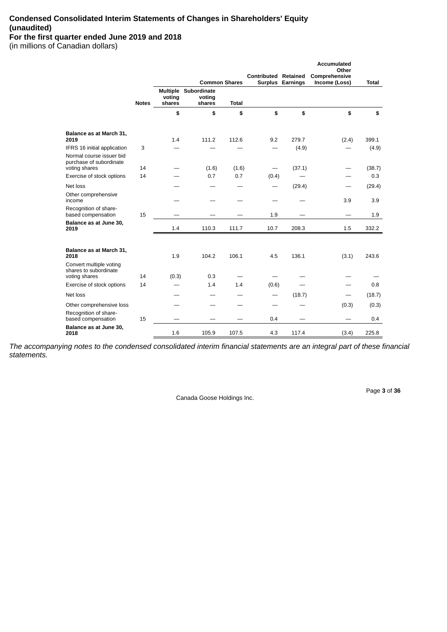## **Condensed Consolidated Interim Statements of Changes in Shareholders' Equity (unaudited) For the first quarter ended June 2019 and 2018**

(in millions of Canadian dollars)

|                                                                   |              |                  |                                          |                      |                             |                  | <b>Accumulated</b><br>Other    |               |
|-------------------------------------------------------------------|--------------|------------------|------------------------------------------|----------------------|-----------------------------|------------------|--------------------------------|---------------|
|                                                                   |              |                  |                                          | <b>Common Shares</b> | <b>Contributed Retained</b> | Surplus Earnings | Comprehensive<br>Income (Loss) | <b>Total</b>  |
|                                                                   | <b>Notes</b> | voting<br>shares | Multiple Subordinate<br>voting<br>shares | <b>Total</b>         |                             |                  |                                |               |
|                                                                   |              | \$               | \$                                       | \$                   | \$                          | \$               | \$                             | \$            |
| Balance as at March 31,<br>2019                                   |              | 1.4              | 111.2                                    | 112.6                | 9.2                         | 279.7            | (2.4)                          | 399.1         |
| IFRS 16 initial application                                       | 3            |                  |                                          |                      | $\overline{\phantom{0}}$    | (4.9)            |                                | (4.9)         |
| Normal course issuer bid<br>purchase of subordinate               |              |                  |                                          |                      |                             |                  |                                |               |
| voting shares                                                     | 14<br>14     |                  | (1.6)<br>0.7                             | (1.6)<br>0.7         |                             | (37.1)           |                                | (38.7)<br>0.3 |
| Exercise of stock options                                         |              |                  |                                          |                      | (0.4)                       |                  |                                |               |
| Net loss                                                          |              |                  |                                          |                      |                             | (29.4)           |                                | (29.4)        |
| Other comprehensive<br>income                                     |              |                  |                                          |                      |                             |                  | 3.9                            | 3.9           |
| Recognition of share-<br>based compensation                       | 15           |                  |                                          |                      | 1.9                         |                  |                                | 1.9           |
| Balance as at June 30,<br>2019                                    |              | 1.4              | 110.3                                    | 111.7                | 10.7                        | 208.3            | 1.5                            | 332.2         |
|                                                                   |              |                  |                                          |                      |                             |                  |                                |               |
| Balance as at March 31,<br>2018                                   |              | 1.9              | 104.2                                    | 106.1                | 4.5                         | 136.1            | (3.1)                          | 243.6         |
| Convert multiple voting<br>shares to subordinate<br>voting shares | 14           | (0.3)            | 0.3                                      |                      |                             |                  |                                |               |
| Exercise of stock options                                         | 14           |                  | 1.4                                      | 1.4                  | (0.6)                       |                  |                                | 0.8           |
| Net loss                                                          |              |                  |                                          |                      |                             | (18.7)           |                                | (18.7)        |
| Other comprehensive loss                                          |              |                  |                                          |                      |                             |                  | (0.3)                          | (0.3)         |
| Recognition of share-<br>based compensation                       | 15           |                  |                                          |                      | 0.4                         |                  |                                | 0.4           |
| Balance as at June 30,<br>2018                                    |              | 1.6              | 105.9                                    | 107.5                | 4.3                         | 117.4            | (3.4)                          | 225.8         |

The accompanying notes to the condensed consolidated interim financial statements are an integral part of these financial *statements.*

Canada Goose Holdings Inc.

Page **3** of **[36](#page-39-0)**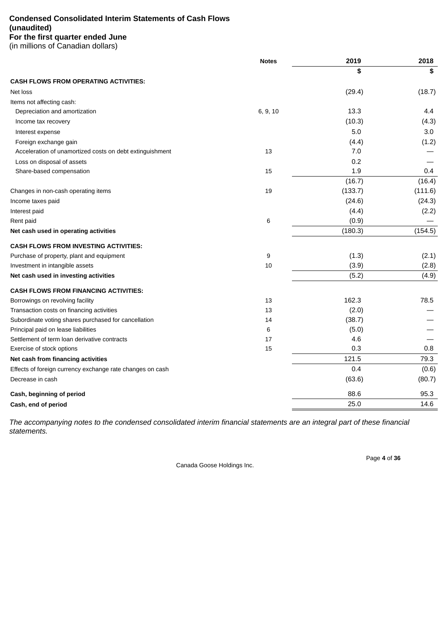## **Condensed Consolidated Interim Statements of Cash Flows (unaudited) For the first quarter ended June**

(in millions of Canadian dollars)

|                                                           | <b>Notes</b> | 2019    | 2018    |
|-----------------------------------------------------------|--------------|---------|---------|
|                                                           |              | \$      | \$      |
| <b>CASH FLOWS FROM OPERATING ACTIVITIES:</b>              |              |         |         |
| Net loss                                                  |              | (29.4)  | (18.7)  |
| Items not affecting cash:                                 |              |         |         |
| Depreciation and amortization                             | 6, 9, 10     | 13.3    | 4.4     |
| Income tax recovery                                       |              | (10.3)  | (4.3)   |
| Interest expense                                          |              | 5.0     | 3.0     |
| Foreign exchange gain                                     |              | (4.4)   | (1.2)   |
| Acceleration of unamortized costs on debt extinguishment  | 13           | 7.0     |         |
| Loss on disposal of assets                                |              | 0.2     |         |
| Share-based compensation                                  | 15           | 1.9     | 0.4     |
|                                                           |              | (16.7)  | (16.4)  |
| Changes in non-cash operating items                       | 19           | (133.7) | (111.6) |
| Income taxes paid                                         |              | (24.6)  | (24.3)  |
| Interest paid                                             |              | (4.4)   | (2.2)   |
| Rent paid                                                 | 6            | (0.9)   |         |
| Net cash used in operating activities                     |              | (180.3) | (154.5) |
| <b>CASH FLOWS FROM INVESTING ACTIVITIES:</b>              |              |         |         |
| Purchase of property, plant and equipment                 | 9            | (1.3)   | (2.1)   |
| Investment in intangible assets                           | 10           | (3.9)   | (2.8)   |
| Net cash used in investing activities                     |              | (5.2)   | (4.9)   |
| <b>CASH FLOWS FROM FINANCING ACTIVITIES:</b>              |              |         |         |
| Borrowings on revolving facility                          | 13           | 162.3   | 78.5    |
| Transaction costs on financing activities                 | 13           | (2.0)   |         |
| Subordinate voting shares purchased for cancellation      | 14           | (38.7)  |         |
| Principal paid on lease liabilities                       | 6            | (5.0)   |         |
| Settlement of term loan derivative contracts              | 17           | 4.6     |         |
| Exercise of stock options                                 | 15           | 0.3     | 0.8     |
| Net cash from financing activities                        |              | 121.5   | 79.3    |
| Effects of foreign currency exchange rate changes on cash |              | 0.4     | (0.6)   |
| Decrease in cash                                          |              | (63.6)  | (80.7)  |
| Cash, beginning of period                                 |              | 88.6    | 95.3    |
| Cash, end of period                                       |              | 25.0    | 14.6    |
|                                                           |              |         |         |

The accompanying notes to the condensed consolidated interim financial statements are an integral part of these financial *statements.*

Canada Goose Holdings Inc.

Page **4** of **[36](#page-39-0)**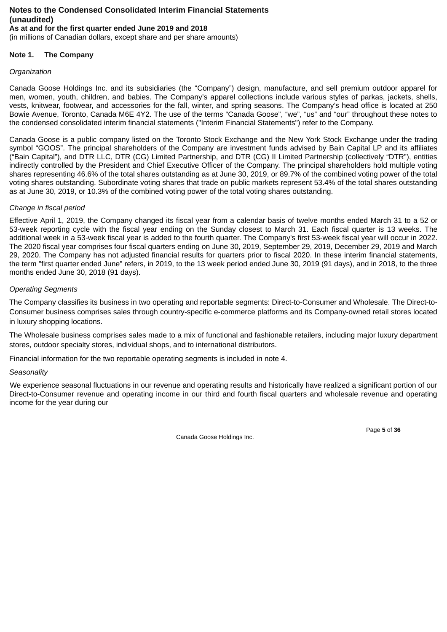#### **As at and for the first quarter ended June 2019 and 2018**

(in millions of Canadian dollars, except share and per share amounts)

#### **Note 1. The Company**

#### *Organization*

Canada Goose Holdings Inc. and its subsidiaries (the "Company") design, manufacture, and sell premium outdoor apparel for men, women, youth, children, and babies. The Company's apparel collections include various styles of parkas, jackets, shells, vests, knitwear, footwear, and accessories for the fall, winter, and spring seasons. The Company's head office is located at 250 Bowie Avenue, Toronto, Canada M6E 4Y2. The use of the terms "Canada Goose", "we", "us" and "our" throughout these notes to the condensed consolidated interim financial statements ("Interim Financial Statements") refer to the Company.

Canada Goose is a public company listed on the Toronto Stock Exchange and the New York Stock Exchange under the trading symbol "GOOS". The principal shareholders of the Company are investment funds advised by Bain Capital LP and its affiliates ("Bain Capital"), and DTR LLC, DTR (CG) Limited Partnership, and DTR (CG) II Limited Partnership (collectively "DTR"), entities indirectly controlled by the President and Chief Executive Officer of the Company. The principal shareholders hold multiple voting shares representing 46.6% of the total shares outstanding as at June 30, 2019, or 89.7% of the combined voting power of the total voting shares outstanding. Subordinate voting shares that trade on public markets represent 53.4% of the total shares outstanding as at June 30, 2019, or 10.3% of the combined voting power of the total voting shares outstanding.

#### *Change in fiscal period*

Effective April 1, 2019, the Company changed its fiscal year from a calendar basis of twelve months ended March 31 to a 52 or 53-week reporting cycle with the fiscal year ending on the Sunday closest to March 31. Each fiscal quarter is 13 weeks. The additional week in a 53-week fiscal year is added to the fourth quarter. The Company's first 53-week fiscal year will occur in 2022. The 2020 fiscal year comprises four fiscal quarters ending on June 30, 2019, September 29, 2019, December 29, 2019 and March 29, 2020. The Company has not adjusted financial results for quarters prior to fiscal 2020. In these interim financial statements, the term "first quarter ended June" refers, in 2019, to the 13 week period ended June 30, 2019 (91 days), and in 2018, to the three months ended June 30, 2018 (91 days).

#### *Operating Segments*

The Company classifies its business in two operating and reportable segments: Direct-to-Consumer and Wholesale. The Direct-to-Consumer business comprises sales through country-specific e-commerce platforms and its Company-owned retail stores located in luxury shopping locations.

The Wholesale business comprises sales made to a mix of functional and fashionable retailers, including major luxury department stores, outdoor specialty stores, individual shops, and to international distributors.

Financial information for the two reportable operating segments is included in note 4.

#### *Seasonality*

We experience seasonal fluctuations in our revenue and operating results and historically have realized a significant portion of our Direct-to-Consumer revenue and operating income in our third and fourth fiscal quarters and wholesale revenue and operating income for the year during our

Canada Goose Holdings Inc.

Page **5** of **[36](#page-39-0)**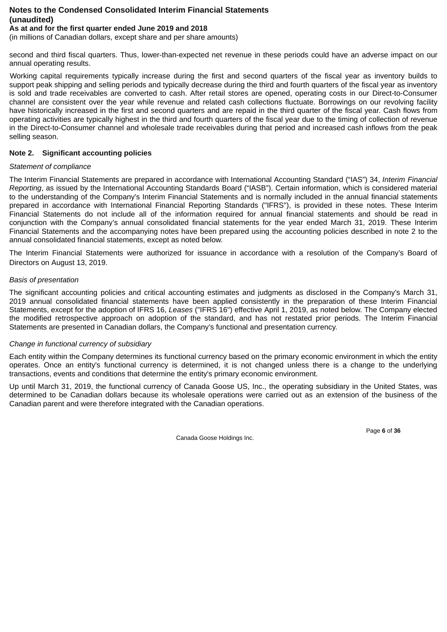#### **As at and for the first quarter ended June 2019 and 2018**

(in millions of Canadian dollars, except share and per share amounts)

second and third fiscal quarters. Thus, lower-than-expected net revenue in these periods could have an adverse impact on our annual operating results.

Working capital requirements typically increase during the first and second quarters of the fiscal year as inventory builds to support peak shipping and selling periods and typically decrease during the third and fourth quarters of the fiscal year as inventory is sold and trade receivables are converted to cash. After retail stores are opened, operating costs in our Direct-to-Consumer channel are consistent over the year while revenue and related cash collections fluctuate. Borrowings on our revolving facility have historically increased in the first and second quarters and are repaid in the third quarter of the fiscal year. Cash flows from operating activities are typically highest in the third and fourth quarters of the fiscal year due to the timing of collection of revenue in the Direct-to-Consumer channel and wholesale trade receivables during that period and increased cash inflows from the peak selling season.

#### **Note 2. Significant accounting policies**

#### *Statement of compliance*

The Interim Financial Statements are prepared in accordance with International Accounting Standard ("IAS") 34, *Interim Financial Reporting*, as issued by the International Accounting Standards Board ("IASB"). Certain information, which is considered material to the understanding of the Company's Interim Financial Statements and is normally included in the annual financial statements prepared in accordance with International Financial Reporting Standards ("IFRS"), is provided in these notes. These Interim Financial Statements do not include all of the information required for annual financial statements and should be read in conjunction with the Company's annual consolidated financial statements for the year ended March 31, 2019. These Interim Financial Statements and the accompanying notes have been prepared using the accounting policies described in note 2 to the annual consolidated financial statements, except as noted below.

The Interim Financial Statements were authorized for issuance in accordance with a resolution of the Company's Board of Directors on August 13, 2019.

#### *Basis of presentation*

The significant accounting policies and critical accounting estimates and judgments as disclosed in the Company's March 31, 2019 annual consolidated financial statements have been applied consistently in the preparation of these Interim Financial Statements, except for the adoption of IFRS 16, *Leases* ("IFRS 16") effective April 1, 2019, as noted below. The Company elected the modified retrospective approach on adoption of the standard, and has not restated prior periods. The Interim Financial Statements are presented in Canadian dollars, the Company's functional and presentation currency.

#### *Change in functional currency of subsidiary*

Each entity within the Company determines its functional currency based on the primary economic environment in which the entity operates. Once an entity's functional currency is determined, it is not changed unless there is a change to the underlying transactions, events and conditions that determine the entity's primary economic environment.

Up until March 31, 2019, the functional currency of Canada Goose US, Inc., the operating subsidiary in the United States, was determined to be Canadian dollars because its wholesale operations were carried out as an extension of the business of the Canadian parent and were therefore integrated with the Canadian operations.

Canada Goose Holdings Inc.

Page **6** of **[36](#page-39-0)**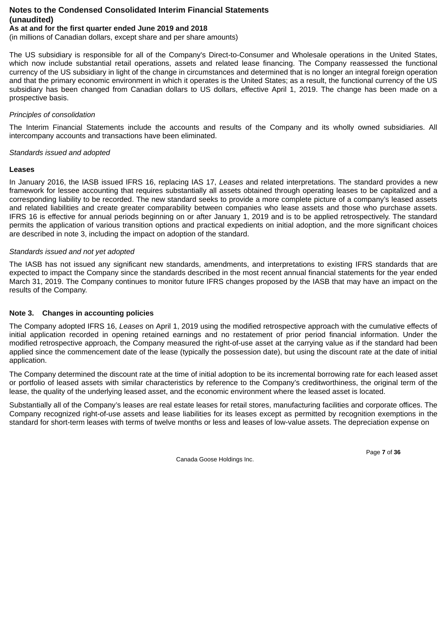#### **As at and for the first quarter ended June 2019 and 2018**

(in millions of Canadian dollars, except share and per share amounts)

The US subsidiary is responsible for all of the Company's Direct-to-Consumer and Wholesale operations in the United States, which now include substantial retail operations, assets and related lease financing. The Company reassessed the functional currency of the US subsidiary in light of the change in circumstances and determined that is no longer an integral foreign operation and that the primary economic environment in which it operates is the United States; as a result, the functional currency of the US subsidiary has been changed from Canadian dollars to US dollars, effective April 1, 2019. The change has been made on a prospective basis.

#### *Principles of consolidation*

The Interim Financial Statements include the accounts and results of the Company and its wholly owned subsidiaries. All intercompany accounts and transactions have been eliminated.

#### *Standards issued and adopted*

#### **Leases**

In January 2016, the IASB issued IFRS 16, replacing IAS 17, *Leases* and related interpretations. The standard provides a new framework for lessee accounting that requires substantially all assets obtained through operating leases to be capitalized and a corresponding liability to be recorded. The new standard seeks to provide a more complete picture of a company's leased assets and related liabilities and create greater comparability between companies who lease assets and those who purchase assets. IFRS 16 is effective for annual periods beginning on or after January 1, 2019 and is to be applied retrospectively. The standard permits the application of various transition options and practical expedients on initial adoption, and the more significant choices are described in note 3, including the impact on adoption of the standard.

#### *Standards issued and not yet adopted*

The IASB has not issued any significant new standards, amendments, and interpretations to existing IFRS standards that are expected to impact the Company since the standards described in the most recent annual financial statements for the year ended March 31, 2019. The Company continues to monitor future IFRS changes proposed by the IASB that may have an impact on the results of the Company.

#### **Note 3. Changes in accounting policies**

The Company adopted IFRS 16, *Leases* on April 1, 2019 using the modified retrospective approach with the cumulative effects of initial application recorded in opening retained earnings and no restatement of prior period financial information. Under the modified retrospective approach, the Company measured the right-of-use asset at the carrying value as if the standard had been applied since the commencement date of the lease (typically the possession date), but using the discount rate at the date of initial application.

The Company determined the discount rate at the time of initial adoption to be its incremental borrowing rate for each leased asset or portfolio of leased assets with similar characteristics by reference to the Company's creditworthiness, the original term of the lease, the quality of the underlying leased asset, and the economic environment where the leased asset is located.

Substantially all of the Company's leases are real estate leases for retail stores, manufacturing facilities and corporate offices. The Company recognized right-of-use assets and lease liabilities for its leases except as permitted by recognition exemptions in the standard for short-term leases with terms of twelve months or less and leases of low-value assets. The depreciation expense on

Canada Goose Holdings Inc.

Page **7** of **[36](#page-39-0)**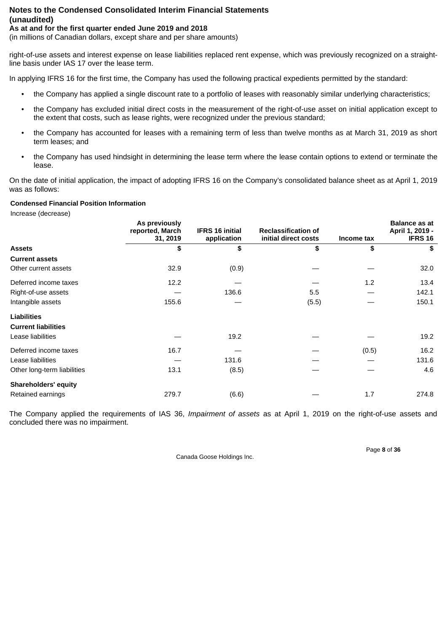#### **As at and for the first quarter ended June 2019 and 2018**

(in millions of Canadian dollars, except share and per share amounts)

right-of-use assets and interest expense on lease liabilities replaced rent expense, which was previously recognized on a straightline basis under IAS 17 over the lease term.

In applying IFRS 16 for the first time, the Company has used the following practical expedients permitted by the standard:

- the Company has applied a single discount rate to a portfolio of leases with reasonably similar underlying characteristics;
- the Company has excluded initial direct costs in the measurement of the right-of-use asset on initial application except to the extent that costs, such as lease rights, were recognized under the previous standard;
- the Company has accounted for leases with a remaining term of less than twelve months as at March 31, 2019 as short term leases; and
- the Company has used hindsight in determining the lease term where the lease contain options to extend or terminate the lease.

On the date of initial application, the impact of adopting IFRS 16 on the Company's consolidated balance sheet as at April 1, 2019 was as follows:

#### **Condensed Financial Position Information**

Increase (decrease)

|                             | As previously<br>reported, March<br>31, 2019 | <b>IFRS 16 initial</b><br>application | <b>Reclassification of</b><br>initial direct costs | Income tax | <b>Balance as at</b><br>April 1, 2019 -<br>IFRS 16 |
|-----------------------------|----------------------------------------------|---------------------------------------|----------------------------------------------------|------------|----------------------------------------------------|
| <b>Assets</b>               | \$                                           | \$                                    | \$                                                 | \$         | \$                                                 |
| <b>Current assets</b>       |                                              |                                       |                                                    |            |                                                    |
| Other current assets        | 32.9                                         | (0.9)                                 |                                                    |            | 32.0                                               |
| Deferred income taxes       | 12.2                                         |                                       |                                                    | 1.2        | 13.4                                               |
| Right-of-use assets         |                                              | 136.6                                 | 5.5                                                |            | 142.1                                              |
| Intangible assets           | 155.6                                        |                                       | (5.5)                                              |            | 150.1                                              |
| <b>Liabilities</b>          |                                              |                                       |                                                    |            |                                                    |
| <b>Current liabilities</b>  |                                              |                                       |                                                    |            |                                                    |
| Lease liabilities           |                                              | 19.2                                  |                                                    |            | 19.2                                               |
| Deferred income taxes       | 16.7                                         |                                       |                                                    | (0.5)      | 16.2                                               |
| Lease liabilities           |                                              | 131.6                                 |                                                    |            | 131.6                                              |
| Other long-term liabilities | 13.1                                         | (8.5)                                 |                                                    |            | 4.6                                                |
| <b>Shareholders' equity</b> |                                              |                                       |                                                    |            |                                                    |
| Retained earnings           | 279.7                                        | (6.6)                                 |                                                    | 1.7        | 274.8                                              |

The Company applied the requirements of IAS 36, *Impairment of assets* as at April 1, 2019 on the right-of-use assets and concluded there was no impairment.

Canada Goose Holdings Inc.

Page **8** of **[36](#page-39-0)**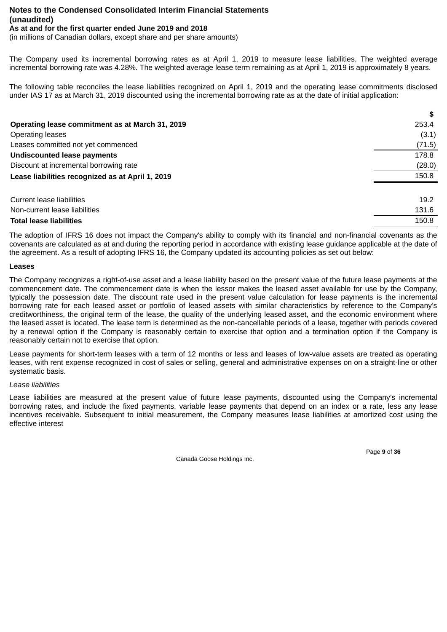## **As at and for the first quarter ended June 2019 and 2018**

(in millions of Canadian dollars, except share and per share amounts)

The Company used its incremental borrowing rates as at April 1, 2019 to measure lease liabilities. The weighted average incremental borrowing rate was 4.28%. The weighted average lease term remaining as at April 1, 2019 is approximately 8 years.

The following table reconciles the lease liabilities recognized on April 1, 2019 and the operating lease commitments disclosed under IAS 17 as at March 31, 2019 discounted using the incremental borrowing rate as at the date of initial application:

| Operating lease commitment as at March 31, 2019  | 253.4  |
|--------------------------------------------------|--------|
| Operating leases                                 | (3.1)  |
| Leases committed not yet commenced               | (71.5) |
| <b>Undiscounted lease payments</b>               | 178.8  |
| Discount at incremental borrowing rate           | (28.0) |
| Lease liabilities recognized as at April 1, 2019 | 150.8  |
| Current lease liabilities                        | 19.2   |
| Non-current lease liabilities                    | 131.6  |
| <b>Total lease liabilities</b>                   | 150.8  |

The adoption of IFRS 16 does not impact the Company's ability to comply with its financial and non-financial covenants as the covenants are calculated as at and during the reporting period in accordance with existing lease guidance applicable at the date of the agreement. As a result of adopting IFRS 16, the Company updated its accounting policies as set out below:

#### **Leases**

The Company recognizes a right-of-use asset and a lease liability based on the present value of the future lease payments at the commencement date. The commencement date is when the lessor makes the leased asset available for use by the Company, typically the possession date. The discount rate used in the present value calculation for lease payments is the incremental borrowing rate for each leased asset or portfolio of leased assets with similar characteristics by reference to the Company's creditworthiness, the original term of the lease, the quality of the underlying leased asset, and the economic environment where the leased asset is located. The lease term is determined as the non-cancellable periods of a lease, together with periods covered by a renewal option if the Company is reasonably certain to exercise that option and a termination option if the Company is reasonably certain not to exercise that option.

Lease payments for short-term leases with a term of 12 months or less and leases of low-value assets are treated as operating leases, with rent expense recognized in cost of sales or selling, general and administrative expenses on on a straight-line or other systematic basis.

#### *Lease liabilities*

Lease liabilities are measured at the present value of future lease payments, discounted using the Company's incremental borrowing rates, and include the fixed payments, variable lease payments that depend on an index or a rate, less any lease incentives receivable. Subsequent to initial measurement, the Company measures lease liabilities at amortized cost using the effective interest

Canada Goose Holdings Inc.

Page **9** of **[36](#page-39-0)**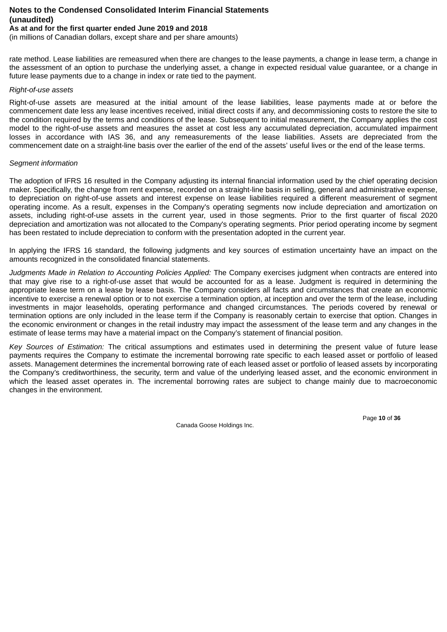#### **As at and for the first quarter ended June 2019 and 2018**

(in millions of Canadian dollars, except share and per share amounts)

rate method. Lease liabilities are remeasured when there are changes to the lease payments, a change in lease term, a change in the assessment of an option to purchase the underlying asset, a change in expected residual value guarantee, or a change in future lease payments due to a change in index or rate tied to the payment.

#### *Right-of-use assets*

Right-of-use assets are measured at the initial amount of the lease liabilities, lease payments made at or before the commencement date less any lease incentives received, initial direct costs if any, and decommissioning costs to restore the site to the condition required by the terms and conditions of the lease. Subsequent to initial measurement, the Company applies the cost model to the right-of-use assets and measures the asset at cost less any accumulated depreciation, accumulated impairment losses in accordance with IAS 36, and any remeasurements of the lease liabilities. Assets are depreciated from the commencement date on a straight-line basis over the earlier of the end of the assets' useful lives or the end of the lease terms.

#### *Segment information*

The adoption of IFRS 16 resulted in the Company adjusting its internal financial information used by the chief operating decision maker. Specifically, the change from rent expense, recorded on a straight-line basis in selling, general and administrative expense, to depreciation on right-of-use assets and interest expense on lease liabilities required a different measurement of segment operating income. As a result, expenses in the Company's operating segments now include depreciation and amortization on assets, including right-of-use assets in the current year, used in those segments. Prior to the first quarter of fiscal 2020 depreciation and amortization was not allocated to the Company's operating segments. Prior period operating income by segment has been restated to include depreciation to conform with the presentation adopted in the current year.

In applying the IFRS 16 standard, the following judgments and key sources of estimation uncertainty have an impact on the amounts recognized in the consolidated financial statements.

*Judgments Made in Relation to Accounting Policies Applied:* The Company exercises judgment when contracts are entered into that may give rise to a right-of-use asset that would be accounted for as a lease. Judgment is required in determining the appropriate lease term on a lease by lease basis. The Company considers all facts and circumstances that create an economic incentive to exercise a renewal option or to not exercise a termination option, at inception and over the term of the lease, including investments in major leaseholds, operating performance and changed circumstances. The periods covered by renewal or termination options are only included in the lease term if the Company is reasonably certain to exercise that option. Changes in the economic environment or changes in the retail industry may impact the assessment of the lease term and any changes in the estimate of lease terms may have a material impact on the Company's statement of financial position.

*Key Sources of Estimation:* The critical assumptions and estimates used in determining the present value of future lease payments requires the Company to estimate the incremental borrowing rate specific to each leased asset or portfolio of leased assets. Management determines the incremental borrowing rate of each leased asset or portfolio of leased assets by incorporating the Company's creditworthiness, the security, term and value of the underlying leased asset, and the economic environment in which the leased asset operates in. The incremental borrowing rates are subject to change mainly due to macroeconomic changes in the environment.

Canada Goose Holdings Inc.

Page **10** of **[36](#page-39-0)**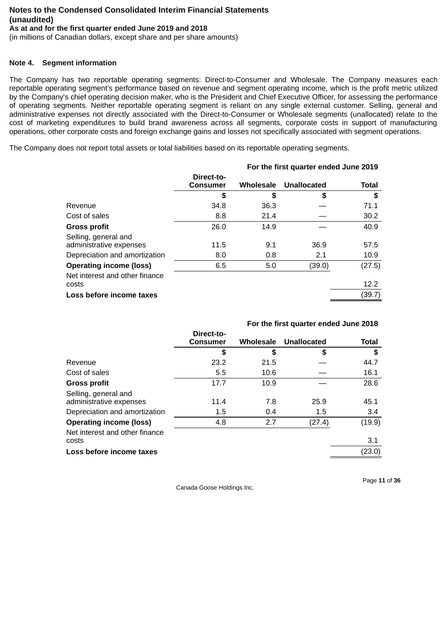## **As at and for the first quarter ended June 2019 and 2018**

(in millions of Canadian dollars, except share and per share amounts)

#### **Note 4. Segment information**

The Company has two reportable operating segments: Direct-to-Consumer and Wholesale. The Company measures each reportable operating segment's performance based on revenue and segment operating income, which is the profit metric utilized by the Company's chief operating decision maker, who is the President and Chief Executive Officer, for assessing the performance of operating segments. Neither reportable operating segment is reliant on any single external customer. Selling, general and administrative expenses not directly associated with the Direct-to-Consumer or Wholesale segments (unallocated) relate to the cost of marketing expenditures to build brand awareness across all segments, corporate costs in support of manufacturing operations, other corporate costs and foreign exchange gains and losses not specifically associated with segment operations.

The Company does not report total assets or total liabilities based on its reportable operating segments.

|                                                                     | For the first quarter ended June 2019 |           |                    |                |  |
|---------------------------------------------------------------------|---------------------------------------|-----------|--------------------|----------------|--|
|                                                                     | Direct-to-<br><b>Consumer</b>         | Wholesale | <b>Unallocated</b> | Total          |  |
|                                                                     | \$                                    | S         | \$                 | \$             |  |
| Revenue                                                             | 34.8                                  | 36.3      |                    | 71.1           |  |
| Cost of sales                                                       | 8.8                                   | 21.4      |                    | 30.2           |  |
| Gross profit                                                        | 26.0                                  | 14.9      |                    | 40.9           |  |
| Selling, general and<br>administrative expenses                     | 11.5                                  | 9.1       | 36.9               | 57.5           |  |
| Depreciation and amortization                                       | 8.0                                   | 0.8       | 2.1                | 10.9           |  |
| <b>Operating income (loss)</b>                                      | 6.5                                   | 5.0       | (39.0)             | (27.5)         |  |
| Net interest and other finance<br>costs<br>Loss before income taxes |                                       |           |                    | 12.2<br>(39.7) |  |
|                                                                     |                                       |           |                    |                |  |

#### **For the first quarter ended June 2018**

|                                                 | Direct-to-<br><b>Consumer</b> | <b>Wholesale</b> | <b>Unallocated</b> | <b>Total</b> |
|-------------------------------------------------|-------------------------------|------------------|--------------------|--------------|
|                                                 | \$                            | \$               | \$                 | \$           |
| Revenue                                         | 23.2                          | 21.5             |                    | 44.7         |
| Cost of sales                                   | 5.5                           | 10.6             |                    | 16.1         |
| <b>Gross profit</b>                             | 17.7                          | 10.9             |                    | 28.6         |
| Selling, general and<br>administrative expenses | 11.4                          | 7.8              | 25.9               | 45.1         |
| Depreciation and amortization                   | $1.5\,$                       | 0.4              | $1.5\,$            | 3.4          |
| <b>Operating income (loss)</b>                  | 4.8                           | 2.7              | (27.4)             | (19.9)       |
| Net interest and other finance<br>costs         |                               |                  |                    | 3.1          |
| Loss before income taxes                        |                               |                  |                    | (23.0)       |
|                                                 |                               |                  |                    |              |

Canada Goose Holdings Inc.

Page **11** of **[36](#page-39-0)**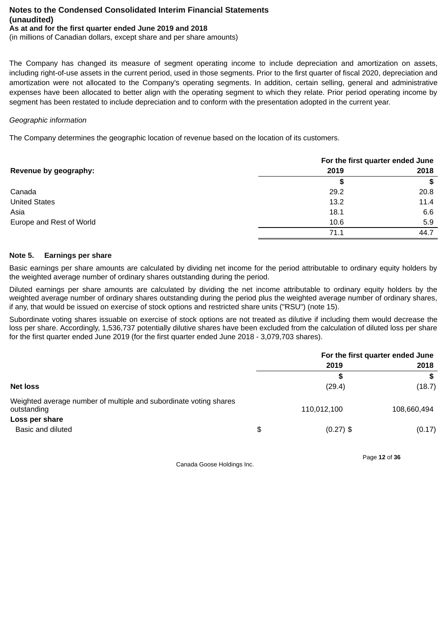#### **Notes to the Condensed Consolidated Interim Financial Statements (unaudited) As at and for the first quarter ended June 2019 and 2018**

(in millions of Canadian dollars, except share and per share amounts)

The Company has changed its measure of segment operating income to include depreciation and amortization on assets, including right-of-use assets in the current period, used in those segments. Prior to the first quarter of fiscal 2020, depreciation and amortization were not allocated to the Company's operating segments. In addition, certain selling, general and administrative expenses have been allocated to better align with the operating segment to which they relate. Prior period operating income by segment has been restated to include depreciation and to conform with the presentation adopted in the current year.

#### *Geographic information*

The Company determines the geographic location of revenue based on the location of its customers.

|                          | For the first quarter ended June |      |
|--------------------------|----------------------------------|------|
| Revenue by geography:    | 2019                             | 2018 |
|                          | S                                | S.   |
| Canada                   | 29.2                             | 20.8 |
| <b>United States</b>     | 13.2                             | 11.4 |
| Asia                     | 18.1                             | 6.6  |
| Europe and Rest of World | 10.6                             | 5.9  |
|                          | 71.1                             | 44.7 |

#### **Note 5. Earnings per share**

Basic earnings per share amounts are calculated by dividing net income for the period attributable to ordinary equity holders by the weighted average number of ordinary shares outstanding during the period.

Diluted earnings per share amounts are calculated by dividing the net income attributable to ordinary equity holders by the weighted average number of ordinary shares outstanding during the period plus the weighted average number of ordinary shares, if any, that would be issued on exercise of stock options and restricted share units ("RSU") (note 15).

Subordinate voting shares issuable on exercise of stock options are not treated as dilutive if including them would decrease the loss per share. Accordingly, 1,536,737 potentially dilutive shares have been excluded from the calculation of diluted loss per share for the first quarter ended June 2019 (for the first quarter ended June 2018 - 3,079,703 shares).

|                                                                                  | For the first quarter ended June |             |             |
|----------------------------------------------------------------------------------|----------------------------------|-------------|-------------|
|                                                                                  |                                  | 2019        | 2018        |
|                                                                                  |                                  | \$          | \$          |
| <b>Net loss</b>                                                                  |                                  | (29.4)      | (18.7)      |
| Weighted average number of multiple and subordinate voting shares<br>outstanding |                                  | 110,012,100 | 108,660,494 |
| Loss per share                                                                   |                                  |             |             |
| Basic and diluted                                                                | \$                               | $(0.27)$ \$ | (0.17)      |

Canada Goose Holdings Inc.

Page **12** of **[36](#page-39-0)**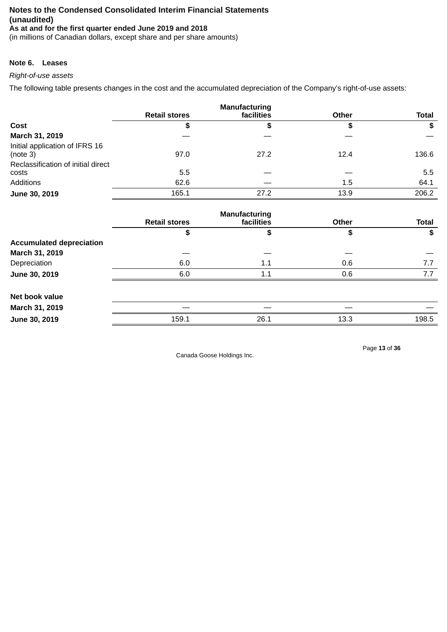**As at and for the first quarter ended June 2019 and 2018** (in millions of Canadian dollars, except share and per share amounts)

#### **Note 6. Leases**

#### *Right-of-use assets*

The following table presents changes in the cost and the accumulated depreciation of the Company's right-of-use assets:

|                                             |                      | Manufacturing |              |               |
|---------------------------------------------|----------------------|---------------|--------------|---------------|
|                                             | <b>Retail stores</b> | facilities    | <b>Other</b> | Total         |
| Cost                                        | \$                   | \$            | \$           | \$            |
| March 31, 2019                              |                      |               |              |               |
| Initial application of IFRS 16<br>(note 3)  | 97.0                 | 27.2          | 12.4         | 136.6         |
| Reclassification of initial direct<br>costs | 5.5                  |               |              | $5.5^{\circ}$ |
| Additions                                   | 62.6                 |               | 1.5          | 64.1          |
| June 30, 2019                               | 165.1                | 27.2          | 13.9         | 206.2         |

|                                 |                            | Manufacturing    |             |                    |
|---------------------------------|----------------------------|------------------|-------------|--------------------|
|                                 | <b>Retail stores</b><br>\$ | facilities<br>\$ | Other<br>\$ | <b>Total</b><br>\$ |
| <b>Accumulated depreciation</b> |                            |                  |             |                    |
| March 31, 2019                  |                            |                  |             |                    |
| Depreciation                    | 6.0                        | 1.1              | 0.6         | 7.7                |
| June 30, 2019                   | 6.0                        | 1.1              | 0.6         | 7.7                |
| Net book value                  |                            |                  |             |                    |
| March 31, 2019                  |                            |                  |             |                    |
| June 30, 2019                   | 159.1                      | 26.1             | 13.3        | 198.5              |

Canada Goose Holdings Inc.

Page **13** of **[36](#page-39-0)**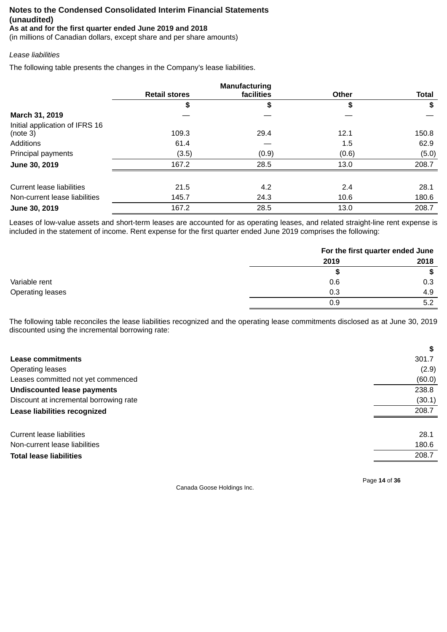## **As at and for the first quarter ended June 2019 and 2018**

(in millions of Canadian dollars, except share and per share amounts)

#### *Lease liabilities*

The following table presents the changes in the Company's lease liabilities.

|                                            |                      | Manufacturing |              |              |
|--------------------------------------------|----------------------|---------------|--------------|--------------|
|                                            | <b>Retail stores</b> | facilities    | <b>Other</b> | <b>Total</b> |
|                                            | S                    | \$            | \$           | \$           |
| March 31, 2019                             |                      |               |              |              |
| Initial application of IFRS 16<br>(note 3) | 109.3                | 29.4          | 12.1         | 150.8        |
| Additions                                  | 61.4                 |               | 1.5          | 62.9         |
| Principal payments                         | (3.5)                | (0.9)         | (0.6)        | (5.0)        |
| June 30, 2019                              | 167.2                | 28.5          | 13.0         | 208.7        |
| <b>Current lease liabilities</b>           | 21.5                 | 4.2           | 2.4          | 28.1         |
| Non-current lease liabilities              | 145.7                | 24.3          | 10.6         | 180.6        |
| June 30, 2019                              | 167.2                | 28.5          | 13.0         | 208.7        |

Leases of low-value assets and short-term leases are accounted for as operating leases, and related straight-line rent expense is included in the statement of income. Rent expense for the first quarter ended June 2019 comprises the following:

|                  |      | For the first quarter ended June |
|------------------|------|----------------------------------|
|                  | 2019 | 2018                             |
|                  | ъ    | S                                |
| Variable rent    | 0.6  | 0.3                              |
| Operating leases | 0.3  | 4.9                              |
|                  | 0.9  | 5.2                              |

The following table reconciles the lease liabilities recognized and the operating lease commitments disclosed as at June 30, 2019 discounted using the incremental borrowing rate:

|                                        | \$     |
|----------------------------------------|--------|
| <b>Lease commitments</b>               | 301.7  |
| Operating leases                       | (2.9)  |
| Leases committed not yet commenced     | (60.0) |
| <b>Undiscounted lease payments</b>     | 238.8  |
| Discount at incremental borrowing rate | (30.1) |
| Lease liabilities recognized           | 208.7  |
| <b>Current lease liabilities</b>       | 28.1   |
| Non-current lease liabilities          | 180.6  |
| <b>Total lease liabilities</b>         | 208.7  |
|                                        |        |

Canada Goose Holdings Inc.

Page **14** of **[36](#page-39-0)**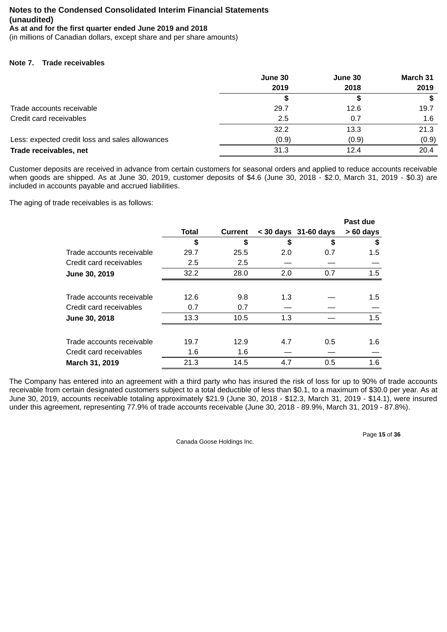**As at and for the first quarter ended June 2019 and 2018**

(in millions of Canadian dollars, except share and per share amounts)

#### **Note 7. Trade receivables**

|                                                 | June 30 | June 30 | March 31 |
|-------------------------------------------------|---------|---------|----------|
|                                                 | 2019    | 2018    | 2019     |
|                                                 | S       |         |          |
| Trade accounts receivable                       | 29.7    | 12.6    | 19.7     |
| Credit card receivables                         | 2.5     | 0.7     | 1.6      |
|                                                 | 32.2    | 13.3    | 21.3     |
| Less: expected credit loss and sales allowances | (0.9)   | (0.9)   | (0.9)    |
| Trade receivables, net                          | 31.3    | 12.4    | 20.4     |

Customer deposits are received in advance from certain customers for seasonal orders and applied to reduce accounts receivable when goods are shipped. As at June 30, 2019, customer deposits of \$4.6 (June 30, 2018 - \$2.0, March 31, 2019 - \$0.3) are included in accounts payable and accrued liabilities.

The aging of trade receivables is as follows:

|                           |              |                |     |                        | Past due         |
|---------------------------|--------------|----------------|-----|------------------------|------------------|
|                           | <b>Total</b> | <b>Current</b> |     | $<$ 30 days 31-60 days | $>60$ days       |
|                           | \$           | \$             | \$  | \$                     | \$               |
| Trade accounts receivable | 29.7         | 25.5           | 2.0 | 0.7                    | 1.5              |
| Credit card receivables   | 2.5          | 2.5            |     |                        |                  |
| June 30, 2019             | 32.2         | 28.0           | 2.0 | 0.7                    | 1.5              |
|                           |              |                |     |                        |                  |
| Trade accounts receivable | 12.6         | 9.8            | 1.3 |                        | 1.5 <sub>1</sub> |
| Credit card receivables   | 0.7          | 0.7            |     |                        |                  |
| June 30, 2018             | 13.3         | 10.5           | 1.3 |                        | 1.5              |
|                           |              |                |     |                        |                  |
| Trade accounts receivable | 19.7         | 12.9           | 4.7 | 0.5                    | $1.6\,$          |
| Credit card receivables   | $1.6\,$      | 1.6            |     |                        |                  |
| March 31, 2019            | 21.3         | 14.5           | 4.7 | 0.5                    | 1.6              |

The Company has entered into an agreement with a third party who has insured the risk of loss for up to 90% of trade accounts receivable from certain designated customers subject to a total deductible of less than \$0.1, to a maximum of \$30.0 per year. As at June 30, 2019, accounts receivable totaling approximately \$21.9 (June 30, 2018 - \$12.3, March 31, 2019 - \$14.1), were insured under this agreement, representing 77.9% of trade accounts receivable (June 30, 2018 - 89.9%, March 31, 2019 - 87.8%).

Canada Goose Holdings Inc.

Page **15** of **[36](#page-39-0)**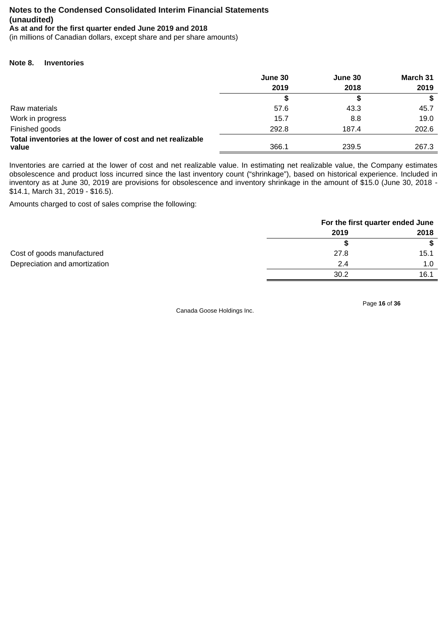## **As at and for the first quarter ended June 2019 and 2018**

(in millions of Canadian dollars, except share and per share amounts)

#### **Note 8. Inventories**

|                                                                    | June 30 | June 30 | March 31 |
|--------------------------------------------------------------------|---------|---------|----------|
|                                                                    | 2019    | 2018    | 2019     |
|                                                                    | \$      |         |          |
| Raw materials                                                      | 57.6    | 43.3    | 45.7     |
| Work in progress                                                   | 15.7    | 8.8     | 19.0     |
| Finished goods                                                     | 292.8   | 187.4   | 202.6    |
| Total inventories at the lower of cost and net realizable<br>value | 366.1   | 239.5   | 267.3    |

Inventories are carried at the lower of cost and net realizable value. In estimating net realizable value, the Company estimates obsolescence and product loss incurred since the last inventory count ("shrinkage"), based on historical experience. Included in inventory as at June 30, 2019 are provisions for obsolescence and inventory shrinkage in the amount of \$15.0 (June 30, 2018 - \$14.1, March 31, 2019 - \$16.5).

Amounts charged to cost of sales comprise the following:

|                               |      | For the first quarter ended June |  |  |
|-------------------------------|------|----------------------------------|--|--|
|                               | 2019 | 2018                             |  |  |
|                               |      |                                  |  |  |
| Cost of goods manufactured    | 27.8 | 15.1                             |  |  |
| Depreciation and amortization | 2.4  | 1.0                              |  |  |
|                               | 30.2 | 16.1                             |  |  |

Canada Goose Holdings Inc.

Page **16** of **[36](#page-39-0)**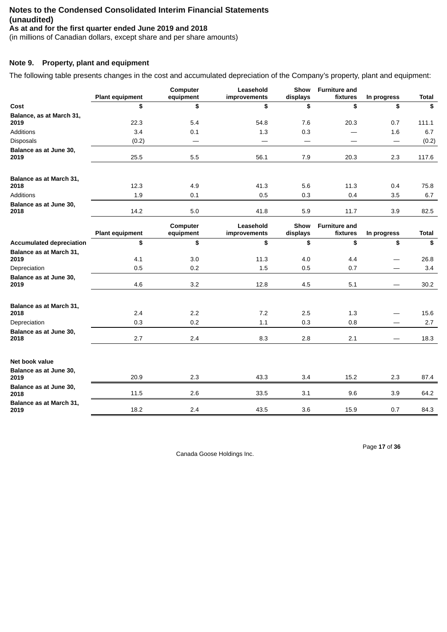**As at and for the first quarter ended June 2019 and 2018**

(in millions of Canadian dollars, except share and per share amounts)

## **Note 9. Property, plant and equipment**

The following table presents changes in the cost and accumulated depreciation of the Company's property, plant and equipment:

|                                  | <b>Plant equipment</b> | Computer<br>equipment | Leasehold<br>improvements | Show<br>displays | <b>Furniture and</b><br>fixtures | In progress                     | <b>Total</b> |
|----------------------------------|------------------------|-----------------------|---------------------------|------------------|----------------------------------|---------------------------------|--------------|
| Cost                             | \$                     | \$                    | \$                        | \$               | \$                               | \$                              | \$           |
| Balance, as at March 31,<br>2019 | 22.3                   | 5.4                   | 54.8                      | 7.6              | 20.3                             | 0.7                             | 111.1        |
| <b>Additions</b>                 | 3.4                    | 0.1                   | 1.3                       | 0.3              |                                  | 1.6                             | 6.7          |
| <b>Disposals</b>                 | (0.2)                  |                       |                           |                  |                                  |                                 | (0.2)        |
| Balance as at June 30,<br>2019   | 25.5                   | 5.5                   | 56.1                      | 7.9              | 20.3                             | 2.3                             | 117.6        |
| Balance as at March 31,<br>2018  | 12.3                   | 4.9                   | 41.3                      | 5.6              | 11.3                             | 0.4                             | 75.8         |
| Additions                        | 1.9                    | 0.1                   | 0.5                       | 0.3              | 0.4                              | 3.5                             | $6.7\,$      |
| Balance as at June 30,<br>2018   | 14.2                   | 5.0                   | 41.8                      | 5.9              | 11.7                             | 3.9                             | 82.5         |
|                                  | <b>Plant equipment</b> | Computer<br>equipment | Leasehold<br>improvements | Show<br>displays | <b>Furniture and</b><br>fixtures | In progress                     | Total        |
| <b>Accumulated depreciation</b>  | \$                     | \$                    | \$                        | \$               | \$                               | \$                              | \$           |
| Balance as at March 31,<br>2019  | 4.1                    | 3.0                   | 11.3                      | 4.0              | 4.4                              |                                 | 26.8         |
| Depreciation                     | 0.5                    | 0.2                   | 1.5                       | 0.5              | 0.7                              | $\qquad \qquad \longleftarrow$  | 3.4          |
| Balance as at June 30,<br>2019   | 4.6                    | 3.2                   | 12.8                      | 4.5              | 5.1                              | $\hspace{0.1mm}-\hspace{0.1mm}$ | 30.2         |
| Balance as at March 31,<br>2018  | 2.4                    | 2.2                   | 7.2                       | 2.5              | 1.3                              |                                 | 15.6         |
| Depreciation                     | 0.3                    | 0.2                   | 1.1                       | 0.3              | 0.8                              |                                 | 2.7          |
| Balance as at June 30,<br>2018   | 2.7                    | 2.4                   | 8.3                       | 2.8              | 2.1                              |                                 | 18.3         |
| Net book value                   |                        |                       |                           |                  |                                  |                                 |              |
| Balance as at June 30,<br>2019   | 20.9                   | 2.3                   | 43.3                      | 3.4              | 15.2                             | 2.3                             | 87.4         |
| Balance as at June 30,<br>2018   | 11.5                   | 2.6                   | 33.5                      | 3.1              | 9.6                              | 3.9                             | 64.2         |
| Balance as at March 31,<br>2019  | 18.2                   | 2.4                   | 43.5                      | 3.6              | 15.9                             | 0.7                             | 84.3         |

Canada Goose Holdings Inc.

Page **17** of **[36](#page-39-0)**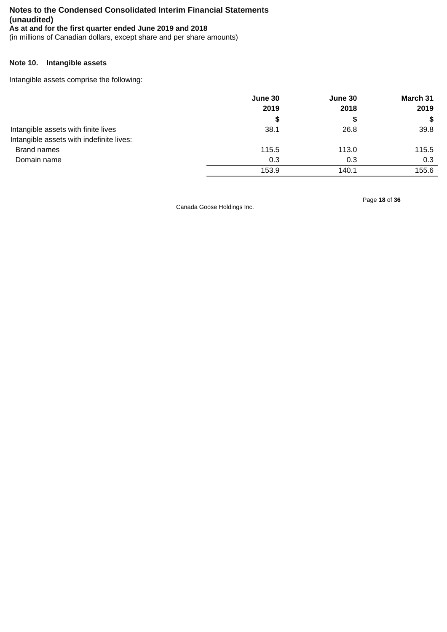**As at and for the first quarter ended June 2019 and 2018** (in millions of Canadian dollars, except share and per share amounts)

#### **Note 10. Intangible assets**

Intangible assets comprise the following:

|                                          | June 30 | June 30 | March 31 |
|------------------------------------------|---------|---------|----------|
|                                          | 2019    | 2018    | 2019     |
|                                          | \$      | S       | \$       |
| Intangible assets with finite lives      | 38.1    | 26.8    | 39.8     |
| Intangible assets with indefinite lives: |         |         |          |
| <b>Brand names</b>                       | 115.5   | 113.0   | 115.5    |
| Domain name                              | 0.3     | 0.3     | 0.3      |
|                                          | 153.9   | 140.1   | 155.6    |

Canada Goose Holdings Inc.

Page **18** of **[36](#page-39-0)**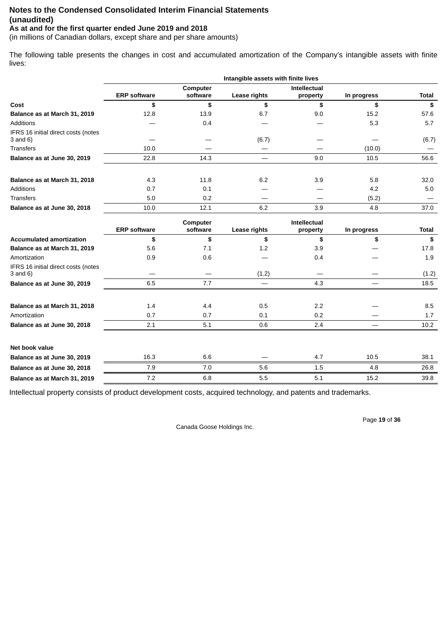## **As at and for the first quarter ended June 2019 and 2018**

(in millions of Canadian dollars, except share and per share amounts)

The following table presents the changes in cost and accumulated amortization of the Company's intangible assets with finite lives:

|                                                     | Intangible assets with finite lives |                      |              |                                 |             |              |
|-----------------------------------------------------|-------------------------------------|----------------------|--------------|---------------------------------|-------------|--------------|
|                                                     | <b>ERP</b> software                 | Computer<br>software | Lease rights | <b>Intellectual</b><br>property | In progress | <b>Total</b> |
| Cost                                                | \$                                  | \$                   | \$           | \$                              | \$          | \$           |
| Balance as at March 31, 2019                        | 12.8                                | 13.9                 | 6.7          | 9.0                             | 15.2        | 57.6         |
| <b>Additions</b>                                    |                                     | 0.4                  |              |                                 | 5.3         | 5.7          |
| IFRS 16 initial direct costs (notes<br>$3$ and $6)$ |                                     |                      | (6.7)        |                                 |             | (6.7)        |
| <b>Transfers</b>                                    | 10.0                                |                      |              |                                 | (10.0)      |              |
| Balance as at June 30, 2019                         | 22.8                                | 14.3                 | —            | 9.0                             | 10.5        | 56.6         |
| Balance as at March 31, 2018                        | 4.3                                 | 11.8                 | 6.2          | 3.9                             | 5.8         | 32.0         |
| <b>Additions</b>                                    | 0.7                                 | 0.1                  |              |                                 | 4.2         | 5.0          |
| <b>Transfers</b>                                    | 5.0                                 | 0.2                  |              |                                 | (5.2)       |              |
| Balance as at June 30, 2018                         | 10.0                                | 12.1                 | 6.2          | 3.9                             | 4.8         | 37.0         |
|                                                     | <b>ERP</b> software                 | Computer<br>software | Lease rights | <b>Intellectual</b><br>property | In progress | <b>Total</b> |
| <b>Accumulated amortization</b>                     | \$                                  | \$                   | \$           | \$                              | \$          | \$           |
| Balance as at March 31, 2019                        | 5.6                                 | $7.1$                | 1.2          | 3.9                             |             | 17.8         |
| Amortization                                        | 0.9                                 | 0.6                  |              | 0.4                             |             | 1.9          |
| IFRS 16 initial direct costs (notes<br>$3$ and $6)$ |                                     |                      | (1.2)        |                                 |             | (1.2)        |
| Balance as at June 30, 2019                         | 6.5                                 | 7.7                  |              | 4.3                             |             | 18.5         |
| Balance as at March 31, 2018                        | 1.4                                 | 4.4                  | 0.5          | 2.2                             |             | 8.5          |
| Amortization                                        | 0.7                                 | 0.7                  | 0.1          | 0.2                             |             | 1.7          |
| Balance as at June 30, 2018                         | 2.1                                 | 5.1                  | 0.6          | 2.4                             |             | 10.2         |
| Net book value                                      |                                     |                      |              |                                 |             |              |
| Balance as at June 30, 2019                         | 16.3                                | 6.6                  |              | 4.7                             | 10.5        | 38.1         |
| Balance as at June 30, 2018                         | 7.9                                 | 7.0                  | 5.6          | 1.5                             | 4.8         | 26.8         |
| Balance as at March 31, 2019                        | 7.2                                 | 6.8                  | 5.5          | 5.1                             | 15.2        | 39.8         |

Intellectual property consists of product development costs, acquired technology, and patents and trademarks.

Canada Goose Holdings Inc.

Page **19** of **[36](#page-39-0)**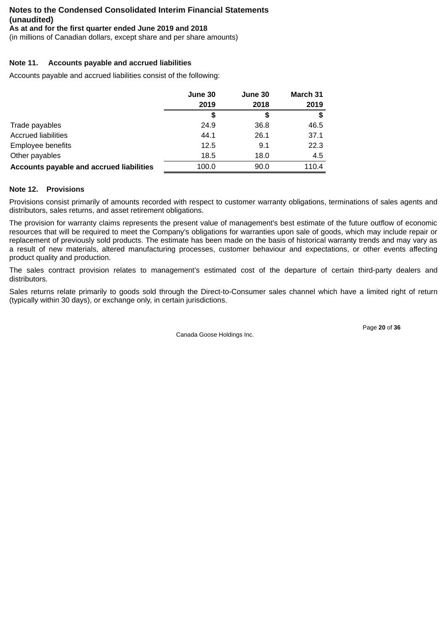### **As at and for the first quarter ended June 2019 and 2018**

(in millions of Canadian dollars, except share and per share amounts)

#### **Note 11. Accounts payable and accrued liabilities**

Accounts payable and accrued liabilities consist of the following:

|                                          | June 30 | June 30 | March 31 |
|------------------------------------------|---------|---------|----------|
|                                          | 2019    | 2018    | 2019     |
|                                          | \$      | S       | \$       |
| Trade payables                           | 24.9    | 36.8    | 46.5     |
| <b>Accrued liabilities</b>               | 44.1    | 26.1    | 37.1     |
| Employee benefits                        | 12.5    | 9.1     | 22.3     |
| Other payables                           | 18.5    | 18.0    | 4.5      |
| Accounts payable and accrued liabilities | 100.0   | 90.0    | 110.4    |

#### **Note 12. Provisions**

Provisions consist primarily of amounts recorded with respect to customer warranty obligations, terminations of sales agents and distributors, sales returns, and asset retirement obligations.

The provision for warranty claims represents the present value of management's best estimate of the future outflow of economic resources that will be required to meet the Company's obligations for warranties upon sale of goods, which may include repair or replacement of previously sold products. The estimate has been made on the basis of historical warranty trends and may vary as a result of new materials, altered manufacturing processes, customer behaviour and expectations, or other events affecting product quality and production.

The sales contract provision relates to management's estimated cost of the departure of certain third-party dealers and distributors.

Sales returns relate primarily to goods sold through the Direct-to-Consumer sales channel which have a limited right of return (typically within 30 days), or exchange only, in certain jurisdictions.

Page **20** of **[36](#page-39-0)**

Canada Goose Holdings Inc.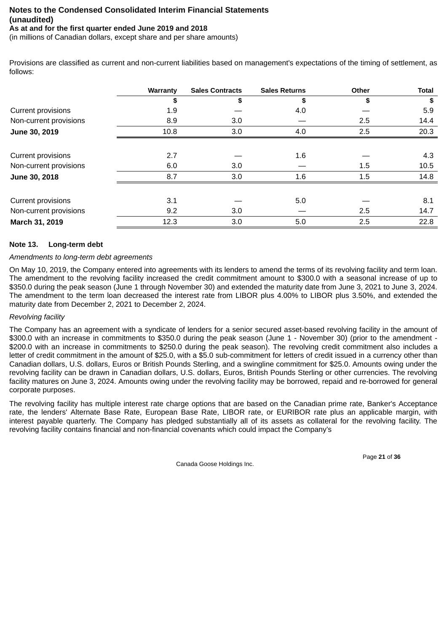## **As at and for the first quarter ended June 2019 and 2018**

(in millions of Canadian dollars, except share and per share amounts)

Provisions are classified as current and non-current liabilities based on management's expectations of the timing of settlement, as follows:

|                           | Warranty | <b>Sales Contracts</b> | <b>Sales Returns</b> | <b>Other</b> | <b>Total</b> |
|---------------------------|----------|------------------------|----------------------|--------------|--------------|
|                           | \$       | \$                     | \$                   | \$           | \$           |
| Current provisions        | 1.9      |                        | 4.0                  |              | 5.9          |
| Non-current provisions    | 8.9      | 3.0                    |                      | 2.5          | 14.4         |
| June 30, 2019             | 10.8     | 3.0                    | 4.0                  | 2.5          | 20.3         |
|                           |          |                        |                      |              |              |
| <b>Current provisions</b> | 2.7      |                        | 1.6                  |              | 4.3          |
| Non-current provisions    | 6.0      | 3.0                    |                      | 1.5          | 10.5         |
| June 30, 2018             | 8.7      | 3.0                    | $1.6\,$              | 1.5          | 14.8         |
|                           |          |                        |                      |              |              |
| <b>Current provisions</b> | 3.1      |                        | 5.0                  |              | 8.1          |
| Non-current provisions    | 9.2      | 3.0                    |                      | 2.5          | 14.7         |
| March 31, 2019            | 12.3     | 3.0                    | 5.0                  | 2.5          | 22.8         |

#### **Note 13. Long-term debt**

#### *Amendments to long-term debt agreements*

On May 10, 2019, the Company entered into agreements with its lenders to amend the terms of its revolving facility and term loan. The amendment to the revolving facility increased the credit commitment amount to \$300.0 with a seasonal increase of up to \$350.0 during the peak season (June 1 through November 30) and extended the maturity date from June 3, 2021 to June 3, 2024. The amendment to the term loan decreased the interest rate from LIBOR plus 4.00% to LIBOR plus 3.50%, and extended the maturity date from December 2, 2021 to December 2, 2024.

#### *Revolving facility*

The Company has an agreement with a syndicate of lenders for a senior secured asset-based revolving facility in the amount of \$300.0 with an increase in commitments to \$350.0 during the peak season (June 1 - November 30) (prior to the amendment - \$200.0 with an increase in commitments to \$250.0 during the peak season). The revolving credit commitment also includes a letter of credit commitment in the amount of \$25.0, with a \$5.0 sub-commitment for letters of credit issued in a currency other than Canadian dollars, U.S. dollars, Euros or British Pounds Sterling, and a swingline commitment for \$25.0. Amounts owing under the revolving facility can be drawn in Canadian dollars, U.S. dollars, Euros, British Pounds Sterling or other currencies. The revolving facility matures on June 3, 2024. Amounts owing under the revolving facility may be borrowed, repaid and re-borrowed for general corporate purposes.

The revolving facility has multiple interest rate charge options that are based on the Canadian prime rate, Banker's Acceptance rate, the lenders' Alternate Base Rate, European Base Rate, LIBOR rate, or EURIBOR rate plus an applicable margin, with interest payable quarterly. The Company has pledged substantially all of its assets as collateral for the revolving facility. The revolving facility contains financial and non-financial covenants which could impact the Company's

Canada Goose Holdings Inc.

Page **21** of **[36](#page-39-0)**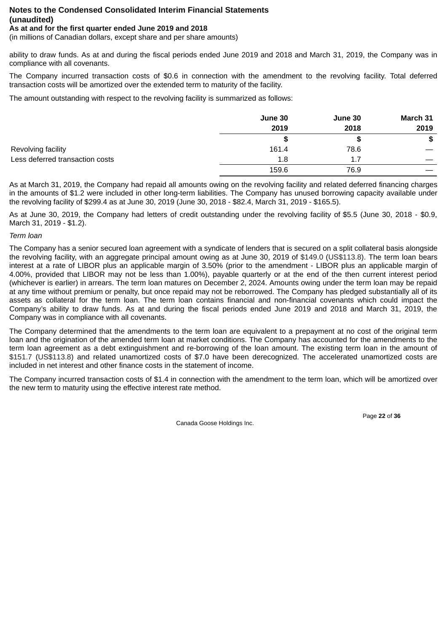#### **As at and for the first quarter ended June 2019 and 2018**

(in millions of Canadian dollars, except share and per share amounts)

ability to draw funds. As at and during the fiscal periods ended June 2019 and 2018 and March 31, 2019, the Company was in compliance with all covenants.

The Company incurred transaction costs of \$0.6 in connection with the amendment to the revolving facility. Total deferred transaction costs will be amortized over the extended term to maturity of the facility.

The amount outstanding with respect to the revolving facility is summarized as follows:

|                                 | June 30 | June 30 | March 31 |
|---------------------------------|---------|---------|----------|
|                                 | 2019    | 2018    | 2019     |
|                                 | \$      |         |          |
| Revolving facility              | 161.4   | 78.6    |          |
| Less deferred transaction costs | 1.8     | 1.7     |          |
|                                 | 159.6   | 76.9    |          |

As at March 31, 2019, the Company had repaid all amounts owing on the revolving facility and related deferred financing charges in the amounts of \$1.2 were included in other long-term liabilities. The Company has unused borrowing capacity available under the revolving facility of \$299.4 as at June 30, 2019 (June 30, 2018 - \$82.4, March 31, 2019 - \$165.5).

As at June 30, 2019, the Company had letters of credit outstanding under the revolving facility of \$5.5 (June 30, 2018 - \$0.9, March 31, 2019 - \$1.2).

#### *Term loan*

The Company has a senior secured loan agreement with a syndicate of lenders that is secured on a split collateral basis alongside the revolving facility, with an aggregate principal amount owing as at June 30, 2019 of \$149.0 (US\$113.8). The term loan bears interest at a rate of LIBOR plus an applicable margin of 3.50% (prior to the amendment - LIBOR plus an applicable margin of 4.00%, provided that LIBOR may not be less than 1.00%), payable quarterly or at the end of the then current interest period (whichever is earlier) in arrears. The term loan matures on December 2, 2024. Amounts owing under the term loan may be repaid at any time without premium or penalty, but once repaid may not be reborrowed. The Company has pledged substantially all of its assets as collateral for the term loan. The term loan contains financial and non-financial covenants which could impact the Company's ability to draw funds. As at and during the fiscal periods ended June 2019 and 2018 and March 31, 2019, the Company was in compliance with all covenants.

The Company determined that the amendments to the term loan are equivalent to a prepayment at no cost of the original term loan and the origination of the amended term loan at market conditions. The Company has accounted for the amendments to the term loan agreement as a debt extinguishment and re-borrowing of the loan amount. The existing term loan in the amount of \$151.7 (US\$113.8) and related unamortized costs of \$7.0 have been derecognized. The accelerated unamortized costs are included in net interest and other finance costs in the statement of income.

The Company incurred transaction costs of \$1.4 in connection with the amendment to the term loan, which will be amortized over the new term to maturity using the effective interest rate method.

Canada Goose Holdings Inc.

Page **22** of **[36](#page-39-0)**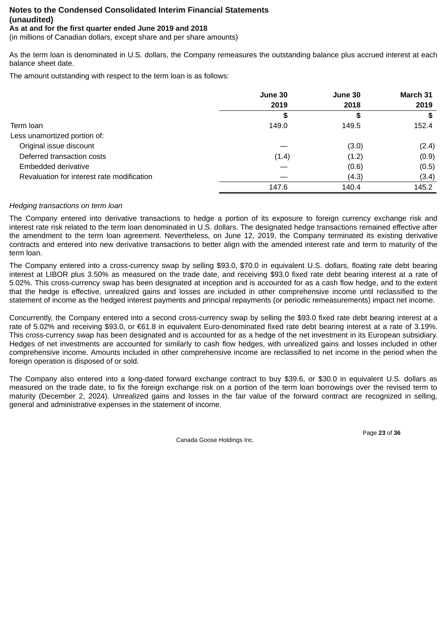#### **As at and for the first quarter ended June 2019 and 2018**

(in millions of Canadian dollars, except share and per share amounts)

As the term loan is denominated in U.S. dollars, the Company remeasures the outstanding balance plus accrued interest at each balance sheet date.

The amount outstanding with respect to the term loan is as follows:

|                                            | June 30 | June 30 | March 31 |
|--------------------------------------------|---------|---------|----------|
|                                            | 2019    | 2018    | 2019     |
|                                            | \$      |         | S        |
| Term Ioan                                  | 149.0   | 149.5   | 152.4    |
| Less unamortized portion of:               |         |         |          |
| Original issue discount                    |         | (3.0)   | (2.4)    |
| Deferred transaction costs                 | (1.4)   | (1.2)   | (0.9)    |
| Embedded derivative                        |         | (0.6)   | (0.5)    |
| Revaluation for interest rate modification |         | (4.3)   | (3.4)    |
|                                            | 147.6   | 140.4   | 145.2    |

#### *Hedging transactions on term loan*

The Company entered into derivative transactions to hedge a portion of its exposure to foreign currency exchange risk and interest rate risk related to the term loan denominated in U.S. dollars. The designated hedge transactions remained effective after the amendment to the term loan agreement. Nevertheless, on June 12, 2019, the Company terminated its existing derivative contracts and entered into new derivative transactions to better align with the amended interest rate and term to maturity of the term loan.

The Company entered into a cross-currency swap by selling \$93.0, \$70.0 in equivalent U.S. dollars, floating rate debt bearing interest at LIBOR plus 3.50% as measured on the trade date, and receiving \$93.0 fixed rate debt bearing interest at a rate of 5.02%. This cross-currency swap has been designated at inception and is accounted for as a cash flow hedge, and to the extent that the hedge is effective, unrealized gains and losses are included in other comprehensive income until reclassified to the statement of income as the hedged interest payments and principal repayments (or periodic remeasurements) impact net income.

Concurrently, the Company entered into a second cross-currency swap by selling the \$93.0 fixed rate debt bearing interest at a rate of 5.02% and receiving \$93.0, or €61.8 in equivalent Euro-denominated fixed rate debt bearing interest at a rate of 3.19%. This cross-currency swap has been designated and is accounted for as a hedge of the net investment in its European subsidiary. Hedges of net investments are accounted for similarly to cash flow hedges, with unrealized gains and losses included in other comprehensive income. Amounts included in other comprehensive income are reclassified to net income in the period when the foreign operation is disposed of or sold.

The Company also entered into a long-dated forward exchange contract to buy \$39.6, or \$30.0 in equivalent U.S. dollars as measured on the trade date, to fix the foreign exchange risk on a portion of the term loan borrowings over the revised term to maturity (December 2, 2024). Unrealized gains and losses in the fair value of the forward contract are recognized in selling, general and administrative expenses in the statement of income.

Canada Goose Holdings Inc.

Page **23** of **[36](#page-39-0)**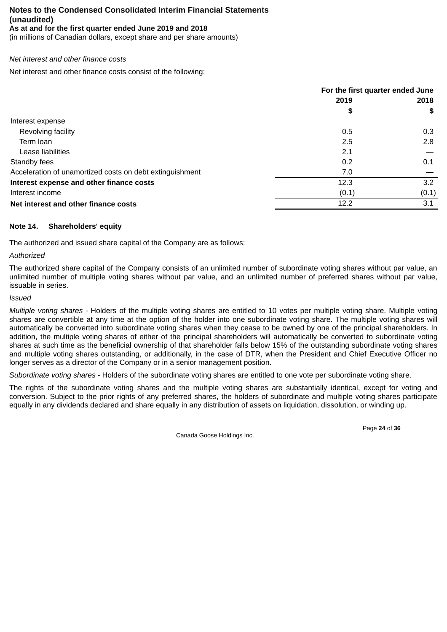#### **Notes to the Condensed Consolidated Interim Financial Statements (unaudited) As at and for the first quarter ended June 2019 and 2018**

(in millions of Canadian dollars, except share and per share amounts)

#### *Net interest and other finance costs*

Net interest and other finance costs consist of the following:

|                                                          | For the first quarter ended June |                  |
|----------------------------------------------------------|----------------------------------|------------------|
|                                                          | 2019                             | 2018             |
|                                                          | \$                               | \$               |
| Interest expense                                         |                                  |                  |
| Revolving facility                                       | 0.5                              | 0.3 <sub>2</sub> |
| Term loan                                                | 2.5                              | 2.8              |
| Lease liabilities                                        | 2.1                              |                  |
| Standby fees                                             | 0.2                              | 0.1              |
| Acceleration of unamortized costs on debt extinguishment | 7.0                              |                  |
| Interest expense and other finance costs                 | 12.3                             | 3.2              |
| Interest income                                          | (0.1)                            | (0.1)            |
| Net interest and other finance costs                     | 12.2                             | 3.1              |

#### **Note 14. Shareholders' equity**

The authorized and issued share capital of the Company are as follows:

#### *Authorized*

The authorized share capital of the Company consists of an unlimited number of subordinate voting shares without par value, an unlimited number of multiple voting shares without par value, and an unlimited number of preferred shares without par value, issuable in series.

#### *Issued*

*Multiple voting shares* - Holders of the multiple voting shares are entitled to 10 votes per multiple voting share. Multiple voting shares are convertible at any time at the option of the holder into one subordinate voting share. The multiple voting shares will automatically be converted into subordinate voting shares when they cease to be owned by one of the principal shareholders. In addition, the multiple voting shares of either of the principal shareholders will automatically be converted to subordinate voting shares at such time as the beneficial ownership of that shareholder falls below 15% of the outstanding subordinate voting shares and multiple voting shares outstanding, or additionally, in the case of DTR, when the President and Chief Executive Officer no longer serves as a director of the Company or in a senior management position.

*Subordinate voting shares* - Holders of the subordinate voting shares are entitled to one vote per subordinate voting share.

The rights of the subordinate voting shares and the multiple voting shares are substantially identical, except for voting and conversion. Subject to the prior rights of any preferred shares, the holders of subordinate and multiple voting shares participate equally in any dividends declared and share equally in any distribution of assets on liquidation, dissolution, or winding up.

Canada Goose Holdings Inc.

Page **24** of **[36](#page-39-0)**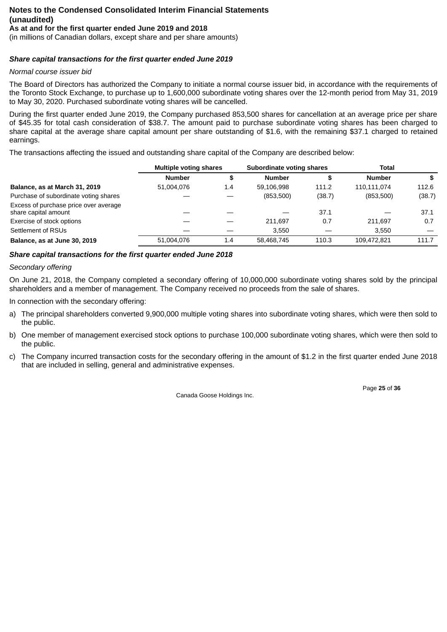#### **As at and for the first quarter ended June 2019 and 2018**

(in millions of Canadian dollars, except share and per share amounts)

#### *Share capital transactions for the first quarter ended June 2019*

#### *Normal course issuer bid*

The Board of Directors has authorized the Company to initiate a normal course issuer bid, in accordance with the requirements of the Toronto Stock Exchange, to purchase up to 1,600,000 subordinate voting shares over the 12-month period from May 31, 2019 to May 30, 2020. Purchased subordinate voting shares will be cancelled.

During the first quarter ended June 2019, the Company purchased 853,500 shares for cancellation at an average price per share of \$45.35 for total cash consideration of \$38.7. The amount paid to purchase subordinate voting shares has been charged to share capital at the average share capital amount per share outstanding of \$1.6, with the remaining \$37.1 charged to retained earnings.

The transactions affecting the issued and outstanding share capital of the Company are described below:

|                                                               | <b>Multiple voting shares</b> |     | Subordinate voting shares |        | <b>Total</b>  |        |
|---------------------------------------------------------------|-------------------------------|-----|---------------------------|--------|---------------|--------|
|                                                               | <b>Number</b>                 | \$  | <b>Number</b>             | \$     | <b>Number</b> | \$     |
| Balance, as at March 31, 2019                                 | 51,004,076                    | 1.4 | 59.106.998                | 111.2  | 110.111.074   | 112.6  |
| Purchase of subordinate voting shares                         |                               |     | (853,500)                 | (38.7) | (853,500)     | (38.7) |
| Excess of purchase price over average<br>share capital amount |                               |     |                           | 37.1   |               | 37.1   |
| Exercise of stock options                                     |                               |     | 211.697                   | 0.7    | 211.697       | 0.7    |
| Settlement of RSUs                                            |                               |     | 3.550                     |        | 3.550         |        |
| Balance, as at June 30, 2019                                  | 51.004.076                    | 1.4 | 58,468,745                | 110.3  | 109.472.821   | 111.7  |

#### *Share capital transactions for the first quarter ended June 2018*

#### *Secondary offering*

On June 21, 2018, the Company completed a secondary offering of 10,000,000 subordinate voting shares sold by the principal shareholders and a member of management. The Company received no proceeds from the sale of shares.

In connection with the secondary offering:

- a) The principal shareholders converted 9,900,000 multiple voting shares into subordinate voting shares, which were then sold to the public.
- b) One member of management exercised stock options to purchase 100,000 subordinate voting shares, which were then sold to the public.
- c) The Company incurred transaction costs for the secondary offering in the amount of \$1.2 in the first quarter ended June 2018 that are included in selling, general and administrative expenses.

Canada Goose Holdings Inc.

Page **25** of **[36](#page-39-0)**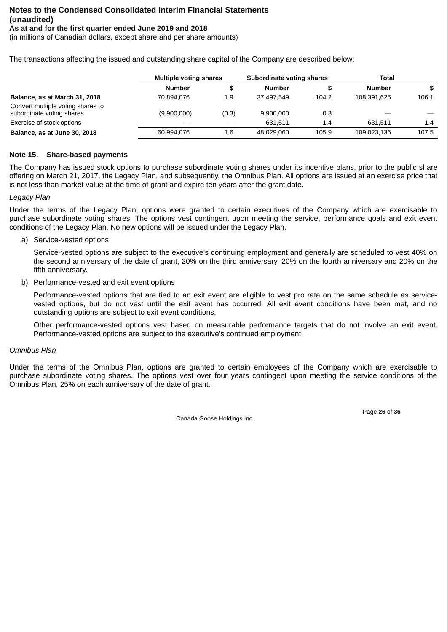#### **As at and for the first quarter ended June 2019 and 2018**

(in millions of Canadian dollars, except share and per share amounts)

The transactions affecting the issued and outstanding share capital of the Company are described below:

|                                                                | <b>Multiple voting shares</b> |       | Subordinate voting shares |       | <b>Total</b>  |       |
|----------------------------------------------------------------|-------------------------------|-------|---------------------------|-------|---------------|-------|
|                                                                | <b>Number</b>                 |       | <b>Number</b>             | S     | <b>Number</b> | S.    |
| Balance, as at March 31, 2018                                  | 70.894.076                    | 1.9   | 37.497.549                | 104.2 | 108.391.625   | 106.1 |
| Convert multiple voting shares to<br>subordinate voting shares | (9,900,000)                   | (0.3) | 9.900.000                 | 0.3   |               |       |
| Exercise of stock options                                      |                               |       | 631.511                   | 1.4   | 631.511       | 1.4   |
| Balance, as at June 30, 2018                                   | 60.994.076                    | 1.6   | 48.029.060                | 105.9 | 109.023.136   | 107.5 |

#### **Note 15. Share-based payments**

The Company has issued stock options to purchase subordinate voting shares under its incentive plans, prior to the public share offering on March 21, 2017, the Legacy Plan, and subsequently, the Omnibus Plan. All options are issued at an exercise price that is not less than market value at the time of grant and expire ten years after the grant date.

#### *Legacy Plan*

Under the terms of the Legacy Plan, options were granted to certain executives of the Company which are exercisable to purchase subordinate voting shares. The options vest contingent upon meeting the service, performance goals and exit event conditions of the Legacy Plan. No new options will be issued under the Legacy Plan.

a) Service-vested options

Service-vested options are subject to the executive's continuing employment and generally are scheduled to vest 40% on the second anniversary of the date of grant, 20% on the third anniversary, 20% on the fourth anniversary and 20% on the fifth anniversary.

b) Performance-vested and exit event options

Performance-vested options that are tied to an exit event are eligible to vest pro rata on the same schedule as servicevested options, but do not vest until the exit event has occurred. All exit event conditions have been met, and no outstanding options are subject to exit event conditions.

Other performance-vested options vest based on measurable performance targets that do not involve an exit event. Performance-vested options are subject to the executive's continued employment.

#### *Omnibus Plan*

Under the terms of the Omnibus Plan, options are granted to certain employees of the Company which are exercisable to purchase subordinate voting shares. The options vest over four years contingent upon meeting the service conditions of the Omnibus Plan, 25% on each anniversary of the date of grant.

Canada Goose Holdings Inc.

Page **26** of **[36](#page-39-0)**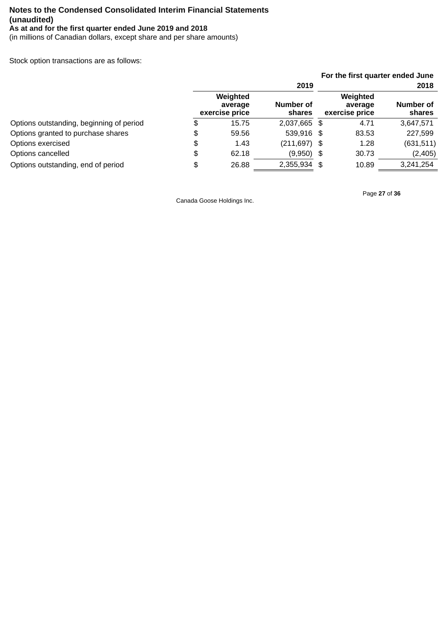**As at and for the first quarter ended June 2019 and 2018**

(in millions of Canadian dollars, except share and per share amounts)

Stock option transactions are as follows:

|                                          |                                       |                     |      | For the first quarter ended June      |                     |  |  |
|------------------------------------------|---------------------------------------|---------------------|------|---------------------------------------|---------------------|--|--|
|                                          |                                       | 2019                |      |                                       | 2018                |  |  |
|                                          | Weighted<br>average<br>exercise price | Number of<br>shares |      | Weighted<br>average<br>exercise price | Number of<br>shares |  |  |
| Options outstanding, beginning of period | \$<br>15.75                           | 2,037,665 \$        |      | 4.71                                  | 3,647,571           |  |  |
| Options granted to purchase shares       | \$<br>59.56                           | 539,916 \$          |      | 83.53                                 | 227,599             |  |  |
| Options exercised                        | \$<br>1.43                            | $(211, 697)$ \$     |      | 1.28                                  | (631, 511)          |  |  |
| Options cancelled                        | \$<br>62.18                           | (9,950)             | - \$ | 30.73                                 | (2,405)             |  |  |
| Options outstanding, end of period       | \$<br>26.88                           | 2,355,934 \$        |      | 10.89                                 | 3,241,254           |  |  |

Canada Goose Holdings Inc.

Page **27** of **[36](#page-39-0)**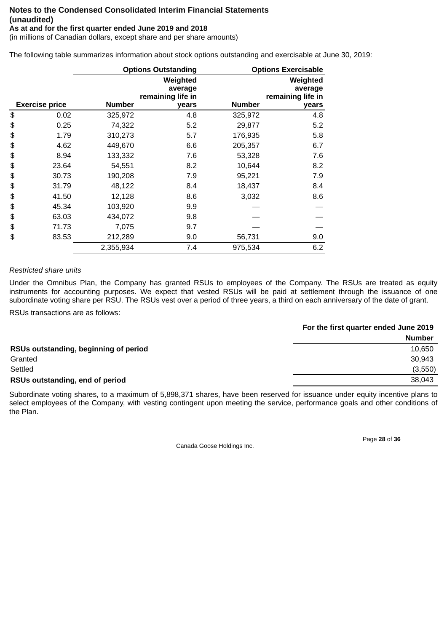## **As at and for the first quarter ended June 2019 and 2018**

(in millions of Canadian dollars, except share and per share amounts)

The following table summarizes information about stock options outstanding and exercisable at June 30, 2019:

|                       |               | <b>Options Outstanding</b>               | <b>Options Exercisable</b> |                                          |
|-----------------------|---------------|------------------------------------------|----------------------------|------------------------------------------|
|                       |               | Weighted<br>average<br>remaining life in |                            | Weighted<br>average<br>remaining life in |
| <b>Exercise price</b> | <b>Number</b> | years                                    | <b>Number</b>              | years                                    |
| \$<br>0.02            | 325,972       | 4.8                                      | 325,972                    | 4.8                                      |
| \$<br>0.25            | 74,322        | 5.2                                      | 29,877                     | 5.2                                      |
| \$<br>1.79            | 310,273       | 5.7                                      | 176,935                    | 5.8                                      |
| \$<br>4.62            | 449,670       | 6.6                                      | 205,357                    | 6.7                                      |
| \$<br>8.94            | 133,332       | 7.6                                      | 53,328                     | 7.6                                      |
| \$<br>23.64           | 54,551        | 8.2                                      | 10,644                     | 8.2                                      |
| \$<br>30.73           | 190,208       | 7.9                                      | 95,221                     | 7.9                                      |
| \$<br>31.79           | 48,122        | 8.4                                      | 18,437                     | 8.4                                      |
| \$<br>41.50           | 12,128        | 8.6                                      | 3,032                      | 8.6                                      |
| \$<br>45.34           | 103,920       | 9.9                                      |                            |                                          |
| \$<br>63.03           | 434,072       | 9.8                                      |                            |                                          |
| \$<br>71.73           | 7,075         | 9.7                                      |                            |                                          |
| \$<br>83.53           | 212,289       | 9.0                                      | 56,731                     | 9.0                                      |
|                       | 2,355,934     | 7.4                                      | 975,534                    | 6.2                                      |

#### *Restricted share units*

Under the Omnibus Plan, the Company has granted RSUs to employees of the Company. The RSUs are treated as equity instruments for accounting purposes. We expect that vested RSUs will be paid at settlement through the issuance of one subordinate voting share per RSU. The RSUs vest over a period of three years, a third on each anniversary of the date of grant.

RSUs transactions are as follows:

|                                       | For the first quarter ended June 2019 |
|---------------------------------------|---------------------------------------|
|                                       | <b>Number</b>                         |
| RSUs outstanding, beginning of period | 10.650                                |
| Granted                               | 30.943                                |
| Settled                               | (3,550)                               |
| RSUs outstanding, end of period       | 38,043                                |

Subordinate voting shares, to a maximum of 5,898,371 shares, have been reserved for issuance under equity incentive plans to select employees of the Company, with vesting contingent upon meeting the service, performance goals and other conditions of the Plan.

Canada Goose Holdings Inc.

Page **28** of **[36](#page-39-0)**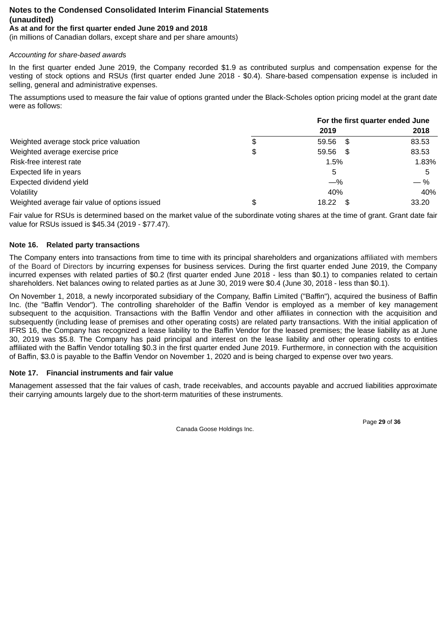#### **As at and for the first quarter ended June 2019 and 2018**

(in millions of Canadian dollars, except share and per share amounts)

#### *Accounting for share-based award*s

In the first quarter ended June 2019, the Company recorded \$1.9 as contributed surplus and compensation expense for the vesting of stock options and RSUs (first quarter ended June 2018 - \$0.4). Share-based compensation expense is included in selling, general and administrative expenses.

The assumptions used to measure the fair value of options granted under the Black-Scholes option pricing model at the grant date were as follows:

|                                               | For the first quarter ended June |       |  |
|-----------------------------------------------|----------------------------------|-------|--|
|                                               | 2019                             | 2018  |  |
| Weighted average stock price valuation        | \$<br>59.56<br>- \$              | 83.53 |  |
| Weighted average exercise price               | \$<br>59.56<br>- \$              | 83.53 |  |
| Risk-free interest rate                       | 1.5%                             | 1.83% |  |
| Expected life in years                        | 5                                | 5     |  |
| Expected dividend yield                       | $-$ %                            | $-$ % |  |
| Volatility                                    | 40%                              | 40%   |  |
| Weighted average fair value of options issued | \$<br>18.22                      | 33.20 |  |

Fair value for RSUs is determined based on the market value of the subordinate voting shares at the time of grant. Grant date fair value for RSUs issued is \$45.34 (2019 - \$77.47).

#### **Note 16. Related party transactions**

The Company enters into transactions from time to time with its principal shareholders and organizations affiliated with members of the Board of Directors by incurring expenses for business services. During the first quarter ended June 2019, the Company incurred expenses with related parties of \$0.2 (first quarter ended June 2018 - less than \$0.1) to companies related to certain shareholders. Net balances owing to related parties as at June 30, 2019 were \$0.4 (June 30, 2018 - less than \$0.1).

On November 1, 2018, a newly incorporated subsidiary of the Company, Baffin Limited ("Baffin"), acquired the business of Baffin Inc. (the "Baffin Vendor"). The controlling shareholder of the Baffin Vendor is employed as a member of key management subsequent to the acquisition. Transactions with the Baffin Vendor and other affiliates in connection with the acquisition and subsequently (including lease of premises and other operating costs) are related party transactions. With the initial application of IFRS 16, the Company has recognized a lease liability to the Baffin Vendor for the leased premises; the lease liability as at June 30, 2019 was \$5.8. The Company has paid principal and interest on the lease liability and other operating costs to entities affiliated with the Baffin Vendor totalling \$0.3 in the first quarter ended June 2019. Furthermore, in connection with the acquisition of Baffin, \$3.0 is payable to the Baffin Vendor on November 1, 2020 and is being charged to expense over two years.

#### **Note 17. Financial instruments and fair value**

Management assessed that the fair values of cash, trade receivables, and accounts payable and accrued liabilities approximate their carrying amounts largely due to the short-term maturities of these instruments.

Canada Goose Holdings Inc.

Page **29** of **[36](#page-39-0)**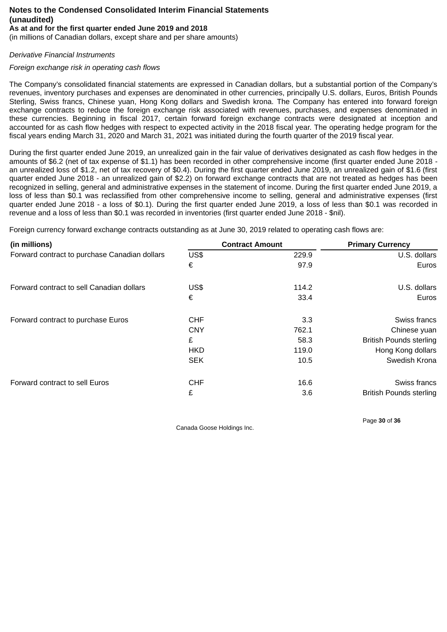## **As at and for the first quarter ended June 2019 and 2018**

(in millions of Canadian dollars, except share and per share amounts)

#### *Derivative Financial Instruments*

#### *Foreign exchange risk in operating cash flows*

The Company's consolidated financial statements are expressed in Canadian dollars, but a substantial portion of the Company's revenues, inventory purchases and expenses are denominated in other currencies, principally U.S. dollars, Euros, British Pounds Sterling, Swiss francs, Chinese yuan, Hong Kong dollars and Swedish krona. The Company has entered into forward foreign exchange contracts to reduce the foreign exchange risk associated with revenues, purchases, and expenses denominated in these currencies. Beginning in fiscal 2017, certain forward foreign exchange contracts were designated at inception and accounted for as cash flow hedges with respect to expected activity in the 2018 fiscal year. The operating hedge program for the fiscal years ending March 31, 2020 and March 31, 2021 was initiated during the fourth quarter of the 2019 fiscal year.

During the first quarter ended June 2019, an unrealized gain in the fair value of derivatives designated as cash flow hedges in the amounts of \$6.2 (net of tax expense of \$1.1) has been recorded in other comprehensive income (first quarter ended June 2018 an unrealized loss of \$1.2, net of tax recovery of \$0.4). During the first quarter ended June 2019, an unrealized gain of \$1.6 (first quarter ended June 2018 - an unrealized gain of \$2.2) on forward exchange contracts that are not treated as hedges has been recognized in selling, general and administrative expenses in the statement of income. During the first quarter ended June 2019, a loss of less than \$0.1 was reclassified from other comprehensive income to selling, general and administrative expenses (first quarter ended June 2018 - a loss of \$0.1). During the first quarter ended June 2019, a loss of less than \$0.1 was recorded in revenue and a loss of less than \$0.1 was recorded in inventories (first quarter ended June 2018 - \$nil).

Foreign currency forward exchange contracts outstanding as at June 30, 2019 related to operating cash flows are:

| (in millions)                                 |            | <b>Contract Amount</b> | <b>Primary Currency</b>        |
|-----------------------------------------------|------------|------------------------|--------------------------------|
| Forward contract to purchase Canadian dollars | US\$       | 229.9                  | U.S. dollars                   |
|                                               | €          | 97.9                   | Euros                          |
| Forward contract to sell Canadian dollars     | US\$       | 114.2                  | U.S. dollars                   |
|                                               | €          | 33.4                   | Euros                          |
| Forward contract to purchase Euros            | <b>CHF</b> | 3.3                    | Swiss francs                   |
|                                               | <b>CNY</b> | 762.1                  | Chinese yuan                   |
|                                               | £          | 58.3                   | <b>British Pounds sterling</b> |
|                                               | <b>HKD</b> | 119.0                  | Hong Kong dollars              |
|                                               | <b>SEK</b> | 10.5                   | Swedish Krona                  |
| Forward contract to sell Euros                | <b>CHF</b> | 16.6                   | Swiss francs                   |
|                                               | £          | 3.6                    | <b>British Pounds sterling</b> |

Canada Goose Holdings Inc.

Page **30** of **[36](#page-39-0)**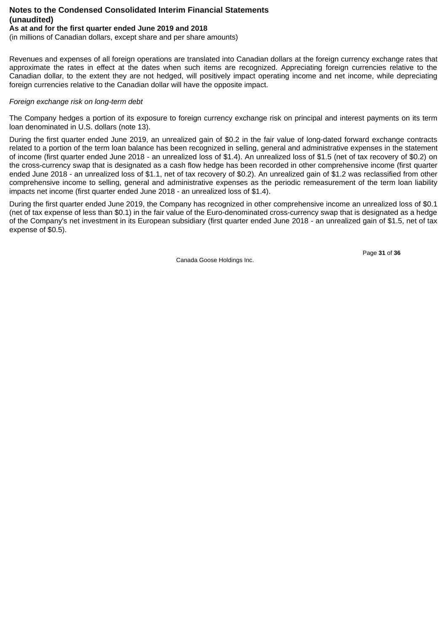#### **As at and for the first quarter ended June 2019 and 2018**

(in millions of Canadian dollars, except share and per share amounts)

Revenues and expenses of all foreign operations are translated into Canadian dollars at the foreign currency exchange rates that approximate the rates in effect at the dates when such items are recognized. Appreciating foreign currencies relative to the Canadian dollar, to the extent they are not hedged, will positively impact operating income and net income, while depreciating foreign currencies relative to the Canadian dollar will have the opposite impact.

#### *Foreign exchange risk on long-term debt*

The Company hedges a portion of its exposure to foreign currency exchange risk on principal and interest payments on its term loan denominated in U.S. dollars (note 13).

During the first quarter ended June 2019, an unrealized gain of \$0.2 in the fair value of long-dated forward exchange contracts related to a portion of the term loan balance has been recognized in selling, general and administrative expenses in the statement of income (first quarter ended June 2018 - an unrealized loss of \$1.4). An unrealized loss of \$1.5 (net of tax recovery of \$0.2) on the cross-currency swap that is designated as a cash flow hedge has been recorded in other comprehensive income (first quarter ended June 2018 - an unrealized loss of \$1.1, net of tax recovery of \$0.2). An unrealized gain of \$1.2 was reclassified from other comprehensive income to selling, general and administrative expenses as the periodic remeasurement of the term loan liability impacts net income (first quarter ended June 2018 - an unrealized loss of \$1.4).

During the first quarter ended June 2019, the Company has recognized in other comprehensive income an unrealized loss of \$0.1 (net of tax expense of less than \$0.1) in the fair value of the Euro-denominated cross-currency swap that is designated as a hedge of the Company's net investment in its European subsidiary (first quarter ended June 2018 - an unrealized gain of \$1.5, net of tax expense of \$0.5).

Canada Goose Holdings Inc.

Page **31** of **[36](#page-39-0)**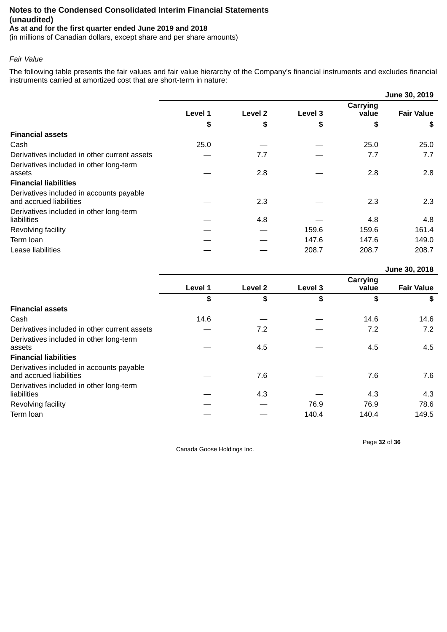### **As at and for the first quarter ended June 2019 and 2018**

(in millions of Canadian dollars, except share and per share amounts)

#### *Fair Value*

The following table presents the fair values and fair value hierarchy of the Company's financial instruments and excludes financial instruments carried at amortized cost that are short-term in nature:

|                                                                     |         |         |         |                   | June 30, 2019     |
|---------------------------------------------------------------------|---------|---------|---------|-------------------|-------------------|
|                                                                     | Level 1 | Level 2 | Level 3 | Carrying<br>value | <b>Fair Value</b> |
|                                                                     | \$      | \$      | \$      | \$                | \$                |
| <b>Financial assets</b>                                             |         |         |         |                   |                   |
| Cash                                                                | 25.0    |         |         | 25.0              | 25.0              |
| Derivatives included in other current assets                        |         | 7.7     |         | 7.7               | 7.7               |
| Derivatives included in other long-term<br>assets                   |         | 2.8     |         | 2.8               | 2.8               |
| <b>Financial liabilities</b>                                        |         |         |         |                   |                   |
| Derivatives included in accounts payable<br>and accrued liabilities |         | 2.3     |         | 2.3               | 2.3               |
| Derivatives included in other long-term<br>liabilities              |         | 4.8     |         | 4.8               | 4.8               |
| Revolving facility                                                  |         |         | 159.6   | 159.6             | 161.4             |
| Term Ioan                                                           |         |         | 147.6   | 147.6             | 149.0             |
| Lease liabilities                                                   |         |         | 208.7   | 208.7             | 208.7             |

|                                                                     |         |         |         |                   | June 30, 2018     |
|---------------------------------------------------------------------|---------|---------|---------|-------------------|-------------------|
|                                                                     | Level 1 | Level 2 | Level 3 | Carrying<br>value | <b>Fair Value</b> |
|                                                                     | \$      | \$      | \$      | \$                | \$                |
| <b>Financial assets</b>                                             |         |         |         |                   |                   |
| Cash                                                                | 14.6    |         |         | 14.6              | 14.6              |
| Derivatives included in other current assets                        |         | 7.2     |         | 7.2               | 7.2               |
| Derivatives included in other long-term<br>assets                   |         | 4.5     |         | 4.5               | 4.5               |
| <b>Financial liabilities</b>                                        |         |         |         |                   |                   |
| Derivatives included in accounts payable<br>and accrued liabilities |         | 7.6     |         | 7.6               | 7.6               |
| Derivatives included in other long-term<br>liabilities              |         | 4.3     |         | 4.3               | 4.3               |
| Revolving facility                                                  |         |         | 76.9    | 76.9              | 78.6              |
| Term Ioan                                                           |         |         | 140.4   | 140.4             | 149.5             |

Canada Goose Holdings Inc.

Page **32** of **[36](#page-39-0)**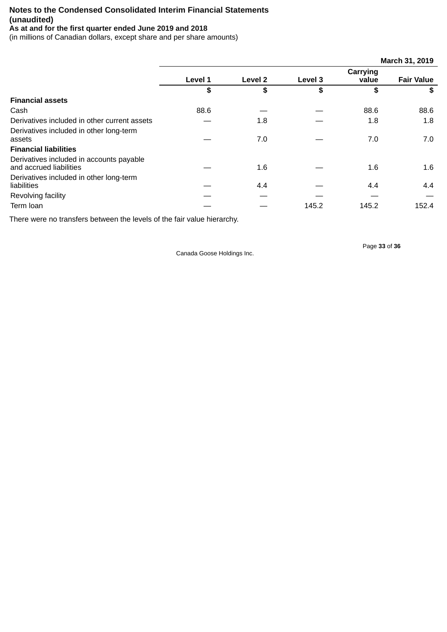# **As at and for the first quarter ended June 2019 and 2018**

(in millions of Canadian dollars, except share and per share amounts)

|                                                                     |         |         |         |                   | March 31, 2019    |
|---------------------------------------------------------------------|---------|---------|---------|-------------------|-------------------|
|                                                                     | Level 1 | Level 2 | Level 3 | Carrying<br>value | <b>Fair Value</b> |
|                                                                     | \$      | \$      | \$      | \$                | \$                |
| <b>Financial assets</b>                                             |         |         |         |                   |                   |
| Cash                                                                | 88.6    |         |         | 88.6              | 88.6              |
| Derivatives included in other current assets                        |         | 1.8     |         | 1.8               | 1.8               |
| Derivatives included in other long-term<br>assets                   |         | 7.0     |         | 7.0               | 7.0               |
| <b>Financial liabilities</b>                                        |         |         |         |                   |                   |
| Derivatives included in accounts payable<br>and accrued liabilities |         | 1.6     |         | 1.6               | $1.6\,$           |
| Derivatives included in other long-term<br>liabilities              |         | 4.4     |         | 4.4               | 4.4               |
| Revolving facility                                                  |         |         |         |                   |                   |
| Term Ioan                                                           |         |         | 145.2   | 145.2             | 152.4             |

There were no transfers between the levels of the fair value hierarchy.

Canada Goose Holdings Inc.

Page **33** of **[36](#page-39-0)**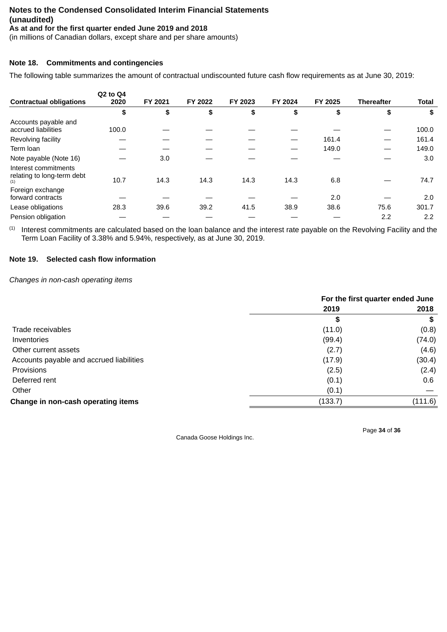# **As at and for the first quarter ended June 2019 and 2018**

(in millions of Canadian dollars, except share and per share amounts)

# **Note 18. Commitments and contingencies**

The following table summarizes the amount of contractual undiscounted future cash flow requirements as at June 30, 2019:

|                                                           | Q2 to Q4 |         |         |         |         |                |                   |              |
|-----------------------------------------------------------|----------|---------|---------|---------|---------|----------------|-------------------|--------------|
| <b>Contractual obligations</b>                            | 2020     | FY 2021 | FY 2022 | FY 2023 | FY 2024 | <b>FY 2025</b> | <b>Thereafter</b> | <b>Total</b> |
|                                                           | \$       | \$      | \$      | \$      | \$      | \$             | \$                | \$           |
| Accounts payable and<br>accrued liabilities               | 100.0    |         |         |         |         |                |                   | 100.0        |
| Revolving facility                                        |          |         |         |         |         | 161.4          |                   | 161.4        |
| Term Ioan                                                 |          |         |         |         |         | 149.0          |                   | 149.0        |
| Note payable (Note 16)                                    |          | 3.0     |         |         |         |                |                   | 3.0          |
| Interest commitments<br>relating to long-term debt<br>(1) | 10.7     | 14.3    | 14.3    | 14.3    | 14.3    | 6.8            |                   | 74.7         |
| Foreign exchange<br>forward contracts                     |          |         |         |         |         | 2.0            |                   | 2.0          |
| Lease obligations                                         | 28.3     | 39.6    | 39.2    | 41.5    | 38.9    | 38.6           | 75.6              | 301.7        |
| Pension obligation                                        |          |         |         |         |         |                | 2.2               | 2.2          |

(1) Interest commitments are calculated based on the loan balance and the interest rate payable on the Revolving Facility and the Term Loan Facility of 3.38% and 5.94%, respectively, as at June 30, 2019.

# **Note 19. Selected cash flow information**

*Changes in non-cash operating items*

|                                          | For the first quarter ended June |         |  |
|------------------------------------------|----------------------------------|---------|--|
|                                          | 2019                             | 2018    |  |
|                                          |                                  | \$      |  |
| Trade receivables                        | (11.0)                           | (0.8)   |  |
| Inventories                              | (99.4)                           | (74.0)  |  |
| Other current assets                     | (2.7)                            | (4.6)   |  |
| Accounts payable and accrued liabilities | (17.9)                           | (30.4)  |  |
| Provisions                               | (2.5)                            | (2.4)   |  |
| Deferred rent                            | (0.1)                            | 0.6     |  |
| Other                                    | (0.1)                            |         |  |
| Change in non-cash operating items       | (133.7)                          | (111.6) |  |

Canada Goose Holdings Inc.

Page **34** of **[36](#page-39-0)**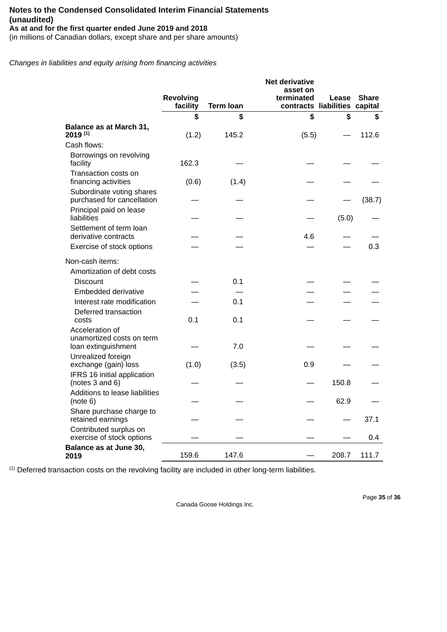**As at and for the first quarter ended June 2019 and 2018**

(in millions of Canadian dollars, except share and per share amounts)

*Changes in liabilities and equity arising from financing activities*

|                                                                           | <b>Revolving</b><br>facility | <b>Term loan</b> | <b>Net derivative</b><br>asset on<br>terminated<br>contracts liabilities capital | Lease | <b>Share</b> |
|---------------------------------------------------------------------------|------------------------------|------------------|----------------------------------------------------------------------------------|-------|--------------|
|                                                                           | \$                           | \$               | \$                                                                               | \$    | \$           |
| Balance as at March 31,<br>2019 (1)                                       | (1.2)                        | 145.2            | (5.5)                                                                            |       | 112.6        |
| Cash flows:                                                               |                              |                  |                                                                                  |       |              |
| Borrowings on revolving<br>facility                                       | 162.3                        |                  |                                                                                  |       |              |
| Transaction costs on<br>financing activities<br>Subordinate voting shares | (0.6)                        | (1.4)            |                                                                                  |       |              |
| purchased for cancellation                                                |                              |                  |                                                                                  |       | (38.7)       |
| Principal paid on lease<br>liabilities                                    |                              |                  |                                                                                  | (5.0) |              |
| Settlement of term loan<br>derivative contracts                           |                              |                  | 4.6                                                                              |       |              |
| Exercise of stock options                                                 |                              |                  |                                                                                  |       | 0.3          |
| Non-cash items:<br>Amortization of debt costs                             |                              |                  |                                                                                  |       |              |
| <b>Discount</b>                                                           |                              | 0.1              |                                                                                  |       |              |
| Embedded derivative                                                       |                              |                  |                                                                                  |       |              |
| Interest rate modification                                                |                              | 0.1              |                                                                                  |       |              |
| Deferred transaction<br>costs                                             | 0.1                          | 0.1              |                                                                                  |       |              |
| Acceleration of<br>unamortized costs on term<br>loan extinguishment       |                              | 7.0              |                                                                                  |       |              |
| Unrealized foreign                                                        |                              |                  |                                                                                  |       |              |
| exchange (gain) loss                                                      | (1.0)                        | (3.5)            | 0.9                                                                              |       |              |
| IFRS 16 initial application<br>(notes $3$ and $6$ )                       |                              |                  |                                                                                  | 150.8 |              |
| Additions to lease liabilities<br>(note 6)                                |                              |                  |                                                                                  | 62.9  |              |
| Share purchase charge to<br>retained earnings                             |                              |                  |                                                                                  |       | 37.1         |
| Contributed surplus on<br>exercise of stock options                       |                              |                  |                                                                                  |       | 0.4          |
| Balance as at June 30,<br>2019                                            | 159.6                        | 147.6            |                                                                                  | 208.7 | 111.7        |

(1) Deferred transaction costs on the revolving facility are included in other long-term liabilities.

Canada Goose Holdings Inc.

Page **35** of **[36](#page-39-0)**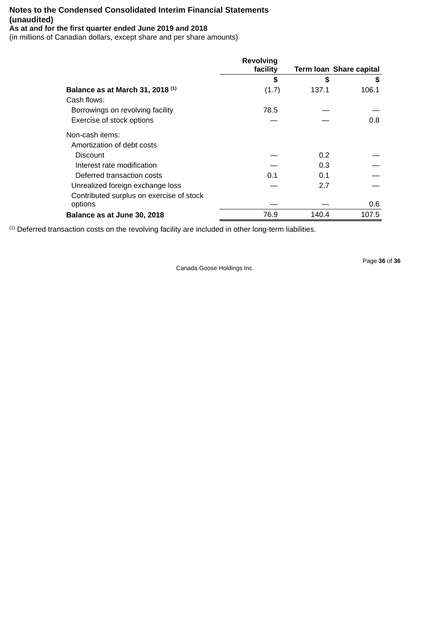# **As at and for the first quarter ended June 2019 and 2018**

(in millions of Canadian dollars, except share and per share amounts)

|                                             | Revolving |       |                         |
|---------------------------------------------|-----------|-------|-------------------------|
|                                             | facility  |       | Term Ioan Share capital |
|                                             | \$        | \$    | \$                      |
| Balance as at March 31, 2018 <sup>(1)</sup> | (1.7)     | 137.1 | 106.1                   |
| Cash flows:                                 |           |       |                         |
| Borrowings on revolving facility            | 78.5      |       |                         |
| Exercise of stock options                   |           |       | 0.8                     |
| Non-cash items:                             |           |       |                         |
| Amortization of debt costs                  |           |       |                         |
| <b>Discount</b>                             |           | 0.2   |                         |
| Interest rate modification                  |           | 0.3   |                         |
| Deferred transaction costs                  | 0.1       | 0.1   |                         |
| Unrealized foreign exchange loss            |           | 2.7   |                         |
| Contributed surplus on exercise of stock    |           |       |                         |
| options                                     |           |       | 0.6                     |
| Balance as at June 30, 2018                 | 76.9      | 140.4 | 107.5                   |

<span id="page-39-0"></span> $(1)$  Deferred transaction costs on the revolving facility are included in other long-term liabilities.

Canada Goose Holdings Inc.

Page **36** of **[36](#page-39-0)**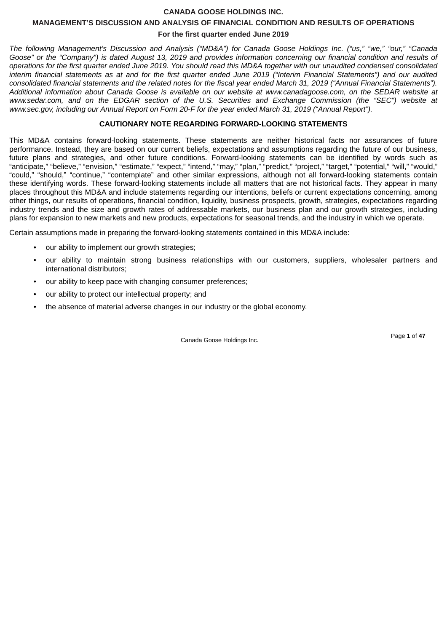# **CANADA GOOSE HOLDINGS INC.**

# **MANAGEMENT'S DISCUSSION AND ANALYSIS OF FINANCIAL CONDITION AND RESULTS OF OPERATIONS**

# **For the first quarter ended June 2019**

The following Management's Discussion and Analysis ("MD&A") for Canada Goose Holdings Inc. ("us." "we." "our." "Canada Goose" or the "Company") is dated August 13, 2019 and provides information concerning our financial condition and results of operations for the first quarter ended June 2019. You should read this MD&A together with our unaudited condensed consolidated interim financial statements as at and for the first quarter ended June 2019 ("Interim Financial Statements") and our audited consolidated financial statements and the related notes for the fiscal year ended March 31, 2019 ("Annual Financial Statements"). Additional information about Canada Goose is available on our website at www.canadagoose.com, on the SEDAR website at www.sedar.com, and on the EDGAR section of the U.S. Securities and Exchange Commission (the "SEC") website at www.sec.gov, including our Annual Report on Form 20-F for the year ended March 31, 2019 ("Annual Report").

### **CAUTIONARY NOTE REGARDING FORWARD‑LOOKING STATEMENTS**

This MD&A contains forward-looking statements. These statements are neither historical facts nor assurances of future performance. Instead, they are based on our current beliefs, expectations and assumptions regarding the future of our business, future plans and strategies, and other future conditions. Forward-looking statements can be identified by words such as "anticipate," "believe," "envision," "estimate," "expect," "intend," "may," "plan," "predict," "project," "target," "potential," "will," "would," "could," "should," "continue," "contemplate" and other similar expressions, although not all forward-looking statements contain these identifying words. These forward-looking statements include all matters that are not historical facts. They appear in many places throughout this MD&A and include statements regarding our intentions, beliefs or current expectations concerning, among other things, our results of operations, financial condition, liquidity, business prospects, growth, strategies, expectations regarding industry trends and the size and growth rates of addressable markets, our business plan and our growth strategies, including plans for expansion to new markets and new products, expectations for seasonal trends, and the industry in which we operate.

Certain assumptions made in preparing the forward-looking statements contained in this MD&A include:

- our ability to implement our growth strategies;
- our ability to maintain strong business relationships with our customers, suppliers, wholesaler partners and international distributors;
- our ability to keep pace with changing consumer preferences;
- our ability to protect our intellectual property; and
- the absence of material adverse changes in our industry or the global economy.

Canada Goose Holdings Inc. Page 1 of [47](#page-86-0)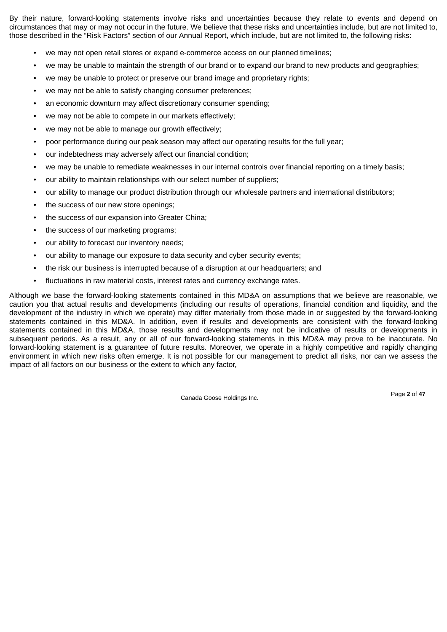By their nature, forward-looking statements involve risks and uncertainties because they relate to events and depend on circumstances that may or may not occur in the future. We believe that these risks and uncertainties include, but are not limited to, those described in the "Risk Factors" section of our Annual Report, which include, but are not limited to, the following risks:

- we may not open retail stores or expand e-commerce access on our planned timelines;
- we may be unable to maintain the strength of our brand or to expand our brand to new products and geographies;
- we may be unable to protect or preserve our brand image and proprietary rights;
- we may not be able to satisfy changing consumer preferences;
- an economic downturn may affect discretionary consumer spending;
- we may not be able to compete in our markets effectively;
- we may not be able to manage our growth effectively;
- poor performance during our peak season may affect our operating results for the full year;
- our indebtedness may adversely affect our financial condition;
- we may be unable to remediate weaknesses in our internal controls over financial reporting on a timely basis;
- our ability to maintain relationships with our select number of suppliers;
- our ability to manage our product distribution through our wholesale partners and international distributors;
- the success of our new store openings;
- the success of our expansion into Greater China;
- the success of our marketing programs;
- our ability to forecast our inventory needs:
- our ability to manage our exposure to data security and cyber security events;
- the risk our business is interrupted because of a disruption at our headquarters; and
- fluctuations in raw material costs, interest rates and currency exchange rates.

Although we base the forward-looking statements contained in this MD&A on assumptions that we believe are reasonable, we caution you that actual results and developments (including our results of operations, financial condition and liquidity, and the development of the industry in which we operate) may differ materially from those made in or suggested by the forward-looking statements contained in this MD&A. In addition, even if results and developments are consistent with the forward-looking statements contained in this MD&A, those results and developments may not be indicative of results or developments in subsequent periods. As a result, any or all of our forward-looking statements in this MD&A may prove to be inaccurate. No forward-looking statement is a guarantee of future results. Moreover, we operate in a highly competitive and rapidly changing environment in which new risks often emerge. It is not possible for our management to predict all risks, nor can we assess the impact of all factors on our business or the extent to which any factor,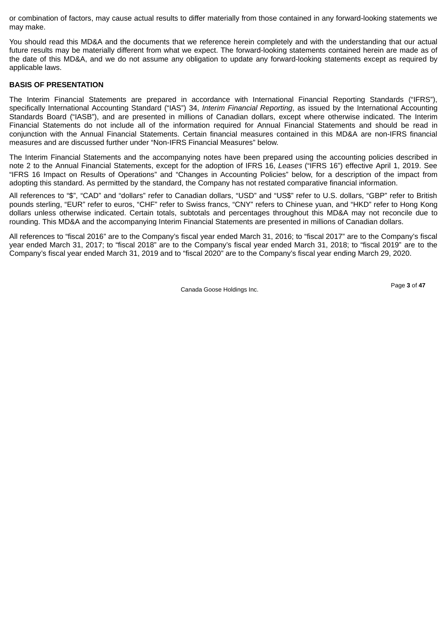or combination of factors, may cause actual results to differ materially from those contained in any forward-looking statements we may make.

You should read this MD&A and the documents that we reference herein completely and with the understanding that our actual future results may be materially different from what we expect. The forward-looking statements contained herein are made as of the date of this MD&A, and we do not assume any obligation to update any forward-looking statements except as required by applicable laws.

### **BASIS OF PRESENTATION**

The Interim Financial Statements are prepared in accordance with International Financial Reporting Standards ("IFRS"), specifically International Accounting Standard ("IAS") 34, *Interim Financial Reporting*, as issued by the International Accounting Standards Board ("IASB"), and are presented in millions of Canadian dollars, except where otherwise indicated. The Interim Financial Statements do not include all of the information required for Annual Financial Statements and should be read in conjunction with the Annual Financial Statements. Certain financial measures contained in this MD&A are non-IFRS financial measures and are discussed further under "Non-IFRS Financial Measures" below.

The Interim Financial Statements and the accompanying notes have been prepared using the accounting policies described in note 2 to the Annual Financial Statements, except for the adoption of IFRS 16, *Leases* ("IFRS 16") effective April 1, 2019. See "IFRS 16 Impact on Results of Operations" and "Changes in Accounting Policies" below, for a description of the impact from adopting this standard. As permitted by the standard, the Company has not restated comparative financial information.

All references to "\$", "CAD" and "dollars" refer to Canadian dollars, "USD" and "US\$" refer to U.S. dollars, "GBP" refer to British pounds sterling, "EUR" refer to euros, "CHF" refer to Swiss francs, "CNY" refers to Chinese yuan, and "HKD" refer to Hong Kong dollars unless otherwise indicated. Certain totals, subtotals and percentages throughout this MD&A may not reconcile due to rounding. This MD&A and the accompanying Interim Financial Statements are presented in millions of Canadian dollars.

All references to "fiscal 2016" are to the Company's fiscal year ended March 31, 2016; to "fiscal 2017" are to the Company's fiscal year ended March 31, 2017; to "fiscal 2018" are to the Company's fiscal year ended March 31, 2018; to "fiscal 2019" are to the Company's fiscal year ended March 31, 2019 and to "fiscal 2020" are to the Company's fiscal year ending March 29, 2020.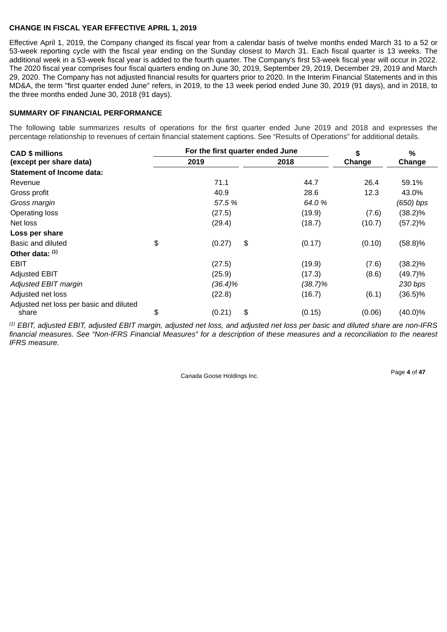# **CHANGE IN FISCAL YEAR EFFECTIVE APRIL 1, 2019**

Effective April 1, 2019, the Company changed its fiscal year from a calendar basis of twelve months ended March 31 to a 52 or 53-week reporting cycle with the fiscal year ending on the Sunday closest to March 31. Each fiscal quarter is 13 weeks. The additional week in a 53-week fiscal year is added to the fourth quarter. The Company's first 53-week fiscal year will occur in 2022. The 2020 fiscal year comprises four fiscal quarters ending on June 30, 2019, September 29, 2019, December 29, 2019 and March 29, 2020. The Company has not adjusted financial results for quarters prior to 2020. In the Interim Financial Statements and in this MD&A, the term "first quarter ended June" refers, in 2019, to the 13 week period ended June 30, 2019 (91 days), and in 2018, to the three months ended June 30, 2018 (91 days).

# **SUMMARY OF FINANCIAL PERFORMANCE**

The following table summarizes results of operations for the first quarter ended June 2019 and 2018 and expresses the percentage relationship to revenues of certain financial statement captions. See "Results of Operations" for additional details.

| <b>CAD \$ millions</b>                  | For the first quarter ended June | \$           | $\%$   |            |
|-----------------------------------------|----------------------------------|--------------|--------|------------|
| (except per share data)                 | 2019                             | 2018         | Change | Change     |
| <b>Statement of Income data:</b>        |                                  |              |        |            |
| Revenue                                 | 71.1                             | 44.7         | 26.4   | 59.1%      |
| Gross profit                            | 40.9                             | 28.6         | 12.3   | 43.0%      |
| Gross margin                            | 57.5 %                           | 64.0%        |        | (650) bps  |
| Operating loss                          | (27.5)                           | (19.9)       | (7.6)  | $(38.2)\%$ |
| Net loss                                | (29.4)                           | (18.7)       | (10.7) | $(57.2)\%$ |
| Loss per share                          |                                  |              |        |            |
| Basic and diluted                       | \$<br>(0.27)                     | \$<br>(0.17) | (0.10) | $(58.8)\%$ |
| Other data: $(1)$                       |                                  |              |        |            |
| <b>EBIT</b>                             | (27.5)                           | (19.9)       | (7.6)  | $(38.2)\%$ |
| <b>Adjusted EBIT</b>                    | (25.9)                           | (17.3)       | (8.6)  | $(49.7)\%$ |
| Adjusted EBIT margin                    | $(36.4)\%$                       | $(38.7)\%$   |        | 230 bps    |
| Adjusted net loss                       | (22.8)                           | (16.7)       | (6.1)  | $(36.5)\%$ |
| Adjusted net loss per basic and diluted |                                  |              |        |            |
| share                                   | \$<br>(0.21)                     | \$<br>(0.15) | (0.06) | $(40.0)\%$ |

<sup>(1)</sup> EBIT, adjusted EBIT, adjusted EBIT margin, adjusted net loss, and adjusted net loss per basic and diluted share are non-IFRS financial measures. See "Non-IFRS Financial Measures" for a description of these measures and a reconciliation to the nearest *IFRS measure.*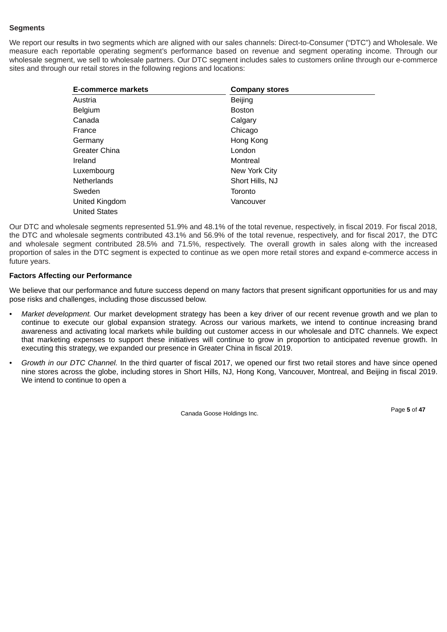# **Segments**

We report our results in two segments which are aligned with our sales channels: Direct-to-Consumer ("DTC") and Wholesale. We measure each reportable operating segment's performance based on revenue and segment operating income. Through our wholesale segment, we sell to wholesale partners. Our DTC segment includes sales to customers online through our e-commerce sites and through our retail stores in the following regions and locations:

| <b>E-commerce markets</b> | <b>Company stores</b> |  |
|---------------------------|-----------------------|--|
| Austria                   | <b>Beijing</b>        |  |
| <b>Belgium</b>            | <b>Boston</b>         |  |
| Canada                    | Calgary               |  |
| France                    | Chicago               |  |
| Germany                   | Hong Kong             |  |
| <b>Greater China</b>      | London                |  |
| Ireland                   | Montreal              |  |
| Luxembourg                | New York City         |  |
| <b>Netherlands</b>        | Short Hills, NJ       |  |
| Sweden                    | Toronto               |  |
| United Kingdom            | Vancouver             |  |
| <b>United States</b>      |                       |  |

Our DTC and wholesale segments represented 51.9% and 48.1% of the total revenue, respectively, in fiscal 2019. For fiscal 2018, the DTC and wholesale segments contributed 43.1% and 56.9% of the total revenue, respectively, and for fiscal 2017, the DTC and wholesale segment contributed 28.5% and 71.5%, respectively. The overall growth in sales along with the increased proportion of sales in the DTC segment is expected to continue as we open more retail stores and expand e-commerce access in future years.

# **Factors Affecting our Performance**

We believe that our performance and future success depend on many factors that present significant opportunities for us and may pose risks and challenges, including those discussed below.

- *• Market development.* Our market development strategy has been a key driver of our recent revenue growth and we plan to continue to execute our global expansion strategy. Across our various markets, we intend to continue increasing brand awareness and activating local markets while building out customer access in our wholesale and DTC channels. We expect that marketing expenses to support these initiatives will continue to grow in proportion to anticipated revenue growth. In executing this strategy, we expanded our presence in Greater China in fiscal 2019.
- *• Growth in our DTC Channel.* In the third quarter of fiscal 2017, we opened our first two retail stores and have since opened nine stores across the globe, including stores in Short Hills, NJ, Hong Kong, Vancouver, Montreal, and Beijing in fiscal 2019. We intend to continue to open a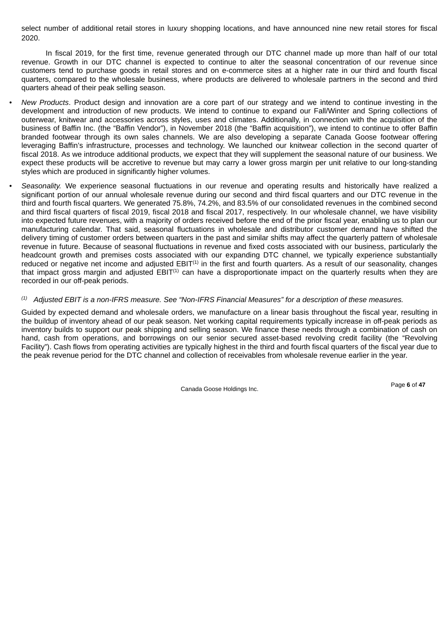select number of additional retail stores in luxury shopping locations, and have announced nine new retail stores for fiscal 2020.

In fiscal 2019, for the first time, revenue generated through our DTC channel made up more than half of our total revenue. Growth in our DTC channel is expected to continue to alter the seasonal concentration of our revenue since customers tend to purchase goods in retail stores and on e-commerce sites at a higher rate in our third and fourth fiscal quarters, compared to the wholesale business, where products are delivered to wholesale partners in the second and third quarters ahead of their peak selling season.

- *New Products*. Product design and innovation are a core part of our strategy and we intend to continue investing in the development and introduction of new products. We intend to continue to expand our Fall/Winter and Spring collections of outerwear, knitwear and accessories across styles, uses and climates. Additionally, in connection with the acquisition of the business of Baffin Inc. (the "Baffin Vendor"), in November 2018 (the "Baffin acquisition"), we intend to continue to offer Baffin branded footwear through its own sales channels. We are also developing a separate Canada Goose footwear offering leveraging Baffin's infrastructure, processes and technology. We launched our knitwear collection in the second quarter of fiscal 2018. As we introduce additional products, we expect that they will supplement the seasonal nature of our business. We expect these products will be accretive to revenue but may carry a lower gross margin per unit relative to our long-standing styles which are produced in significantly higher volumes.
- *Seasonality.* We experience seasonal fluctuations in our revenue and operating results and historically have realized a significant portion of our annual wholesale revenue during our second and third fiscal quarters and our DTC revenue in the third and fourth fiscal quarters. We generated 75.8%, 74.2%, and 83.5% of our consolidated revenues in the combined second and third fiscal quarters of fiscal 2019, fiscal 2018 and fiscal 2017, respectively. In our wholesale channel, we have visibility into expected future revenues, with a majority of orders received before the end of the prior fiscal year, enabling us to plan our manufacturing calendar. That said, seasonal fluctuations in wholesale and distributor customer demand have shifted the delivery timing of customer orders between quarters in the past and similar shifts may affect the quarterly pattern of wholesale revenue in future. Because of seasonal fluctuations in revenue and fixed costs associated with our business, particularly the headcount growth and premises costs associated with our expanding DTC channel, we typically experience substantially reduced or negative net income and adjusted EBIT $^{(1)}$  in the first and fourth quarters. As a result of our seasonality, changes that impact gross margin and adjusted EBIT<sup>(1)</sup> can have a disproportionate impact on the quarterly results when they are recorded in our off-peak periods.

# $^{(1)}$  Adjusted EBIT is a non-IFRS measure. See "Non-IFRS Financial Measures" for a description of these measures.

Guided by expected demand and wholesale orders, we manufacture on a linear basis throughout the fiscal year, resulting in the buildup of inventory ahead of our peak season. Net working capital requirements typically increase in off-peak periods as inventory builds to support our peak shipping and selling season. We finance these needs through a combination of cash on hand, cash from operations, and borrowings on our senior secured asset-based revolving credit facility (the "Revolving Facility"). Cash flows from operating activities are typically highest in the third and fourth fiscal quarters of the fiscal year due to the peak revenue period for the DTC channel and collection of receivables from wholesale revenue earlier in the year.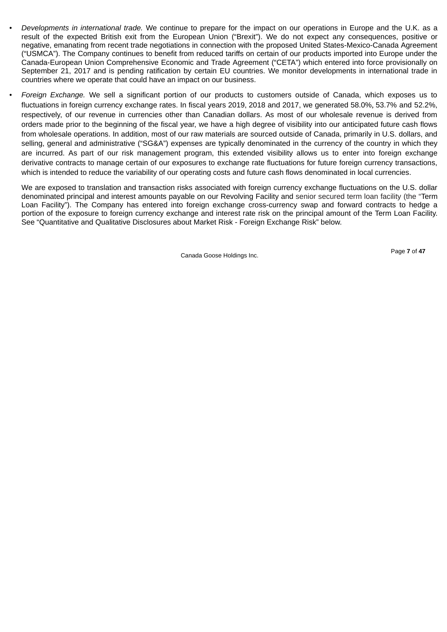- *• Developments in international trade.* We continue to prepare for the impact on our operations in Europe and the U.K. as a result of the expected British exit from the European Union ("Brexit"). We do not expect any consequences, positive or negative, emanating from recent trade negotiations in connection with the proposed United States-Mexico-Canada Agreement ("USMCA"). The Company continues to benefit from reduced tariffs on certain of our products imported into Europe under the Canada-European Union Comprehensive Economic and Trade Agreement ("CETA") which entered into force provisionally on September 21, 2017 and is pending ratification by certain EU countries. We monitor developments in international trade in countries where we operate that could have an impact on our business.
- *• Foreign Exchange.* We sell a significant portion of our products to customers outside of Canada, which exposes us to fluctuations in foreign currency exchange rates. In fiscal years 2019, 2018 and 2017, we generated 58.0%, 53.7% and 52.2%, respectively, of our revenue in currencies other than Canadian dollars. As most of our wholesale revenue is derived from orders made prior to the beginning of the fiscal year, we have a high degree of visibility into our anticipated future cash flows from wholesale operations. In addition, most of our raw materials are sourced outside of Canada, primarily in U.S. dollars, and selling, general and administrative ("SG&A") expenses are typically denominated in the currency of the country in which they are incurred. As part of our risk management program, this extended visibility allows us to enter into foreign exchange derivative contracts to manage certain of our exposures to exchange rate fluctuations for future foreign currency transactions, which is intended to reduce the variability of our operating costs and future cash flows denominated in local currencies.

We are exposed to translation and transaction risks associated with foreign currency exchange fluctuations on the U.S. dollar denominated principal and interest amounts payable on our Revolving Facility and senior secured term loan facility (the "Term Loan Facility"). The Company has entered into foreign exchange cross-currency swap and forward contracts to hedge a portion of the exposure to foreign currency exchange and interest rate risk on the principal amount of the Term Loan Facility. See "Quantitative and Qualitative Disclosures about Market Risk - Foreign Exchange Risk" below.

Canada Goose Holdings Inc. Page 7 of [47](#page-86-0)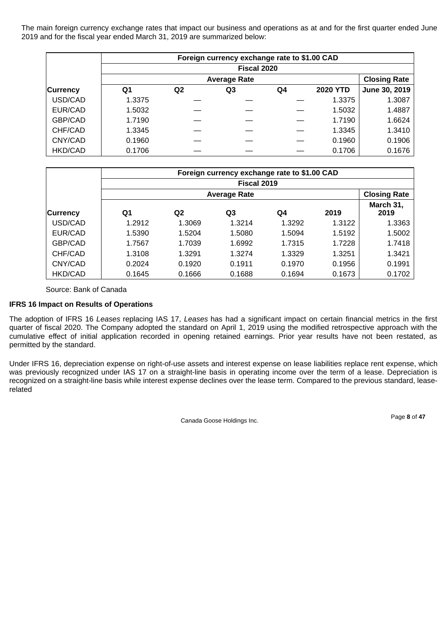The main foreign currency exchange rates that impact our business and operations as at and for the first quarter ended June 2019 and for the fiscal year ended March 31, 2019 are summarized below:

|                |                                            | Foreign currency exchange rate to \$1.00 CAD |                |    |                 |               |  |  |  |  |  |  |  |
|----------------|--------------------------------------------|----------------------------------------------|----------------|----|-----------------|---------------|--|--|--|--|--|--|--|
|                |                                            | Fiscal 2020                                  |                |    |                 |               |  |  |  |  |  |  |  |
|                | <b>Closing Rate</b><br><b>Average Rate</b> |                                              |                |    |                 |               |  |  |  |  |  |  |  |
| Currency       | Q1                                         | Q <sub>2</sub>                               | Q <sub>3</sub> | Q4 | <b>2020 YTD</b> | June 30, 2019 |  |  |  |  |  |  |  |
| USD/CAD        | 1.3375                                     |                                              |                |    | 1.3375          | 1.3087        |  |  |  |  |  |  |  |
| EUR/CAD        | 1.5032                                     |                                              |                |    | 1.5032          | 1.4887        |  |  |  |  |  |  |  |
| GBP/CAD        | 1.7190                                     |                                              |                |    | 1.7190          | 1.6624        |  |  |  |  |  |  |  |
| CHF/CAD        | 1.3345                                     |                                              |                |    | 1.3345          | 1.3410        |  |  |  |  |  |  |  |
| CNY/CAD        | 0.1960                                     |                                              |                |    | 0.1960          | 0.1906        |  |  |  |  |  |  |  |
| <b>HKD/CAD</b> | 0.1706                                     |                                              |                |    | 0.1706          | 0.1676        |  |  |  |  |  |  |  |

|                 |        |                | Foreign currency exchange rate to \$1.00 CAD |        |        |                     |  |  |  |  |  |  |  |
|-----------------|--------|----------------|----------------------------------------------|--------|--------|---------------------|--|--|--|--|--|--|--|
|                 |        | Fiscal 2019    |                                              |        |        |                     |  |  |  |  |  |  |  |
|                 |        |                | <b>Average Rate</b>                          |        |        | <b>Closing Rate</b> |  |  |  |  |  |  |  |
| <b>Currency</b> | Q1     | Q <sub>2</sub> | Q <sub>3</sub>                               | Q4     | 2019   | March 31,<br>2019   |  |  |  |  |  |  |  |
| USD/CAD         | 1.2912 | 1.3069         | 1.3214                                       | 1.3292 | 1.3122 | 1.3363              |  |  |  |  |  |  |  |
| EUR/CAD         | 1.5390 | 1.5204         | 1.5080                                       | 1.5094 | 1.5192 | 1.5002              |  |  |  |  |  |  |  |
| GBP/CAD         | 1.7567 | 1.7039         | 1.6992                                       | 1.7315 | 1.7228 | 1.7418              |  |  |  |  |  |  |  |
| CHF/CAD         | 1.3108 | 1.3291         | 1.3274                                       | 1.3329 | 1.3251 | 1.3421              |  |  |  |  |  |  |  |
| CNY/CAD         | 0.2024 | 0.1920         | 0.1911                                       | 0.1970 | 0.1956 | 0.1991              |  |  |  |  |  |  |  |
| <b>HKD/CAD</b>  | 0.1645 | 0.1666         | 0.1688                                       | 0.1694 | 0.1673 | 0.1702              |  |  |  |  |  |  |  |

Source: Bank of Canada

# **IFRS 16 Impact on Results of Operations**

The adoption of IFRS 16 *Leases* replacing IAS 17, *Leases* has had a significant impact on certain financial metrics in the first quarter of fiscal 2020. The Company adopted the standard on April 1, 2019 using the modified retrospective approach with the cumulative effect of initial application recorded in opening retained earnings. Prior year results have not been restated, as permitted by the standard.

Under IFRS 16, depreciation expense on right-of-use assets and interest expense on lease liabilities replace rent expense, which was previously recognized under IAS 17 on a straight-line basis in operating income over the term of a lease. Depreciation is recognized on a straight-line basis while interest expense declines over the lease term. Compared to the previous standard, leaserelated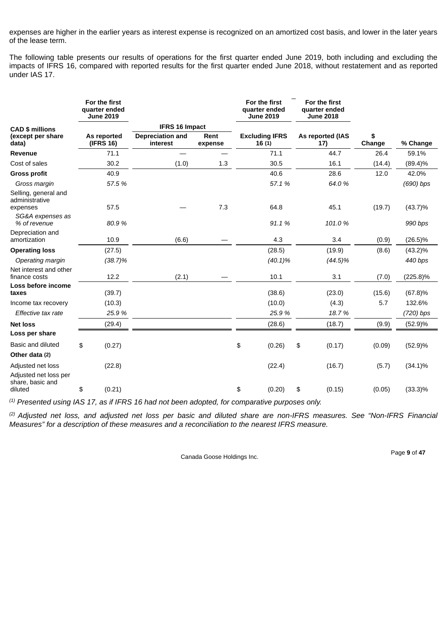expenses are higher in the earlier years as interest expense is recognized on an amortized cost basis, and lower in the later years of the lease term.

The following table presents our results of operations for the first quarter ended June 2019, both including and excluding the impacts of IFRS 16, compared with reported results for the first quarter ended June 2018, without restatement and as reported under IAS 17.

|                                                                        | For the first<br>quarter ended<br><b>June 2019</b> |                                                       |                 | For the first<br>quarter ended<br><b>June 2019</b> | For the first<br>quarter ended<br><b>June 2018</b> |              |             |
|------------------------------------------------------------------------|----------------------------------------------------|-------------------------------------------------------|-----------------|----------------------------------------------------|----------------------------------------------------|--------------|-------------|
| <b>CAD \$ millions</b><br>(except per share<br>data)                   | As reported<br>(IFRS 16)                           | <b>IFRS 16 Impact</b><br>Depreciation and<br>interest | Rent<br>expense | <b>Excluding IFRS</b><br>16(1)                     | As reported (IAS<br>17)                            | \$<br>Change | % Change    |
| Revenue                                                                | 71.1                                               |                                                       |                 | 71.1                                               | 44.7                                               | 26.4         | 59.1%       |
| Cost of sales                                                          | 30.2                                               | (1.0)                                                 | 1.3             | 30.5                                               | 16.1                                               | (14.4)       | $(89.4)\%$  |
| <b>Gross profit</b>                                                    | 40.9                                               |                                                       |                 | 40.6                                               | 28.6                                               | 12.0         | 42.0%       |
| Gross margin                                                           | 57.5 %                                             |                                                       |                 | 57.1 %                                             | 64.0%                                              |              | (690) bps   |
| Selling, general and<br>administrative<br>expenses<br>SG&A expenses as | 57.5                                               |                                                       | 7.3             | 64.8                                               | 45.1                                               | (19.7)       | $(43.7)\%$  |
| % of revenue                                                           | 80.9%                                              |                                                       |                 | 91.1%                                              | 101.0%                                             |              | 990 bps     |
| Depreciation and<br>amortization                                       | 10.9                                               | (6.6)                                                 |                 | 4.3                                                | 3.4                                                | (0.9)        | $(26.5)\%$  |
| <b>Operating loss</b>                                                  | (27.5)                                             |                                                       |                 | (28.5)                                             | (19.9)                                             | (8.6)        | $(43.2)\%$  |
| Operating margin                                                       | $(38.7)\%$                                         |                                                       |                 | $(40.1)\%$                                         | $(44.5)\%$                                         |              | 440 bps     |
| Net interest and other<br>finance costs                                | 12.2                                               | (2.1)                                                 |                 | 10.1                                               | 3.1                                                | (7.0)        | $(225.8)\%$ |
| Loss before income<br>taxes                                            | (39.7)                                             |                                                       |                 | (38.6)                                             | (23.0)                                             | (15.6)       | (67.8)%     |
| Income tax recovery                                                    | (10.3)                                             |                                                       |                 | (10.0)                                             | (4.3)                                              | 5.7          | 132.6%      |
| Effective tax rate                                                     | 25.9%                                              |                                                       |                 | 25.9%                                              | 18.7%                                              |              | (720) bps   |
| <b>Net loss</b>                                                        | (29.4)                                             |                                                       |                 | (28.6)                                             | (18.7)                                             | (9.9)        | $(52.9)\%$  |
| Loss per share                                                         |                                                    |                                                       |                 |                                                    |                                                    |              |             |
| Basic and diluted                                                      | \$<br>(0.27)                                       |                                                       |                 | \$<br>(0.26)                                       | \$<br>(0.17)                                       | (0.09)       | $(52.9)\%$  |
| Other data (2)                                                         |                                                    |                                                       |                 |                                                    |                                                    |              |             |
| Adjusted net loss                                                      | (22.8)                                             |                                                       |                 | (22.4)                                             | (16.7)                                             | (5.7)        | $(34.1)\%$  |
| Adjusted net loss per<br>share, basic and<br>diluted                   | \$<br>(0.21)                                       |                                                       |                 | \$<br>(0.20)                                       | \$<br>(0.15)                                       | (0.05)       | $(33.3)\%$  |

*(1) Presented using IAS 17, as if IFRS 16 had not been adopted, for comparative purposes only.*

(2) Adjusted net loss, and adjusted net loss per basic and diluted share are non-IFRS measures. See "Non-IFRS Financial *Measures" for a description of these measures and a reconciliation to the nearest IFRS measure.*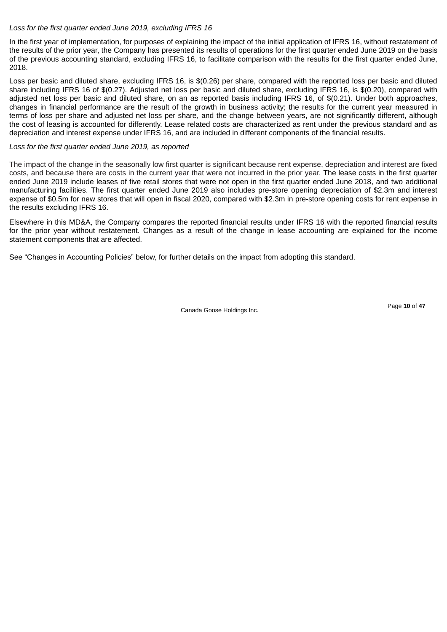# *Loss for the first quarter ended June 2019, excluding IFRS 16*

In the first year of implementation, for purposes of explaining the impact of the initial application of IFRS 16, without restatement of the results of the prior year, the Company has presented its results of operations for the first quarter ended June 2019 on the basis of the previous accounting standard, excluding IFRS 16, to facilitate comparison with the results for the first quarter ended June, 2018.

Loss per basic and diluted share, excluding IFRS 16, is \$(0.26) per share, compared with the reported loss per basic and diluted share including IFRS 16 of \$(0.27). Adjusted net loss per basic and diluted share, excluding IFRS 16, is \$(0.20), compared with adjusted net loss per basic and diluted share, on an as reported basis including IFRS 16, of \$(0.21). Under both approaches, changes in financial performance are the result of the growth in business activity; the results for the current year measured in terms of loss per share and adjusted net loss per share, and the change between years, are not significantly different, although the cost of leasing is accounted for differently. Lease related costs are characterized as rent under the previous standard and as depreciation and interest expense under IFRS 16, and are included in different components of the financial results.

# *Loss for the first quarter ended June 2019, as reported*

The impact of the change in the seasonally low first quarter is significant because rent expense, depreciation and interest are fixed costs, and because there are costs in the current year that were not incurred in the prior year. The lease costs in the first quarter ended June 2019 include leases of five retail stores that were not open in the first quarter ended June 2018, and two additional manufacturing facilities. The first quarter ended June 2019 also includes pre-store opening depreciation of \$2.3m and interest expense of \$0.5m for new stores that will open in fiscal 2020, compared with \$2.3m in pre-store opening costs for rent expense in the results excluding IFRS 16.

Elsewhere in this MD&A, the Company compares the reported financial results under IFRS 16 with the reported financial results for the prior year without restatement. Changes as a result of the change in lease accounting are explained for the income statement components that are affected.

See "Changes in Accounting Policies" below, for further details on the impact from adopting this standard.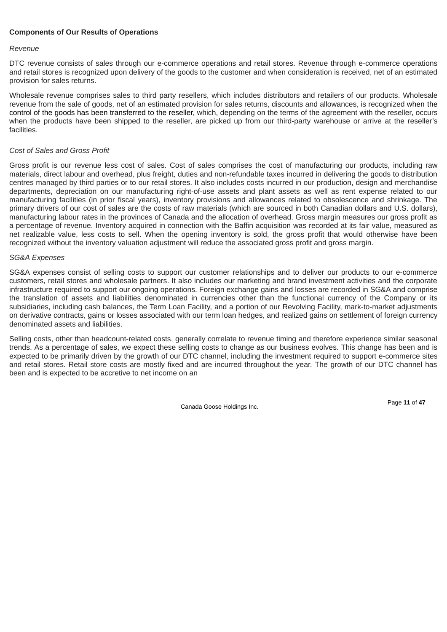# **Components of Our Results of Operations**

#### *Revenue*

DTC revenue consists of sales through our e-commerce operations and retail stores. Revenue through e-commerce operations and retail stores is recognized upon delivery of the goods to the customer and when consideration is received, net of an estimated provision for sales returns.

Wholesale revenue comprises sales to third party resellers, which includes distributors and retailers of our products. Wholesale revenue from the sale of goods, net of an estimated provision for sales returns, discounts and allowances, is recognized when the control of the goods has been transferred to the reseller, which, depending on the terms of the agreement with the reseller, occurs when the products have been shipped to the reseller, are picked up from our third-party warehouse or arrive at the reseller's facilities.

#### *Cost of Sales and Gross Profit*

Gross profit is our revenue less cost of sales. Cost of sales comprises the cost of manufacturing our products, including raw materials, direct labour and overhead, plus freight, duties and non-refundable taxes incurred in delivering the goods to distribution centres managed by third parties or to our retail stores. It also includes costs incurred in our production, design and merchandise departments, depreciation on our manufacturing right-of-use assets and plant assets as well as rent expense related to our manufacturing facilities (in prior fiscal years), inventory provisions and allowances related to obsolescence and shrinkage. The primary drivers of our cost of sales are the costs of raw materials (which are sourced in both Canadian dollars and U.S. dollars), manufacturing labour rates in the provinces of Canada and the allocation of overhead. Gross margin measures our gross profit as a percentage of revenue. Inventory acquired in connection with the Baffin acquisition was recorded at its fair value, measured as net realizable value, less costs to sell. When the opening inventory is sold, the gross profit that would otherwise have been recognized without the inventory valuation adjustment will reduce the associated gross profit and gross margin.

#### *SG&A Expenses*

SG&A expenses consist of selling costs to support our customer relationships and to deliver our products to our e-commerce customers, retail stores and wholesale partners. It also includes our marketing and brand investment activities and the corporate infrastructure required to support our ongoing operations. Foreign exchange gains and losses are recorded in SG&A and comprise the translation of assets and liabilities denominated in currencies other than the functional currency of the Company or its subsidiaries, including cash balances, the Term Loan Facility, and a portion of our Revolving Facility, mark-to-market adjustments on derivative contracts, gains or losses associated with our term loan hedges, and realized gains on settlement of foreign currency denominated assets and liabilities.

Selling costs, other than headcount-related costs, generally correlate to revenue timing and therefore experience similar seasonal trends. As a percentage of sales, we expect these selling costs to change as our business evolves. This change has been and is expected to be primarily driven by the growth of our DTC channel, including the investment required to support e-commerce sites and retail stores. Retail store costs are mostly fixed and are incurred throughout the year. The growth of our DTC channel has been and is expected to be accretive to net income on an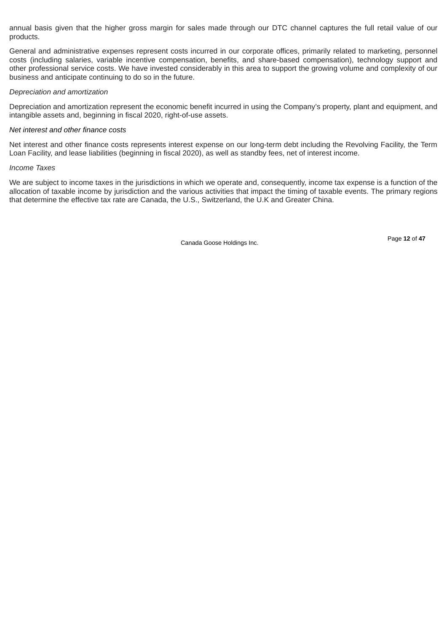annual basis given that the higher gross margin for sales made through our DTC channel captures the full retail value of our products.

General and administrative expenses represent costs incurred in our corporate offices, primarily related to marketing, personnel costs (including salaries, variable incentive compensation, benefits, and share-based compensation), technology support and other professional service costs. We have invested considerably in this area to support the growing volume and complexity of our business and anticipate continuing to do so in the future.

# *Depreciation and amortization*

Depreciation and amortization represent the economic benefit incurred in using the Company's property, plant and equipment, and intangible assets and, beginning in fiscal 2020, right-of-use assets.

# *Net interest and other finance costs*

Net interest and other finance costs represents interest expense on our long-term debt including the Revolving Facility, the Term Loan Facility, and lease liabilities (beginning in fiscal 2020), as well as standby fees, net of interest income.

# *Income Taxes*

We are subject to income taxes in the jurisdictions in which we operate and, consequently, income tax expense is a function of the allocation of taxable income by jurisdiction and the various activities that impact the timing of taxable events. The primary regions that determine the effective tax rate are Canada, the U.S., Switzerland, the U.K and Greater China.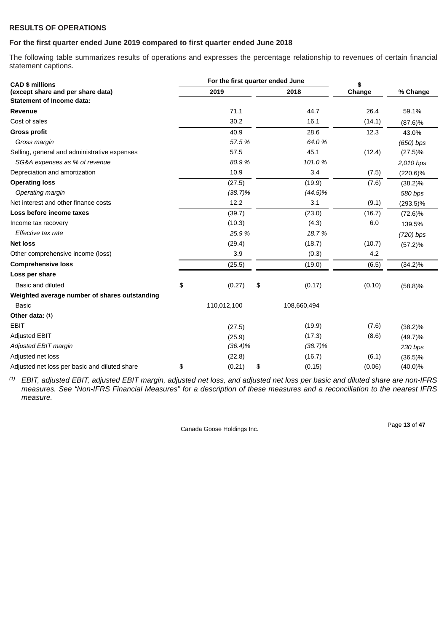### **RESULTS OF OPERATIONS**

# **For the first quarter ended June 2019 compared to first quarter ended June 2018**

The following table summarizes results of operations and expresses the percentage relationship to revenues of certain financial statement captions.

| <b>CAD \$ millions</b>                        | For the first quarter ended June |             |    |             | \$     |             |
|-----------------------------------------------|----------------------------------|-------------|----|-------------|--------|-------------|
| (except share and per share data)             | 2019                             |             |    | 2018        | Change | % Change    |
| <b>Statement of Income data:</b>              |                                  |             |    |             |        |             |
| Revenue                                       |                                  | 71.1        |    | 44.7        | 26.4   | 59.1%       |
| Cost of sales                                 |                                  | 30.2        |    | 16.1        | (14.1) | $(87.6)\%$  |
| <b>Gross profit</b>                           |                                  | 40.9        |    | 28.6        | 12.3   | 43.0%       |
| Gross margin                                  |                                  | 57.5%       |    | 64.0%       |        | $(650)$ bps |
| Selling, general and administrative expenses  |                                  | 57.5        |    | 45.1        | (12.4) | $(27.5)\%$  |
| SG&A expenses as % of revenue                 |                                  | 80.9%       |    | 101.0%      |        | 2,010 bps   |
| Depreciation and amortization                 |                                  | 10.9        |    | 3.4         | (7.5)  | $(220.6)\%$ |
| <b>Operating loss</b>                         |                                  | (27.5)      |    | (19.9)      | (7.6)  | $(38.2)\%$  |
| Operating margin                              |                                  | $(38.7)\%$  |    | $(44.5)\%$  |        | 580 bps     |
| Net interest and other finance costs          |                                  | 12.2        |    | 3.1         | (9.1)  | $(293.5)\%$ |
| Loss before income taxes                      |                                  | (39.7)      |    | (23.0)      | (16.7) | $(72.6)\%$  |
| Income tax recovery                           |                                  | (10.3)      |    | (4.3)       | 6.0    | 139.5%      |
| Effective tax rate                            |                                  | 25.9%       |    | 18.7%       |        | $(720)$ bps |
| <b>Net loss</b>                               |                                  | (29.4)      |    | (18.7)      | (10.7) | $(57.2)\%$  |
| Other comprehensive income (loss)             |                                  | 3.9         |    | (0.3)       | 4.2    |             |
| <b>Comprehensive loss</b>                     |                                  | (25.5)      |    | (19.0)      | (6.5)  | $(34.2)\%$  |
| Loss per share                                |                                  |             |    |             |        |             |
| Basic and diluted                             | \$                               | (0.27)      | \$ | (0.17)      | (0.10) | $(58.8)\%$  |
| Weighted average number of shares outstanding |                                  |             |    |             |        |             |
| <b>Basic</b>                                  |                                  | 110,012,100 |    | 108,660,494 |        |             |
| Other data: (1)                               |                                  |             |    |             |        |             |
| <b>EBIT</b>                                   |                                  | (27.5)      |    | (19.9)      | (7.6)  | $(38.2)\%$  |
| <b>Adjusted EBIT</b>                          |                                  | (25.9)      |    | (17.3)      | (8.6)  | $(49.7)\%$  |
| Adjusted EBIT margin                          |                                  | $(36.4)\%$  |    | $(38.7)\%$  |        | 230 bps     |
| Adjusted net loss                             |                                  | (22.8)      |    | (16.7)      | (6.1)  | $(36.5)\%$  |
| Adjusted net loss per basic and diluted share | \$                               | (0.21)      | \$ | (0.15)      | (0.06) | (40.0)%     |

<sup>(1)</sup> EBIT, adjusted EBIT, adjusted EBIT margin, adjusted net loss, and adjusted net loss per basic and diluted share are non-IFRS measures. See "Non-IFRS Financial Measures" for a description of these measures and a reconciliation to the nearest IFRS *measure.*

Canada Goose Holdings Inc. **Page 13** of **[47](#page-86-0)** Page 13 of **47**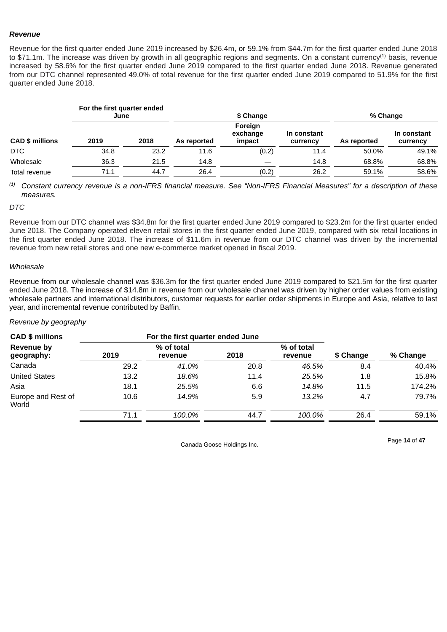# *Revenue*

Revenue for the first quarter ended June 2019 increased by \$26.4m, or 59.1% from \$44.7m for the first quarter ended June 2018 to \$71.1m. The increase was driven by growth in all geographic regions and segments. On a constant currency<sup>(1)</sup> basis, revenue increased by 58.6% for the first quarter ended June 2019 compared to the first quarter ended June 2018. Revenue generated from our DTC channel represented 49.0% of total revenue for the first quarter ended June 2019 compared to 51.9% for the first quarter ended June 2018.

|                        | For the first quarter ended<br>June |      |             | \$ Change                     | % Change                |             |                         |
|------------------------|-------------------------------------|------|-------------|-------------------------------|-------------------------|-------------|-------------------------|
| <b>CAD \$ millions</b> | 2019                                | 2018 | As reported | Foreign<br>exchange<br>impact | In constant<br>currency | As reported | In constant<br>currency |
| DTC                    | 34.8                                | 23.2 | 11.6        | (0.2)                         | 11.4                    | 50.0%       | 49.1%                   |
| Wholesale              | 36.3                                | 21.5 | 14.8        |                               | 14.8                    | 68.8%       | 68.8%                   |
| Total revenue          | 71.1                                | 44.7 | 26.4        | (0.2)                         | 26.2                    | 59.1%       | 58.6%                   |

<sup>(1)</sup> Constant currency revenue is a non-IFRS financial measure. See "Non-IFRS Financial Measures" for a description of these *measures.*

#### *DTC*

Revenue from our DTC channel was \$34.8m for the first quarter ended June 2019 compared to \$23.2m for the first quarter ended June 2018. The Company operated eleven retail stores in the first quarter ended June 2019, compared with six retail locations in the first quarter ended June 2018. The increase of \$11.6m in revenue from our DTC channel was driven by the incremental revenue from new retail stores and one new e-commerce market opened in fiscal 2019.

#### *Wholesale*

Revenue from our wholesale channel was \$36.3m for the first quarter ended June 2019 compared to \$21.5m for the first quarter ended June 2018. The increase of \$14.8m in revenue from our wholesale channel was driven by higher order values from existing wholesale partners and international distributors, customer requests for earlier order shipments in Europe and Asia, relative to last year, and incremental revenue contributed by Baffin.

#### *Revenue by geography*

| <b>CAD \$ millions</b>      |      | For the first quarter ended June |      |                       |           |          |
|-----------------------------|------|----------------------------------|------|-----------------------|-----------|----------|
| Revenue by<br>geography:    | 2019 | % of total<br>revenue            | 2018 | % of total<br>revenue | \$ Change | % Change |
| Canada                      | 29.2 | 41.0%                            | 20.8 | 46.5%                 | 8.4       | 40.4%    |
| <b>United States</b>        | 13.2 | 18.6%                            | 11.4 | 25.5%                 | 1.8       | 15.8%    |
| Asia                        | 18.1 | 25.5%                            | 6.6  | 14.8%                 | 11.5      | 174.2%   |
| Europe and Rest of<br>World | 10.6 | 14.9%                            | 5.9  | 13.2%                 | 4.7       | 79.7%    |
|                             | 71.1 | 100.0%                           | 44.7 | 100.0%                | 26.4      | 59.1%    |

Canada Goose Holdings Inc. Page 14 of [47](#page-86-0)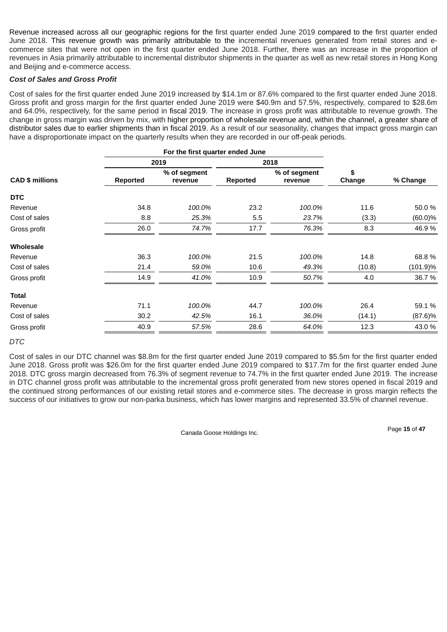Revenue increased across all our geographic regions for the first quarter ended June 2019 compared to the first quarter ended June 2018. This revenue growth was primarily attributable to the incremental revenues generated from retail stores and ecommerce sites that were not open in the first quarter ended June 2018. Further, there was an increase in the proportion of revenues in Asia primarily attributable to incremental distributor shipments in the quarter as well as new retail stores in Hong Kong and Beijing and e-commerce access.

# *Cost of Sales and Gross Profit*

Cost of sales for the first quarter ended June 2019 increased by \$14.1m or 87.6% compared to the first quarter ended June 2018. Gross profit and gross margin for the first quarter ended June 2019 were \$40.9m and 57.5%, respectively, compared to \$28.6m and 64.0%, respectively, for the same period in fiscal 2019. The increase in gross profit was attributable to revenue growth. The change in gross margin was driven by mix, with higher proportion of wholesale revenue and, within the channel, a greater share of distributor sales due to earlier shipments than in fiscal 2019. As a result of our seasonality, changes that impact gross margin can have a disproportionate impact on the quarterly results when they are recorded in our off-peak periods.

|          | 2019<br>2018            |          |                                  |              |             |
|----------|-------------------------|----------|----------------------------------|--------------|-------------|
| Reported | % of segment<br>revenue | Reported | % of segment<br>revenue          | \$<br>Change | % Change    |
|          |                         |          |                                  |              |             |
| 34.8     | 100.0%                  | 23.2     | 100.0%                           | 11.6         | 50.0 %      |
| 8.8      | 25.3%                   | $5.5$    | 23.7%                            | (3.3)        | $(60.0)\%$  |
| 26.0     | 74.7%                   | 17.7     | 76.3%                            | 8.3          | 46.9%       |
|          |                         |          |                                  |              |             |
| 36.3     | 100.0%                  | 21.5     | 100.0%                           | 14.8         | 68.8%       |
| 21.4     | 59.0%                   | 10.6     | 49.3%                            | (10.8)       | $(101.9)\%$ |
| 14.9     | 41.0%                   | 10.9     | 50.7%                            | 4.0          | 36.7 %      |
|          |                         |          |                                  |              |             |
| 71.1     | 100.0%                  | 44.7     | 100.0%                           | 26.4         | 59.1 %      |
| 30.2     | 42.5%                   | 16.1     | 36.0%                            | (14.1)       | $(87.6)\%$  |
| 40.9     | 57.5%                   | 28.6     | 64.0%                            | 12.3         | 43.0 %      |
|          |                         |          | For the first quarter ended June |              |             |

*DTC*

Cost of sales in our DTC channel was \$8.8m for the first quarter ended June 2019 compared to \$5.5m for the first quarter ended June 2018. Gross profit was \$26.0m for the first quarter ended June 2019 compared to \$17.7m for the first quarter ended June 2018. DTC gross margin decreased from 76.3% of segment revenue to 74.7% in the first quarter ended June 2019. The increase in DTC channel gross profit was attributable to the incremental gross profit generated from new stores opened in fiscal 2019 and the continued strong performances of our existing retail stores and e-commerce sites. The decrease in gross margin reflects the success of our initiatives to grow our non-parka business, which has lower margins and represented 33.5% of channel revenue.

Canada Goose Holdings Inc. Page 15 of [47](#page-86-0)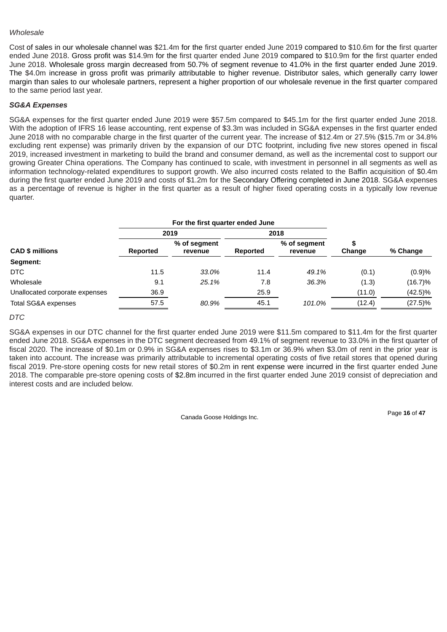### *Wholesale*

Cost of sales in our wholesale channel was \$21.4m for the first quarter ended June 2019 compared to \$10.6m for the first quarter ended June 2018. Gross profit was \$14.9m for the first quarter ended June 2019 compared to \$10.9m for the first quarter ended June 2018. Wholesale gross margin decreased from 50.7% of segment revenue to 41.0% in the first quarter ended June 2019. The \$4.0m increase in gross profit was primarily attributable to higher revenue. Distributor sales, which generally carry lower margin than sales to our wholesale partners, represent a higher proportion of our wholesale revenue in the first quarter compared to the same period last year.

# *SG&A Expenses*

SG&A expenses for the first quarter ended June 2019 were \$57.5m compared to \$45.1m for the first quarter ended June 2018. With the adoption of IFRS 16 lease accounting, rent expense of \$3.3m was included in SG&A expenses in the first quarter ended June 2018 with no comparable charge in the first quarter of the current year. The increase of \$12.4m or 27.5% (\$15.7m or 34.8% excluding rent expense) was primarily driven by the expansion of our DTC footprint, including five new stores opened in fiscal 2019, increased investment in marketing to build the brand and consumer demand, as well as the incremental cost to support our growing Greater China operations. The Company has continued to scale, with investment in personnel in all segments as well as information technology-related expenditures to support growth. We also incurred costs related to the Baffin acquisition of \$0.4m during the first quarter ended June 2019 and costs of \$1.2m for the Secondary Offering completed in June 2018. SG&A expenses as a percentage of revenue is higher in the first quarter as a result of higher fixed operating costs in a typically low revenue quarter.

|                                |                 | For the first quarter ended June |          |                         |              |            |
|--------------------------------|-----------------|----------------------------------|----------|-------------------------|--------------|------------|
|                                |                 | 2019                             |          | 2018                    |              |            |
| <b>CAD \$ millions</b>         | <b>Reported</b> | % of segment<br>revenue          | Reported | % of segment<br>revenue | \$<br>Change | % Change   |
| Segment:                       |                 |                                  |          |                         |              |            |
| DTC                            | 11.5            | 33.0%                            | 11.4     | 49.1%                   | (0.1)        | (0.9)%     |
| Wholesale                      | 9.1             | 25.1%                            | 7.8      | 36.3%                   | (1.3)        | $(16.7)\%$ |
| Unallocated corporate expenses | 36.9            |                                  | 25.9     |                         | (11.0)       | $(42.5)\%$ |
| Total SG&A expenses            | 57.5            | 80.9%                            | 45.1     | 101.0%                  | (12.4)       | $(27.5)\%$ |

#### *DTC*

SG&A expenses in our DTC channel for the first quarter ended June 2019 were \$11.5m compared to \$11.4m for the first quarter ended June 2018. SG&A expenses in the DTC segment decreased from 49.1% of segment revenue to 33.0% in the first quarter of fiscal 2020. The increase of \$0.1m or 0.9% in SG&A expenses rises to \$3.1m or 36.9% when \$3.0m of rent in the prior year is taken into account. The increase was primarily attributable to incremental operating costs of five retail stores that opened during fiscal 2019. Pre-store opening costs for new retail stores of \$0.2m in rent expense were incurred in the first quarter ended June 2018. The comparable pre-store opening costs of \$2.8m incurred in the first quarter ended June 2019 consist of depreciation and interest costs and are included below.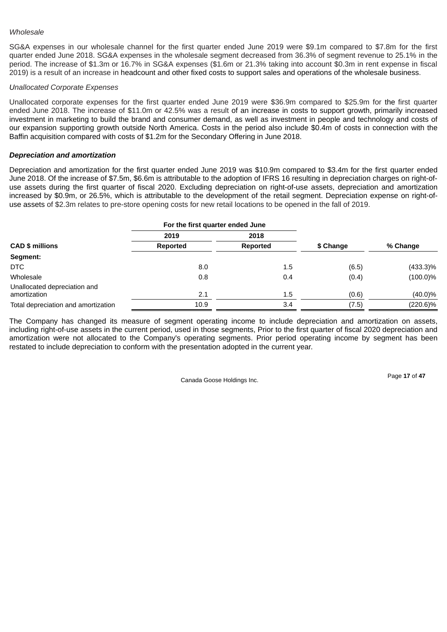#### *Wholesale*

SG&A expenses in our wholesale channel for the first quarter ended June 2019 were \$9.1m compared to \$7.8m for the first quarter ended June 2018. SG&A expenses in the wholesale segment decreased from 36.3% of segment revenue to 25.1% in the period. The increase of \$1.3m or 16.7% in SG&A expenses (\$1.6m or 21.3% taking into account \$0.3m in rent expense in fiscal 2019) is a result of an increase in headcount and other fixed costs to support sales and operations of the wholesale business.

# *Unallocated Corporate Expenses*

Unallocated corporate expenses for the first quarter ended June 2019 were \$36.9m compared to \$25.9m for the first quarter ended June 2018. The increase of \$11.0m or 42.5% was a result of an increase in costs to support growth, primarily increased investment in marketing to build the brand and consumer demand, as well as investment in people and technology and costs of our expansion supporting growth outside North America. Costs in the period also include \$0.4m of costs in connection with the Baffin acquisition compared with costs of \$1.2m for the Secondary Offering in June 2018.

# *Depreciation and amortization*

Depreciation and amortization for the first quarter ended June 2019 was \$10.9m compared to \$3.4m for the first quarter ended June 2018. Of the increase of \$7.5m, \$6.6m is attributable to the adoption of IFRS 16 resulting in depreciation charges on right-ofuse assets during the first quarter of fiscal 2020. Excluding depreciation on right-of-use assets, depreciation and amortization increased by \$0.9m, or 26.5%, which is attributable to the development of the retail segment. Depreciation expense on right-ofuse assets of \$2.3m relates to pre-store opening costs for new retail locations to be opened in the fall of 2019.

|                                              | For the first quarter ended June |          |           |             |
|----------------------------------------------|----------------------------------|----------|-----------|-------------|
|                                              | 2019                             | 2018     |           |             |
| <b>CAD \$ millions</b>                       | Reported                         | Reported | \$ Change | % Change    |
| Segment:                                     |                                  |          |           |             |
| DTC                                          | 8.0                              | 1.5      | (6.5)     | $(433.3)\%$ |
| Wholesale                                    | 0.8                              | 0.4      | (0.4)     | $(100.0)\%$ |
| Unallocated depreciation and<br>amortization | 2.1                              | 1.5      | (0.6)     | $(40.0)\%$  |
| Total depreciation and amortization          | 10.9                             | 3.4      | (7.5)     | $(220.6)\%$ |

The Company has changed its measure of segment operating income to include depreciation and amortization on assets, including right-of-use assets in the current period, used in those segments, Prior to the first quarter of fiscal 2020 depreciation and amortization were not allocated to the Company's operating segments. Prior period operating income by segment has been restated to include depreciation to conform with the presentation adopted in the current year.

Canada Goose Holdings Inc. Page 17 of [47](#page-86-0)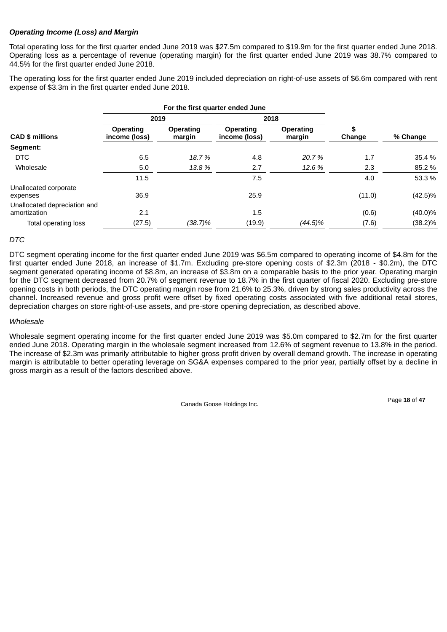# *Operating Income (Loss) and Margin*

Total operating loss for the first quarter ended June 2019 was \$27.5m compared to \$19.9m for the first quarter ended June 2018. Operating loss as a percentage of revenue (operating margin) for the first quarter ended June 2019 was 38.7% compared to 44.5% for the first quarter ended June 2018.

The operating loss for the first quarter ended June 2019 included depreciation on right-of-use assets of \$6.6m compared with rent expense of \$3.3m in the first quarter ended June 2018.

| <b>Operating</b><br>income (loss) | <b>Operating</b><br>margin | Operating<br>income (loss) | Operating<br>margin              | \$<br>Change | % Change   |
|-----------------------------------|----------------------------|----------------------------|----------------------------------|--------------|------------|
|                                   |                            |                            |                                  |              |            |
| 6.5                               | 18.7%                      | 4.8                        | 20.7%                            | 1.7          | 35.4 %     |
| 5.0                               | 13.8 %                     | 2.7                        | 12.6 %                           | 2.3          | 85.2 %     |
| 11.5                              |                            | 7.5                        |                                  | 4.0          | 53.3 %     |
| 36.9                              |                            | 25.9                       |                                  | (11.0)       | $(42.5)\%$ |
| 2.1                               |                            | $1.5\,$                    |                                  | (0.6)        | $(40.0)\%$ |
| (27.5)                            | (38.7)%                    | (19.9)                     | $(44.5)\%$                       | (7.6)        | $(38.2)\%$ |
|                                   |                            | 2019                       | For the first quarter ended June | 2018         |            |

# *DTC*

DTC segment operating income for the first quarter ended June 2019 was \$6.5m compared to operating income of \$4.8m for the first quarter ended June 2018, an increase of \$1.7m. Excluding pre-store opening costs of \$2.3m (2018 - \$0.2m), the DTC segment generated operating income of \$8.8m, an increase of \$3.8m on a comparable basis to the prior year. Operating margin for the DTC segment decreased from 20.7% of segment revenue to 18.7% in the first quarter of fiscal 2020. Excluding pre-store opening costs in both periods, the DTC operating margin rose from 21.6% to 25.3%, driven by strong sales productivity across the channel. Increased revenue and gross profit were offset by fixed operating costs associated with five additional retail stores, depreciation charges on store right-of-use assets, and pre-store opening depreciation, as described above.

# *Wholesale*

Wholesale segment operating income for the first quarter ended June 2019 was \$5.0m compared to \$2.7m for the first quarter ended June 2018. Operating margin in the wholesale segment increased from 12.6% of segment revenue to 13.8% in the period. The increase of \$2.3m was primarily attributable to higher gross profit driven by overall demand growth. The increase in operating margin is attributable to better operating leverage on SG&A expenses compared to the prior year, partially offset by a decline in gross margin as a result of the factors described above.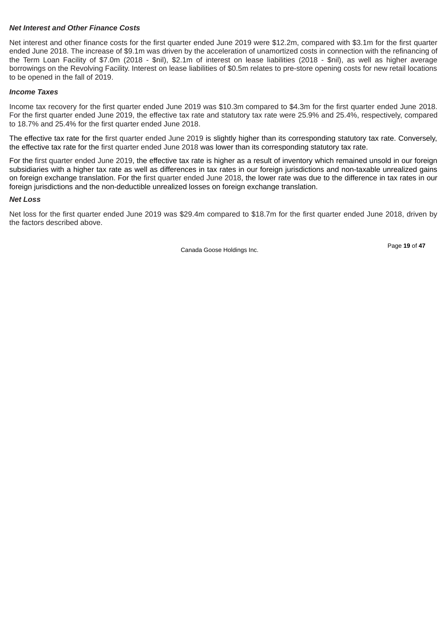# *Net Interest and Other Finance Costs*

Net interest and other finance costs for the first quarter ended June 2019 were \$12.2m, compared with \$3.1m for the first quarter ended June 2018. The increase of \$9.1m was driven by the acceleration of unamortized costs in connection with the refinancing of the Term Loan Facility of \$7.0m (2018 - \$nil), \$2.1m of interest on lease liabilities (2018 - \$nil), as well as higher average borrowings on the Revolving Facility. Interest on lease liabilities of \$0.5m relates to pre-store opening costs for new retail locations to be opened in the fall of 2019.

#### *Income Taxes*

Income tax recovery for the first quarter ended June 2019 was \$10.3m compared to \$4.3m for the first quarter ended June 2018. For the first quarter ended June 2019, the effective tax rate and statutory tax rate were 25.9% and 25.4%, respectively, compared to 18.7% and 25.4% for the first quarter ended June 2018.

The effective tax rate for the first quarter ended June 2019 is slightly higher than its corresponding statutory tax rate. Conversely, the effective tax rate for the first quarter ended June 2018 was lower than its corresponding statutory tax rate.

For the first quarter ended June 2019, the effective tax rate is higher as a result of inventory which remained unsold in our foreign subsidiaries with a higher tax rate as well as differences in tax rates in our foreign jurisdictions and non-taxable unrealized gains on foreign exchange translation. For the first quarter ended June 2018, the lower rate was due to the difference in tax rates in our foreign jurisdictions and the non-deductible unrealized losses on foreign exchange translation.

#### *Net Loss*

Net loss for the first quarter ended June 2019 was \$29.4m compared to \$18.7m for the first quarter ended June 2018, driven by the factors described above.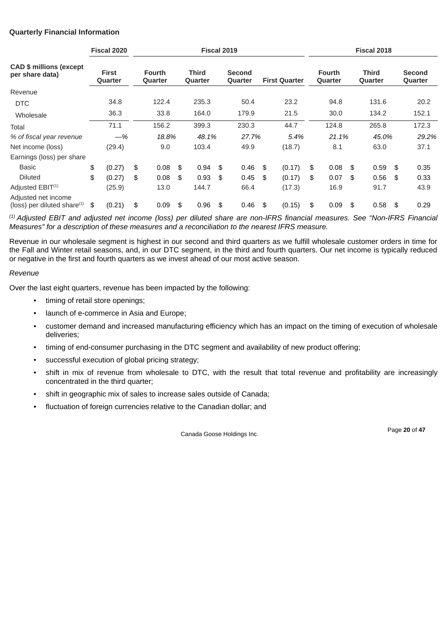# **Quarterly Financial Information**

|                                                       | Fiscal 2020 |                         |                          | Fiscal 2019             |                                 | Fiscal 2018          |                          |    |                  |    |                          |
|-------------------------------------------------------|-------------|-------------------------|--------------------------|-------------------------|---------------------------------|----------------------|--------------------------|----|------------------|----|--------------------------|
| <b>CAD \$ millions (except</b><br>per share data)     |             | <b>First</b><br>Quarter | <b>Fourth</b><br>Quarter | <b>Third</b><br>Quarter | <b>Second</b><br><b>Ouarter</b> | <b>First Quarter</b> | <b>Fourth</b><br>Quarter |    | Third<br>Quarter |    | <b>Second</b><br>Quarter |
| Revenue                                               |             |                         |                          |                         |                                 |                      |                          |    |                  |    |                          |
| <b>DTC</b>                                            |             | 34.8                    | 122.4                    | 235.3                   | 50.4                            | 23.2                 | 94.8                     |    | 131.6            |    | 20.2                     |
| Wholesale                                             |             | 36.3                    | 33.8                     | 164.0                   | 179.9                           | 21.5                 | 30.0                     |    | 134.2            |    | 152.1                    |
| Total                                                 |             | 71.1                    | 156.2                    | 399.3                   | 230.3                           | 44.7                 | 124.8                    |    | 265.8            |    | 172.3                    |
| % of fiscal year revenue                              |             | $-$ %                   | 18.8%                    | 48.1%                   | 27.7%                           | 5.4%                 | 21.1%                    |    | 45.0%            |    | 29.2%                    |
| Net income (loss)                                     |             | (29.4)                  | 9.0                      | 103.4                   | 49.9                            | (18.7)               | 8.1                      |    | 63.0             |    | 37.1                     |
| Earnings (loss) per share                             |             |                         |                          |                         |                                 |                      |                          |    |                  |    |                          |
| Basic                                                 | \$          | (0.27)                  | \$<br>0.08               | \$<br>0.94              | \$<br>0.46                      | \$<br>(0.17)         | \$<br>0.08               | \$ | 0.59             | \$ | 0.35                     |
| <b>Diluted</b>                                        | \$          | (0.27)                  | \$<br>0.08               | \$<br>0.93              | \$<br>0.45                      | \$<br>(0.17)         | \$<br>0.07               | \$ | 0.56             | \$ | 0.33                     |
| Adjusted EBIT <sup>(1)</sup>                          |             | (25.9)                  | 13.0                     | 144.7                   | 66.4                            | (17.3)               | 16.9                     |    | 91.7             |    | 43.9                     |
| Adjusted net income<br>(loss) per diluted share $(1)$ | \$          | (0.21)                  | \$<br>0.09               | \$<br>0.96              | \$<br>0.46                      | \$<br>(0.15)         | \$<br>0.09               | \$ | 0.58             | \$ | 0.29                     |

(1) Adjusted EBIT and adjusted net income (loss) per diluted share are non-IFRS financial measures. See "Non-IFRS Financial *Measures" for a description of these measures and a reconciliation to the nearest IFRS measure.*

Revenue in our wholesale segment is highest in our second and third quarters as we fulfill wholesale customer orders in time for the Fall and Winter retail seasons, and, in our DTC segment, in the third and fourth quarters. Our net income is typically reduced or negative in the first and fourth quarters as we invest ahead of our most active season.

# *Revenue*

Over the last eight quarters, revenue has been impacted by the following:

- timing of retail store openings;
- launch of e-commerce in Asia and Europe;
- customer demand and increased manufacturing efficiency which has an impact on the timing of execution of wholesale deliveries;
- timing of end-consumer purchasing in the DTC segment and availability of new product offering;
- successful execution of global pricing strategy;
- shift in mix of revenue from wholesale to DTC, with the result that total revenue and profitability are increasingly concentrated in the third quarter;
- shift in geographic mix of sales to increase sales outside of Canada;
- fluctuation of foreign currencies relative to the Canadian dollar; and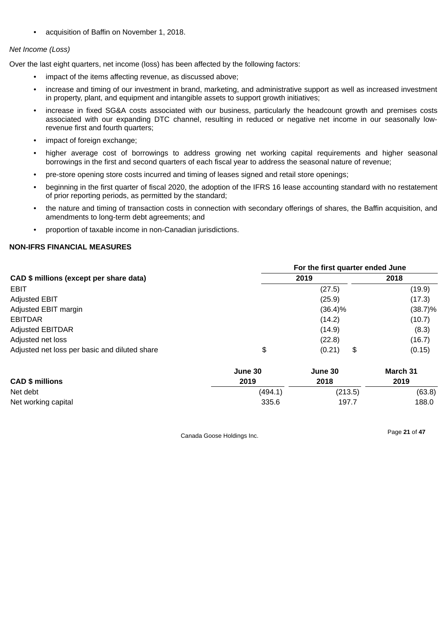• acquisition of Baffin on November 1, 2018.

# *Net Income (Loss)*

Over the last eight quarters, net income (loss) has been affected by the following factors:

- impact of the items affecting revenue, as discussed above;
- increase and timing of our investment in brand, marketing, and administrative support as well as increased investment in property, plant, and equipment and intangible assets to support growth initiatives;
- increase in fixed SG&A costs associated with our business, particularly the headcount growth and premises costs associated with our expanding DTC channel, resulting in reduced or negative net income in our seasonally lowrevenue first and fourth quarters;
- impact of foreign exchange:
- higher average cost of borrowings to address growing net working capital requirements and higher seasonal borrowings in the first and second quarters of each fiscal year to address the seasonal nature of revenue;
- pre-store opening store costs incurred and timing of leases signed and retail store openings;
- beginning in the first quarter of fiscal 2020, the adoption of the IFRS 16 lease accounting standard with no restatement of prior reporting periods, as permitted by the standard;
- the nature and timing of transaction costs in connection with secondary offerings of shares, the Baffin acquisition, and amendments to long-term debt agreements; and
- proportion of taxable income in non-Canadian jurisdictions.

# **NON-IFRS FINANCIAL MEASURES**

|                                               | For the first quarter ended June |              |            |  |  |  |  |
|-----------------------------------------------|----------------------------------|--------------|------------|--|--|--|--|
| CAD \$ millions (except per share data)       |                                  | 2019         | 2018       |  |  |  |  |
| <b>EBIT</b>                                   |                                  | (27.5)       | (19.9)     |  |  |  |  |
| <b>Adjusted EBIT</b>                          |                                  | (25.9)       | (17.3)     |  |  |  |  |
| Adjusted EBIT margin                          |                                  | $(36.4)\%$   | $(38.7)\%$ |  |  |  |  |
| <b>EBITDAR</b>                                |                                  | (14.2)       | (10.7)     |  |  |  |  |
| <b>Adjusted EBITDAR</b>                       |                                  | (14.9)       | (8.3)      |  |  |  |  |
| Adjusted net loss                             |                                  | (22.8)       | (16.7)     |  |  |  |  |
| Adjusted net loss per basic and diluted share | \$                               | (0.21)<br>\$ | (0.15)     |  |  |  |  |

|                        | June 30 | June 30 | March 31 |
|------------------------|---------|---------|----------|
| <b>CAD \$ millions</b> | 2019    | 2018    | 2019     |
| Net debt               | (494.1) | (213.5) | (63.8)   |
| Net working capital    | 335.6   | 197.7   | 188.0    |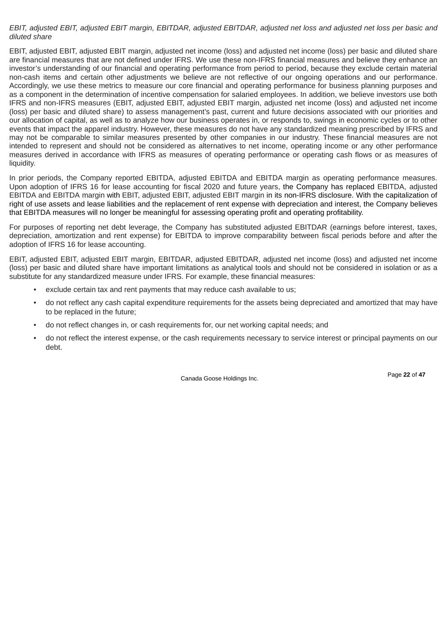EBIT, adjusted EBIT, adjusted EBIT margin, EBITDAR, adjusted EBITDAR, adjusted net loss and adjusted net loss per basic and *diluted share*

EBIT, adjusted EBIT, adjusted EBIT margin, adjusted net income (loss) and adjusted net income (loss) per basic and diluted share are financial measures that are not defined under IFRS. We use these non-IFRS financial measures and believe they enhance an investor's understanding of our financial and operating performance from period to period, because they exclude certain material non-cash items and certain other adjustments we believe are not reflective of our ongoing operations and our performance. Accordingly, we use these metrics to measure our core financial and operating performance for business planning purposes and as a component in the determination of incentive compensation for salaried employees. In addition, we believe investors use both IFRS and non-IFRS measures (EBIT, adjusted EBIT, adjusted EBIT margin, adjusted net income (loss) and adjusted net income (loss) per basic and diluted share) to assess management's past, current and future decisions associated with our priorities and our allocation of capital, as well as to analyze how our business operates in, or responds to, swings in economic cycles or to other events that impact the apparel industry. However, these measures do not have any standardized meaning prescribed by IFRS and may not be comparable to similar measures presented by other companies in our industry. These financial measures are not intended to represent and should not be considered as alternatives to net income, operating income or any other performance measures derived in accordance with IFRS as measures of operating performance or operating cash flows or as measures of liquidity.

In prior periods, the Company reported EBITDA, adjusted EBITDA and EBITDA margin as operating performance measures. Upon adoption of IFRS 16 for lease accounting for fiscal 2020 and future years, the Company has replaced EBITDA, adjusted EBITDA and EBITDA margin with EBIT, adjusted EBIT, adjusted EBIT margin in its non-IFRS disclosure. With the capitalization of right of use assets and lease liabilities and the replacement of rent expense with depreciation and interest, the Company believes that EBITDA measures will no longer be meaningful for assessing operating profit and operating profitability.

For purposes of reporting net debt leverage, the Company has substituted adjusted EBITDAR (earnings before interest, taxes, depreciation, amortization and rent expense) for EBITDA to improve comparability between fiscal periods before and after the adoption of IFRS 16 for lease accounting.

EBIT, adjusted EBIT, adjusted EBIT margin, EBITDAR, adjusted EBITDAR, adjusted net income (loss) and adjusted net income (loss) per basic and diluted share have important limitations as analytical tools and should not be considered in isolation or as a substitute for any standardized measure under IFRS. For example, these financial measures:

- exclude certain tax and rent payments that may reduce cash available to us;
- do not reflect any cash capital expenditure requirements for the assets being depreciated and amortized that may have to be replaced in the future;
- do not reflect changes in, or cash requirements for, our net working capital needs; and
- do not reflect the interest expense, or the cash requirements necessary to service interest or principal payments on our debt.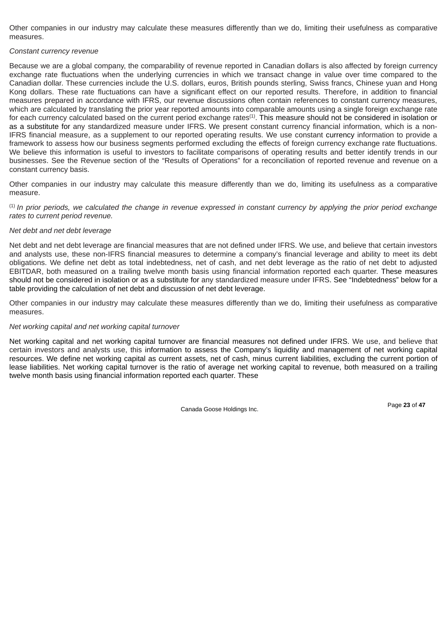Other companies in our industry may calculate these measures differently than we do, limiting their usefulness as comparative measures.

#### *Constant currency revenue*

Because we are a global company, the comparability of revenue reported in Canadian dollars is also affected by foreign currency exchange rate fluctuations when the underlying currencies in which we transact change in value over time compared to the Canadian dollar. These currencies include the U.S. dollars, euros, British pounds sterling, Swiss francs, Chinese yuan and Hong Kong dollars. These rate fluctuations can have a significant effect on our reported results. Therefore, in addition to financial measures prepared in accordance with IFRS, our revenue discussions often contain references to constant currency measures, which are calculated by translating the prior year reported amounts into comparable amounts using a single foreign exchange rate for each currency calculated based on the current period exchange rates $^{(1)}$ . This measure should not be considered in isolation or as a substitute for any standardized measure under IFRS. We present constant currency financial information, which is a non-IFRS financial measure, as a supplement to our reported operating results. We use constant currency information to provide a framework to assess how our business segments performed excluding the effects of foreign currency exchange rate fluctuations. We believe this information is useful to investors to facilitate comparisons of operating results and better identify trends in our businesses. See the Revenue section of the "Results of Operations" for a reconciliation of reported revenue and revenue on a constant currency basis.

Other companies in our industry may calculate this measure differently than we do, limiting its usefulness as a comparative measure.

 $\text{\tiny{(1)}}$  In prior periods, we calculated the change in revenue expressed in constant currency by applying the prior period exchange *rates to current period revenue.*

#### *Net debt and net debt leverage*

Net debt and net debt leverage are financial measures that are not defined under IFRS. We use, and believe that certain investors and analysts use, these non-IFRS financial measures to determine a company's financial leverage and ability to meet its debt obligations. We define net debt as total indebtedness, net of cash, and net debt leverage as the ratio of net debt to adjusted EBITDAR, both measured on a trailing twelve month basis using financial information reported each quarter. These measures should not be considered in isolation or as a substitute for any standardized measure under IFRS. See "Indebtedness" below for a table providing the calculation of net debt and discussion of net debt leverage.

Other companies in our industry may calculate these measures differently than we do, limiting their usefulness as comparative measures.

# *Net working capital and net working capital turnover*

Net working capital and net working capital turnover are financial measures not defined under IFRS. We use, and believe that certain investors and analysts use, this information to assess the Company's liquidity and management of net working capital resources. We define net working capital as current assets, net of cash, minus current liabilities, excluding the current portion of lease liabilities. Net working capital turnover is the ratio of average net working capital to revenue, both measured on a trailing twelve month basis using financial information reported each quarter. These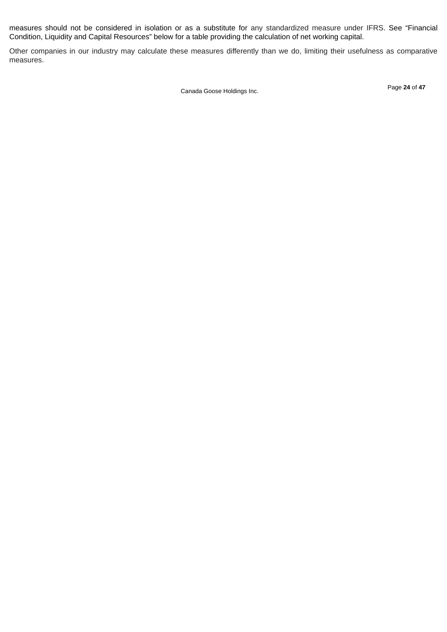measures should not be considered in isolation or as a substitute for any standardized measure under IFRS. See "Financial Condition, Liquidity and Capital Resources" below for a table providing the calculation of net working capital.

Other companies in our industry may calculate these measures differently than we do, limiting their usefulness as comparative measures.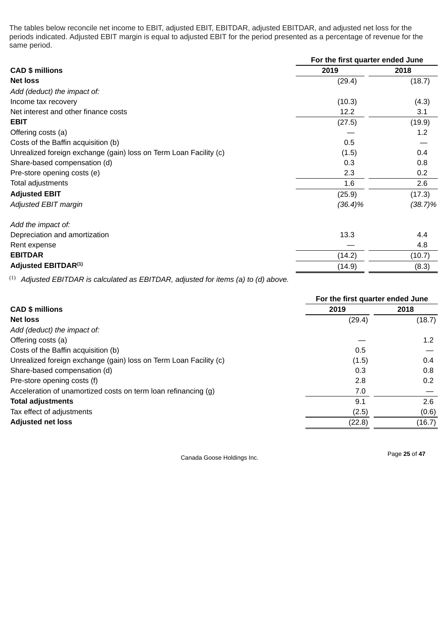The tables below reconcile net income to EBIT, adjusted EBIT, EBITDAR, adjusted EBITDAR, and adjusted net loss for the periods indicated. Adjusted EBIT margin is equal to adjusted EBIT for the period presented as a percentage of revenue for the same period.

|                                                                   | For the first quarter ended June |            |  |  |
|-------------------------------------------------------------------|----------------------------------|------------|--|--|
| <b>CAD \$ millions</b>                                            | 2019                             | 2018       |  |  |
| <b>Net loss</b>                                                   | (29.4)                           | (18.7)     |  |  |
| Add (deduct) the impact of:                                       |                                  |            |  |  |
| Income tax recovery                                               | (10.3)                           | (4.3)      |  |  |
| Net interest and other finance costs                              | 12.2                             | 3.1        |  |  |
| <b>EBIT</b>                                                       | (27.5)                           | (19.9)     |  |  |
| Offering costs (a)                                                |                                  | 1.2        |  |  |
| Costs of the Baffin acquisition (b)                               | 0.5                              |            |  |  |
| Unrealized foreign exchange (gain) loss on Term Loan Facility (c) | (1.5)                            | 0.4        |  |  |
| Share-based compensation (d)                                      | 0.3                              | 0.8        |  |  |
| Pre-store opening costs (e)                                       | 2.3                              | 0.2        |  |  |
| Total adjustments                                                 | $1.6\,$                          | 2.6        |  |  |
| <b>Adjusted EBIT</b>                                              | (25.9)                           | (17.3)     |  |  |
| Adjusted EBIT margin                                              | $(36.4)\%$                       | $(38.7)\%$ |  |  |
| Add the impact of:                                                |                                  |            |  |  |
| Depreciation and amortization                                     | 13.3                             | 4.4        |  |  |
| Rent expense                                                      |                                  | 4.8        |  |  |
| <b>EBITDAR</b>                                                    | (14.2)                           | (10.7)     |  |  |
| Adjusted EBITDAR <sup>(1)</sup>                                   | (14.9)                           | (8.3)      |  |  |

(1) *Adjusted EBITDAR is calculated as EBITDAR, adjusted for items (a) to (d) above.*

| <b>CAD \$ millions</b><br>2019<br>2018                                     |        |
|----------------------------------------------------------------------------|--------|
|                                                                            |        |
| <b>Net loss</b><br>(29.4)                                                  | (18.7) |
| Add (deduct) the impact of:                                                |        |
| Offering costs (a)                                                         | 1.2    |
| Costs of the Baffin acquisition (b)<br>0.5                                 |        |
| Unrealized foreign exchange (gain) loss on Term Loan Facility (c)<br>(1.5) | 0.4    |
| Share-based compensation (d)<br>0.3                                        | 0.8    |
| Pre-store opening costs (f)<br>2.8                                         | 0.2    |
| 7.0<br>Acceleration of unamortized costs on term loan refinancing (g)      |        |
| <b>Total adjustments</b><br>9.1                                            | 2.6    |
| Tax effect of adjustments<br>(2.5)                                         | (0.6)  |
| <b>Adjusted net loss</b><br>(22.8)                                         | (16.7) |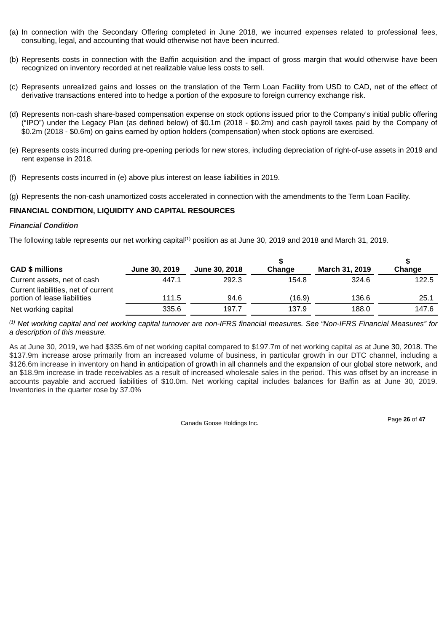- (a) In connection with the Secondary Offering completed in June 2018, we incurred expenses related to professional fees, consulting, legal, and accounting that would otherwise not have been incurred.
- (b) Represents costs in connection with the Baffin acquisition and the impact of gross margin that would otherwise have been recognized on inventory recorded at net realizable value less costs to sell.
- (c) Represents unrealized gains and losses on the translation of the Term Loan Facility from USD to CAD, net of the effect of derivative transactions entered into to hedge a portion of the exposure to foreign currency exchange risk.
- (d) Represents non-cash share-based compensation expense on stock options issued prior to the Company's initial public offering ("IPO") under the Legacy Plan (as defined below) of \$0.1m (2018 - \$0.2m) and cash payroll taxes paid by the Company of \$0.2m (2018 - \$0.6m) on gains earned by option holders (compensation) when stock options are exercised.
- (e) Represents costs incurred during pre-opening periods for new stores, including depreciation of right-of-use assets in 2019 and rent expense in 2018.
- (f) Represents costs incurred in (e) above plus interest on lease liabilities in 2019.
- (g) Represents the non-cash unamortized costs accelerated in connection with the amendments to the Term Loan Facility.

# **FINANCIAL CONDITION, LIQUIDITY AND CAPITAL RESOURCES**

# *Financial Condition*

The following table represents our net working capital $^{(1)}$  position as at June 30, 2019 and 2018 and March 31, 2019.

|                                     |               |               |        |                | S      |
|-------------------------------------|---------------|---------------|--------|----------------|--------|
| <b>CAD \$ millions</b>              | June 30, 2019 | June 30, 2018 | Change | March 31, 2019 | Change |
| Current assets, net of cash         | 447.1         | 292.3         | 154.8  | 324.6          | 122.5  |
| Current liabilities, net of current |               |               |        |                |        |
| portion of lease liabilities        | 111.5         | 94.6          | (16.9) | 136.6          | 25.1   |
| Net working capital                 | 335.6         | 197.7         | 137.9  | 188.0          | 147.6  |

<sup>(1)</sup> Net working capital and net working capital turnover are non-IFRS financial measures. See "Non-IFRS Financial Measures" for *a description of this measure.*

As at June 30, 2019, we had \$335.6m of net working capital compared to \$197.7m of net working capital as at June 30, 2018. The \$137.9m increase arose primarily from an increased volume of business, in particular growth in our DTC channel, including a \$126.6m increase in inventory on hand in anticipation of growth in all channels and the expansion of our global store network, and an \$18.9m increase in trade receivables as a result of increased wholesale sales in the period. This was offset by an increase in accounts payable and accrued liabilities of \$10.0m. Net working capital includes balances for Baffin as at June 30, 2019. Inventories in the quarter rose by 37.0%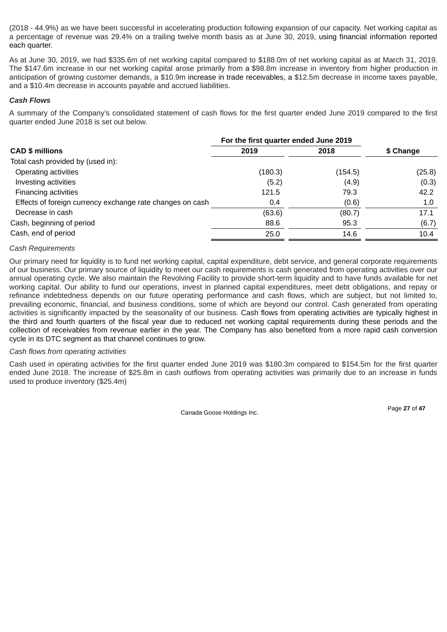(2018 - 44.9%) as we have been successful in accelerating production following expansion of our capacity. Net working capital as a percentage of revenue was 29.4% on a trailing twelve month basis as at June 30, 2019, using financial information reported each quarter.

As at June 30, 2019, we had \$335.6m of net working capital compared to \$188.0m of net working capital as at March 31, 2019. The \$147.6m increase in our net working capital arose primarily from a \$98.8m increase in inventory from higher production in anticipation of growing customer demands, a \$10.9m increase in trade receivables, a \$12.5m decrease in income taxes payable, and a \$10.4m decrease in accounts payable and accrued liabilities.

# *Cash Flows*

A summary of the Company's consolidated statement of cash flows for the first quarter ended June 2019 compared to the first quarter ended June 2018 is set out below.

|                                                           | For the first quarter ended June 2019 |         |           |  |
|-----------------------------------------------------------|---------------------------------------|---------|-----------|--|
| CAD \$ millions                                           | 2019                                  | 2018    | \$ Change |  |
| Total cash provided by (used in):                         |                                       |         |           |  |
| Operating activities                                      | (180.3)                               | (154.5) | (25.8)    |  |
| Investing activities                                      | (5.2)                                 | (4.9)   | (0.3)     |  |
| Financing activities                                      | 121.5                                 | 79.3    | 42.2      |  |
| Effects of foreign currency exchange rate changes on cash | 0.4                                   | (0.6)   | 1.0       |  |
| Decrease in cash                                          | (63.6)                                | (80.7)  | 17.1      |  |
| Cash, beginning of period                                 | 88.6                                  | 95.3    | (6.7)     |  |
| Cash, end of period                                       | 25.0                                  | 14.6    | 10.4      |  |

# *Cash Requirements*

Our primary need for liquidity is to fund net working capital, capital expenditure, debt service, and general corporate requirements of our business. Our primary source of liquidity to meet our cash requirements is cash generated from operating activities over our annual operating cycle. We also maintain the Revolving Facility to provide short-term liquidity and to have funds available for net working capital. Our ability to fund our operations, invest in planned capital expenditures, meet debt obligations, and repay or refinance indebtedness depends on our future operating performance and cash flows, which are subject, but not limited to, prevailing economic, financial, and business conditions, some of which are beyond our control. Cash generated from operating activities is significantly impacted by the seasonality of our business. Cash flows from operating activities are typically highest in the third and fourth quarters of the fiscal year due to reduced net working capital requirements during these periods and the collection of receivables from revenue earlier in the year. The Company has also benefited from a more rapid cash conversion cycle in its DTC segment as that channel continues to grow.

#### *Cash flows from operating activities*

Cash used in operating activities for the first quarter ended June 2019 was \$180.3m compared to \$154.5m for the first quarter ended June 2018. The increase of \$25.8m in cash outflows from operating activities was primarily due to an increase in funds used to produce inventory (\$25.4m)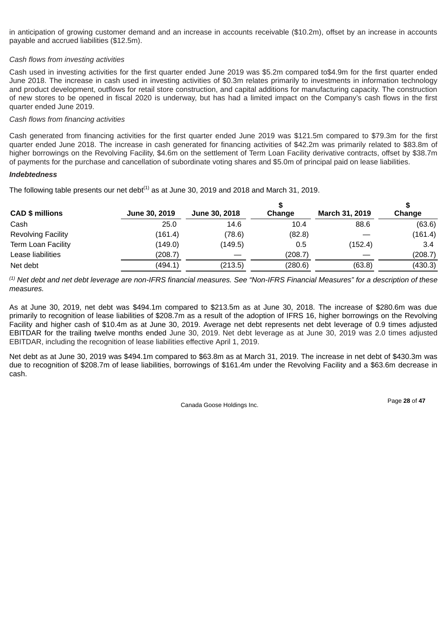in anticipation of growing customer demand and an increase in accounts receivable (\$10.2m), offset by an increase in accounts payable and accrued liabilities (\$12.5m).

# *Cash flows from investing activities*

Cash used in investing activities for the first quarter ended June 2019 was \$5.2m compared to\$4.9m for the first quarter ended June 2018. The increase in cash used in investing activities of \$0.3m relates primarily to investments in information technology and product development, outflows for retail store construction, and capital additions for manufacturing capacity. The construction of new stores to be opened in fiscal 2020 is underway, but has had a limited impact on the Company's cash flows in the first quarter ended June 2019.

# *Cash flows from financing activities*

Cash generated from financing activities for the first quarter ended June 2019 was \$121.5m compared to \$79.3m for the first quarter ended June 2018. The increase in cash generated for financing activities of \$42.2m was primarily related to \$83.8m of higher borrowings on the Revolving Facility, \$4.6m on the settlement of Term Loan Facility derivative contracts, offset by \$38.7m of payments for the purchase and cancellation of subordinate voting shares and \$5.0m of principal paid on lease liabilities.

# *Indebtedness*

The following table presents our net debt<sup>(1)</sup> as at June 30, 2019 and 2018 and March 31, 2019.

| CAD \$ millions           | June 30, 2019 | June 30, 2018 | Change  | March 31, 2019 | Change  |
|---------------------------|---------------|---------------|---------|----------------|---------|
| Cash                      | 25.0          | 14.6          | 10.4    | 88.6           | (63.6)  |
| <b>Revolving Facility</b> | (161.4)       | (78.6)        | (82.8)  |                | (161.4) |
| <b>Term Loan Facility</b> | (149.0)       | (149.5)       | 0.5     | (152.4)        | 3.4     |
| Lease liabilities         | (208.7)       |               | (208.7) |                | (208.7) |
| Net debt                  | (494.1)       | (213.5)       | (280.6) | (63.8)         | (430.3) |

 $^{(1)}$  Net debt and net debt leverage are non-IFRS financial measures. See "Non-IFRS Financial Measures" for a description of these *measures.*

As at June 30, 2019, net debt was \$494.1m compared to \$213.5m as at June 30, 2018. The increase of \$280.6m was due primarily to recognition of lease liabilities of \$208.7m as a result of the adoption of IFRS 16, higher borrowings on the Revolving Facility and higher cash of \$10.4m as at June 30, 2019. Average net debt represents net debt leverage of 0.9 times adjusted EBITDAR for the trailing twelve months ended June 30, 2019. Net debt leverage as at June 30, 2019 was 2.0 times adjusted EBITDAR, including the recognition of lease liabilities effective April 1, 2019.

Net debt as at June 30, 2019 was \$494.1m compared to \$63.8m as at March 31, 2019. The increase in net debt of \$430.3m was due to recognition of \$208.7m of lease liabilities, borrowings of \$161.4m under the Revolving Facility and a \$63.6m decrease in cash.

Canada Goose Holdings Inc. Page 28 of [47](#page-86-0)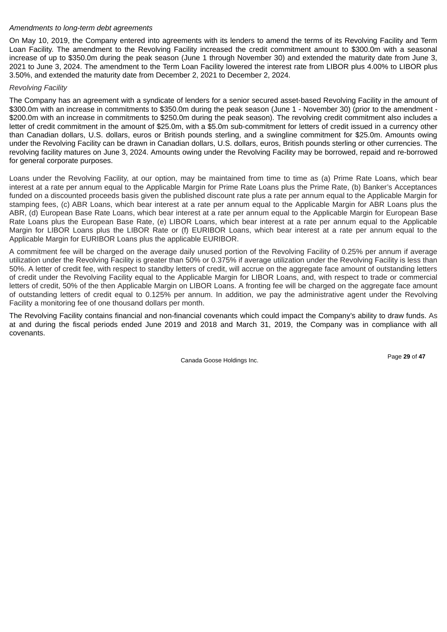### *Amendments to long-term debt agreements*

On May 10, 2019, the Company entered into agreements with its lenders to amend the terms of its Revolving Facility and Term Loan Facility. The amendment to the Revolving Facility increased the credit commitment amount to \$300.0m with a seasonal increase of up to \$350.0m during the peak season (June 1 through November 30) and extended the maturity date from June 3, 2021 to June 3, 2024. The amendment to the Term Loan Facility lowered the interest rate from LIBOR plus 4.00% to LIBOR plus 3.50%, and extended the maturity date from December 2, 2021 to December 2, 2024.

### *Revolving Facility*

The Company has an agreement with a syndicate of lenders for a senior secured asset-based Revolving Facility in the amount of \$300.0m with an increase in commitments to \$350.0m during the peak season (June 1 - November 30) (prior to the amendment - \$200.0m with an increase in commitments to \$250.0m during the peak season). The revolving credit commitment also includes a letter of credit commitment in the amount of \$25.0m, with a \$5.0m sub-commitment for letters of credit issued in a currency other than Canadian dollars, U.S. dollars, euros or British pounds sterling, and a swingline commitment for \$25.0m. Amounts owing under the Revolving Facility can be drawn in Canadian dollars, U.S. dollars, euros, British pounds sterling or other currencies. The revolving facility matures on June 3, 2024. Amounts owing under the Revolving Facility may be borrowed, repaid and re-borrowed for general corporate purposes.

Loans under the Revolving Facility, at our option, may be maintained from time to time as (a) Prime Rate Loans, which bear interest at a rate per annum equal to the Applicable Margin for Prime Rate Loans plus the Prime Rate, (b) Banker's Acceptances funded on a discounted proceeds basis given the published discount rate plus a rate per annum equal to the Applicable Margin for stamping fees, (c) ABR Loans, which bear interest at a rate per annum equal to the Applicable Margin for ABR Loans plus the ABR, (d) European Base Rate Loans, which bear interest at a rate per annum equal to the Applicable Margin for European Base Rate Loans plus the European Base Rate, (e) LIBOR Loans, which bear interest at a rate per annum equal to the Applicable Margin for LIBOR Loans plus the LIBOR Rate or (f) EURIBOR Loans, which bear interest at a rate per annum equal to the Applicable Margin for EURIBOR Loans plus the applicable EURIBOR.

A commitment fee will be charged on the average daily unused portion of the Revolving Facility of 0.25% per annum if average utilization under the Revolving Facility is greater than 50% or 0.375% if average utilization under the Revolving Facility is less than 50%. A letter of credit fee, with respect to standby letters of credit, will accrue on the aggregate face amount of outstanding letters of credit under the Revolving Facility equal to the Applicable Margin for LIBOR Loans, and, with respect to trade or commercial letters of credit, 50% of the then Applicable Margin on LIBOR Loans. A fronting fee will be charged on the aggregate face amount of outstanding letters of credit equal to 0.125% per annum. In addition, we pay the administrative agent under the Revolving Facility a monitoring fee of one thousand dollars per month.

The Revolving Facility contains financial and non-financial covenants which could impact the Company's ability to draw funds. As at and during the fiscal periods ended June 2019 and 2018 and March 31, 2019, the Company was in compliance with all covenants.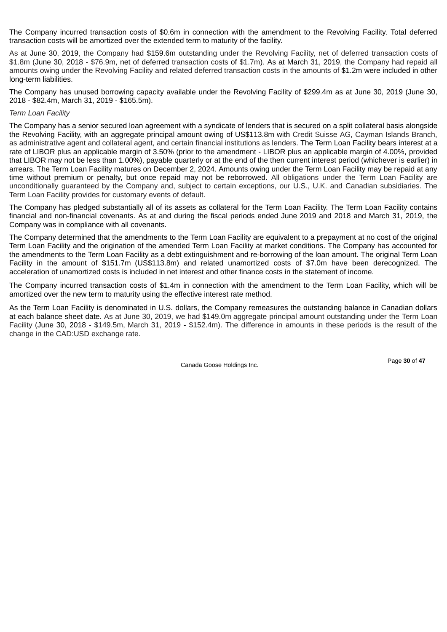The Company incurred transaction costs of \$0.6m in connection with the amendment to the Revolving Facility. Total deferred transaction costs will be amortized over the extended term to maturity of the facility.

As at June 30, 2019, the Company had \$159.6m outstanding under the Revolving Facility, net of deferred transaction costs of \$1.8m (June 30, 2018 - \$76.9m, net of deferred transaction costs of \$1.7m). As at March 31, 2019, the Company had repaid all amounts owing under the Revolving Facility and related deferred transaction costs in the amounts of \$1.2m were included in other long-term liabilities.

The Company has unused borrowing capacity available under the Revolving Facility of \$299.4m as at June 30, 2019 (June 30, 2018 - \$82.4m, March 31, 2019 - \$165.5m).

### *Term Loan Facility*

The Company has a senior secured loan agreement with a syndicate of lenders that is secured on a split collateral basis alongside the Revolving Facility, with an aggregate principal amount owing of US\$113.8m with Credit Suisse AG, Cayman Islands Branch, as administrative agent and collateral agent, and certain financial institutions as lenders. The Term Loan Facility bears interest at a rate of LIBOR plus an applicable margin of 3.50% (prior to the amendment - LIBOR plus an applicable margin of 4.00%, provided that LIBOR may not be less than 1.00%), payable quarterly or at the end of the then current interest period (whichever is earlier) in arrears. The Term Loan Facility matures on December 2, 2024. Amounts owing under the Term Loan Facility may be repaid at any time without premium or penalty, but once repaid may not be reborrowed. All obligations under the Term Loan Facility are unconditionally guaranteed by the Company and, subject to certain exceptions, our U.S., U.K. and Canadian subsidiaries. The Term Loan Facility provides for customary events of default.

The Company has pledged substantially all of its assets as collateral for the Term Loan Facility. The Term Loan Facility contains financial and non-financial covenants. As at and during the fiscal periods ended June 2019 and 2018 and March 31, 2019, the Company was in compliance with all covenants.

The Company determined that the amendments to the Term Loan Facility are equivalent to a prepayment at no cost of the original Term Loan Facility and the origination of the amended Term Loan Facility at market conditions. The Company has accounted for the amendments to the Term Loan Facility as a debt extinguishment and re-borrowing of the loan amount. The original Term Loan Facility in the amount of \$151.7m (US\$113.8m) and related unamortized costs of \$7.0m have been derecognized. The acceleration of unamortized costs is included in net interest and other finance costs in the statement of income.

The Company incurred transaction costs of \$1.4m in connection with the amendment to the Term Loan Facility, which will be amortized over the new term to maturity using the effective interest rate method.

As the Term Loan Facility is denominated in U.S. dollars, the Company remeasures the outstanding balance in Canadian dollars at each balance sheet date. As at June 30, 2019, we had \$149.0m aggregate principal amount outstanding under the Term Loan Facility (June 30, 2018 - \$149.5m, March 31, 2019 - \$152.4m). The difference in amounts in these periods is the result of the change in the CAD:USD exchange rate.

Canada Goose Holdings Inc. Page 30 of [47](#page-86-0)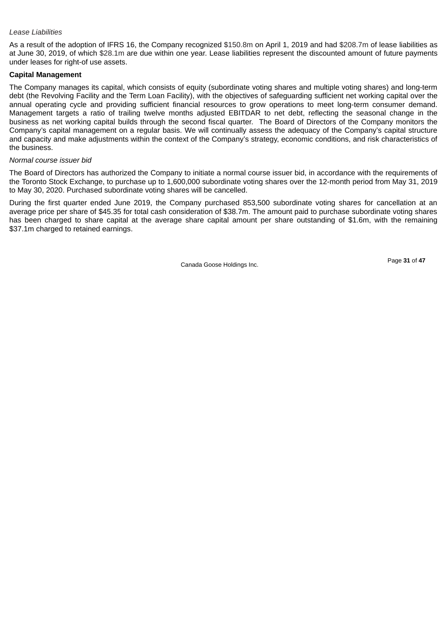#### *Lease Liabilities*

As a result of the adoption of IFRS 16, the Company recognized \$150.8m on April 1, 2019 and had \$208.7m of lease liabilities as at June 30, 2019, of which \$28.1m are due within one year. Lease liabilities represent the discounted amount of future payments under leases for right-of use assets.

# **Capital Management**

The Company manages its capital, which consists of equity (subordinate voting shares and multiple voting shares) and long-term debt (the Revolving Facility and the Term Loan Facility), with the objectives of safeguarding sufficient net working capital over the annual operating cycle and providing sufficient financial resources to grow operations to meet long-term consumer demand. Management targets a ratio of trailing twelve months adjusted EBITDAR to net debt, reflecting the seasonal change in the business as net working capital builds through the second fiscal quarter. The Board of Directors of the Company monitors the Company's capital management on a regular basis. We will continually assess the adequacy of the Company's capital structure and capacity and make adjustments within the context of the Company's strategy, economic conditions, and risk characteristics of the business.

#### *Normal course issuer bid*

The Board of Directors has authorized the Company to initiate a normal course issuer bid, in accordance with the requirements of the Toronto Stock Exchange, to purchase up to 1,600,000 subordinate voting shares over the 12-month period from May 31, 2019 to May 30, 2020. Purchased subordinate voting shares will be cancelled.

During the first quarter ended June 2019, the Company purchased 853,500 subordinate voting shares for cancellation at an average price per share of \$45.35 for total cash consideration of \$38.7m. The amount paid to purchase subordinate voting shares has been charged to share capital at the average share capital amount per share outstanding of \$1.6m, with the remaining \$37.1m charged to retained earnings.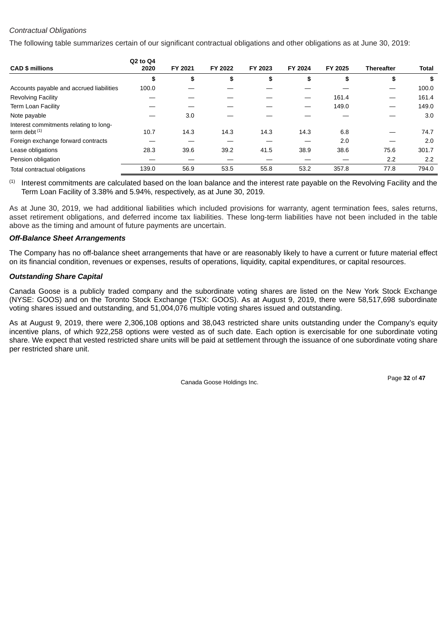# *Contractual Obligations*

The following table summarizes certain of our significant contractual obligations and other obligations as at June 30, 2019:

| <b>CAD \$ millions</b>                                    | Q2 to Q4<br>2020 | FY 2021 | <b>FY 2022</b> | FY 2023 | FY 2024 | FY 2025 | <b>Thereafter</b> | Total |
|-----------------------------------------------------------|------------------|---------|----------------|---------|---------|---------|-------------------|-------|
|                                                           | \$               | \$      | \$             | \$      | \$      | \$      | \$                | S.    |
| Accounts payable and accrued liabilities                  | 100.0            |         |                |         |         |         |                   | 100.0 |
| <b>Revolving Facility</b>                                 |                  |         |                |         |         | 161.4   |                   | 161.4 |
| Term Loan Facility                                        |                  |         |                |         |         | 149.0   |                   | 149.0 |
| Note payable                                              |                  | 3.0     |                |         |         |         |                   | 3.0   |
| Interest commitments relating to long-<br>term debt $(1)$ | 10.7             | 14.3    | 14.3           | 14.3    | 14.3    | 6.8     |                   | 74.7  |
| Foreign exchange forward contracts                        |                  |         |                |         |         | 2.0     |                   | 2.0   |
| Lease obligations                                         | 28.3             | 39.6    | 39.2           | 41.5    | 38.9    | 38.6    | 75.6              | 301.7 |
| Pension obligation                                        |                  |         |                |         |         |         | 2.2               | 2.2   |
| Total contractual obligations                             | 139.0            | 56.9    | 53.5           | 55.8    | 53.2    | 357.8   | 77.8              | 794.0 |

(1) Interest commitments are calculated based on the loan balance and the interest rate payable on the Revolving Facility and the Term Loan Facility of 3.38% and 5.94%, respectively, as at June 30, 2019.

As at June 30, 2019, we had additional liabilities which included provisions for warranty, agent termination fees, sales returns, asset retirement obligations, and deferred income tax liabilities. These long-term liabilities have not been included in the table above as the timing and amount of future payments are uncertain.

# *Off-Balance Sheet Arrangements*

The Company has no off-balance sheet arrangements that have or are reasonably likely to have a current or future material effect on its financial condition, revenues or expenses, results of operations, liquidity, capital expenditures, or capital resources.

#### *Outstanding Share Capital*

Canada Goose is a publicly traded company and the subordinate voting shares are listed on the New York Stock Exchange (NYSE: GOOS) and on the Toronto Stock Exchange (TSX: GOOS). As at August 9, 2019, there were 58,517,698 subordinate voting shares issued and outstanding, and 51,004,076 multiple voting shares issued and outstanding.

As at August 9, 2019, there were 2,306,108 options and 38,043 restricted share units outstanding under the Company's equity incentive plans, of which 922,258 options were vested as of such date. Each option is exercisable for one subordinate voting share. We expect that vested restricted share units will be paid at settlement through the issuance of one subordinate voting share per restricted share unit.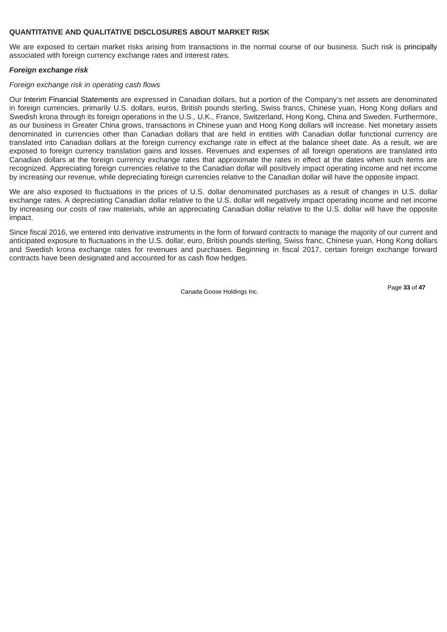#### **QUANTITATIVE AND QUALITATIVE DISCLOSURES ABOUT MARKET RISK**

We are exposed to certain market risks arising from transactions in the normal course of our business. Such risk is principally associated with foreign currency exchange rates and interest rates.

#### *Foreign exchange risk*

#### *Foreign exchange risk in operating cash flows*

Our Interim Financial Statements are expressed in Canadian dollars, but a portion of the Company's net assets are denominated in foreign currencies, primarily U.S. dollars, euros, British pounds sterling, Swiss francs, Chinese yuan, Hong Kong dollars and Swedish krona through its foreign operations in the U.S., U.K., France, Switzerland, Hong Kong, China and Sweden. Furthermore, as our business in Greater China grows, transactions in Chinese yuan and Hong Kong dollars will increase. Net monetary assets denominated in currencies other than Canadian dollars that are held in entities with Canadian dollar functional currency are translated into Canadian dollars at the foreign currency exchange rate in effect at the balance sheet date. As a result, we are exposed to foreign currency translation gains and losses. Revenues and expenses of all foreign operations are translated into Canadian dollars at the foreign currency exchange rates that approximate the rates in effect at the dates when such items are recognized. Appreciating foreign currencies relative to the Canadian dollar will positively impact operating income and net income by increasing our revenue, while depreciating foreign currencies relative to the Canadian dollar will have the opposite impact.

We are also exposed to fluctuations in the prices of U.S. dollar denominated purchases as a result of changes in U.S. dollar exchange rates. A depreciating Canadian dollar relative to the U.S. dollar will negatively impact operating income and net income by increasing our costs of raw materials, while an appreciating Canadian dollar relative to the U.S. dollar will have the opposite impact.

Since fiscal 2016, we entered into derivative instruments in the form of forward contracts to manage the majority of our current and anticipated exposure to fluctuations in the U.S. dollar, euro, British pounds sterling, Swiss franc, Chinese yuan, Hong Kong dollars and Swedish krona exchange rates for revenues and purchases. Beginning in fiscal 2017, certain foreign exchange forward contracts have been designated and accounted for as cash flow hedges.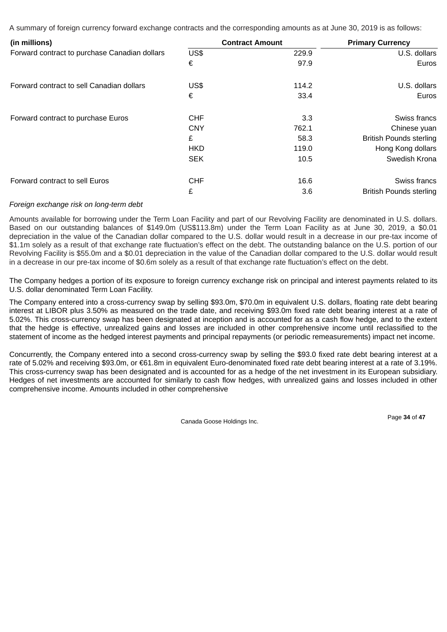A summary of foreign currency forward exchange contracts and the corresponding amounts as at June 30, 2019 is as follows:

| (in millions)                                 |            | <b>Contract Amount</b> | <b>Primary Currency</b>        |
|-----------------------------------------------|------------|------------------------|--------------------------------|
| Forward contract to purchase Canadian dollars | US\$       | 229.9                  | U.S. dollars                   |
|                                               | €          | 97.9                   | Euros                          |
| Forward contract to sell Canadian dollars     | US\$       | 114.2                  | U.S. dollars                   |
|                                               | €          | 33.4                   | Euros                          |
| Forward contract to purchase Euros            | <b>CHF</b> | 3.3                    | Swiss francs                   |
|                                               | <b>CNY</b> | 762.1                  | Chinese yuan                   |
|                                               | £          | 58.3                   | <b>British Pounds sterling</b> |
|                                               | <b>HKD</b> | 119.0                  | Hong Kong dollars              |
|                                               | <b>SEK</b> | 10.5                   | Swedish Krona                  |
| Forward contract to sell Euros                | <b>CHF</b> | 16.6                   | Swiss francs                   |
|                                               | £          | 3.6                    | <b>British Pounds sterling</b> |

## *Foreign exchange risk on long-term debt*

Amounts available for borrowing under the Term Loan Facility and part of our Revolving Facility are denominated in U.S. dollars. Based on our outstanding balances of \$149.0m (US\$113.8m) under the Term Loan Facility as at June 30, 2019, a \$0.01 depreciation in the value of the Canadian dollar compared to the U.S. dollar would result in a decrease in our pre-tax income of \$1.1m solely as a result of that exchange rate fluctuation's effect on the debt. The outstanding balance on the U.S. portion of our Revolving Facility is \$55.0m and a \$0.01 depreciation in the value of the Canadian dollar compared to the U.S. dollar would result in a decrease in our pre-tax income of \$0.6m solely as a result of that exchange rate fluctuation's effect on the debt.

The Company hedges a portion of its exposure to foreign currency exchange risk on principal and interest payments related to its U.S. dollar denominated Term Loan Facility.

The Company entered into a cross-currency swap by selling \$93.0m, \$70.0m in equivalent U.S. dollars, floating rate debt bearing interest at LIBOR plus 3.50% as measured on the trade date, and receiving \$93.0m fixed rate debt bearing interest at a rate of 5.02%. This cross-currency swap has been designated at inception and is accounted for as a cash flow hedge, and to the extent that the hedge is effective, unrealized gains and losses are included in other comprehensive income until reclassified to the statement of income as the hedged interest payments and principal repayments (or periodic remeasurements) impact net income.

Concurrently, the Company entered into a second cross-currency swap by selling the \$93.0 fixed rate debt bearing interest at a rate of 5.02% and receiving \$93.0m, or €61.8m in equivalent Euro-denominated fixed rate debt bearing interest at a rate of 3.19%. This cross-currency swap has been designated and is accounted for as a hedge of the net investment in its European subsidiary. Hedges of net investments are accounted for similarly to cash flow hedges, with unrealized gains and losses included in other comprehensive income. Amounts included in other comprehensive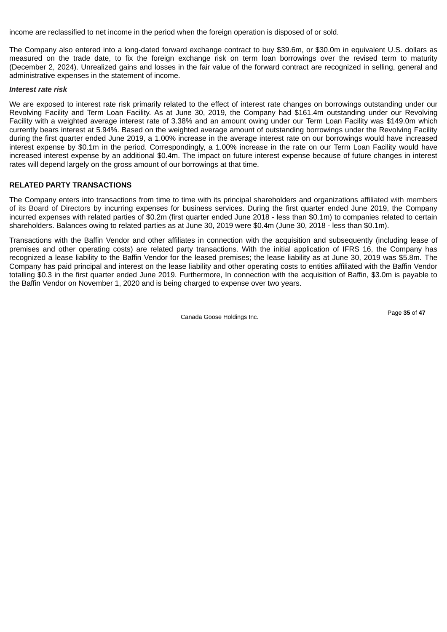income are reclassified to net income in the period when the foreign operation is disposed of or sold.

The Company also entered into a long-dated forward exchange contract to buy \$39.6m, or \$30.0m in equivalent U.S. dollars as measured on the trade date, to fix the foreign exchange risk on term loan borrowings over the revised term to maturity (December 2, 2024). Unrealized gains and losses in the fair value of the forward contract are recognized in selling, general and administrative expenses in the statement of income.

#### *Interest rate risk*

We are exposed to interest rate risk primarily related to the effect of interest rate changes on borrowings outstanding under our Revolving Facility and Term Loan Facility. As at June 30, 2019, the Company had \$161.4m outstanding under our Revolving Facility with a weighted average interest rate of 3.38% and an amount owing under our Term Loan Facility was \$149.0m which currently bears interest at 5.94%. Based on the weighted average amount of outstanding borrowings under the Revolving Facility during the first quarter ended June 2019, a 1.00% increase in the average interest rate on our borrowings would have increased interest expense by \$0.1m in the period. Correspondingly, a 1.00% increase in the rate on our Term Loan Facility would have increased interest expense by an additional \$0.4m. The impact on future interest expense because of future changes in interest rates will depend largely on the gross amount of our borrowings at that time.

#### **RELATED PARTY TRANSACTIONS**

The Company enters into transactions from time to time with its principal shareholders and organizations affiliated with members of its Board of Directors by incurring expenses for business services. During the first quarter ended June 2019, the Company incurred expenses with related parties of \$0.2m (first quarter ended June 2018 - less than \$0.1m) to companies related to certain shareholders. Balances owing to related parties as at June 30, 2019 were \$0.4m (June 30, 2018 - less than \$0.1m).

Transactions with the Baffin Vendor and other affiliates in connection with the acquisition and subsequently (including lease of premises and other operating costs) are related party transactions. With the initial application of IFRS 16, the Company has recognized a lease liability to the Baffin Vendor for the leased premises; the lease liability as at June 30, 2019 was \$5.8m. The Company has paid principal and interest on the lease liability and other operating costs to entities affiliated with the Baffin Vendor totalling \$0.3 in the first quarter ended June 2019. Furthermore, In connection with the acquisition of Baffin, \$3.0m is payable to the Baffin Vendor on November 1, 2020 and is being charged to expense over two years.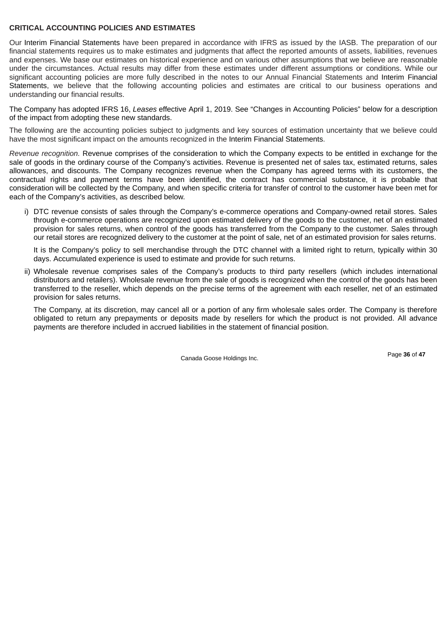#### **CRITICAL ACCOUNTING POLICIES AND ESTIMATES**

Our Interim Financial Statements have been prepared in accordance with IFRS as issued by the IASB. The preparation of our financial statements requires us to make estimates and judgments that affect the reported amounts of assets, liabilities, revenues and expenses. We base our estimates on historical experience and on various other assumptions that we believe are reasonable under the circumstances. Actual results may differ from these estimates under different assumptions or conditions. While our significant accounting policies are more fully described in the notes to our Annual Financial Statements and Interim Financial Statements, we believe that the following accounting policies and estimates are critical to our business operations and understanding our financial results.

The Company has adopted IFRS 16, *Leases* effective April 1, 2019. See "Changes in Accounting Policies" below for a description of the impact from adopting these new standards.

The following are the accounting policies subject to judgments and key sources of estimation uncertainty that we believe could have the most significant impact on the amounts recognized in the Interim Financial Statements.

*Revenue recognition.* Revenue comprises of the consideration to which the Company expects to be entitled in exchange for the sale of goods in the ordinary course of the Company's activities. Revenue is presented net of sales tax, estimated returns, sales allowances, and discounts. The Company recognizes revenue when the Company has agreed terms with its customers, the contractual rights and payment terms have been identified, the contract has commercial substance, it is probable that consideration will be collected by the Company, and when specific criteria for transfer of control to the customer have been met for each of the Company's activities, as described below.

i) DTC revenue consists of sales through the Company's e-commerce operations and Company-owned retail stores. Sales through e-commerce operations are recognized upon estimated delivery of the goods to the customer, net of an estimated provision for sales returns, when control of the goods has transferred from the Company to the customer. Sales through our retail stores are recognized delivery to the customer at the point of sale, net of an estimated provision for sales returns.

It is the Company's policy to sell merchandise through the DTC channel with a limited right to return, typically within 30 days. Accumulated experience is used to estimate and provide for such returns.

ii) Wholesale revenue comprises sales of the Company's products to third party resellers (which includes international distributors and retailers). Wholesale revenue from the sale of goods is recognized when the control of the goods has been transferred to the reseller, which depends on the precise terms of the agreement with each reseller, net of an estimated provision for sales returns.

The Company, at its discretion, may cancel all or a portion of any firm wholesale sales order. The Company is therefore obligated to return any prepayments or deposits made by resellers for which the product is not provided. All advance payments are therefore included in accrued liabilities in the statement of financial position.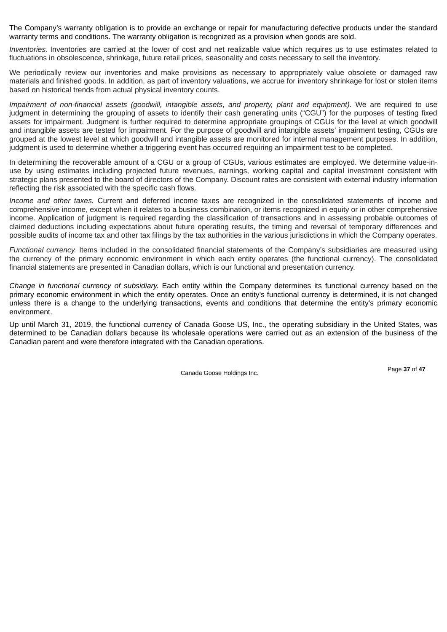The Company's warranty obligation is to provide an exchange or repair for manufacturing defective products under the standard warranty terms and conditions. The warranty obligation is recognized as a provision when goods are sold.

*Inventories.* Inventories are carried at the lower of cost and net realizable value which requires us to use estimates related to fluctuations in obsolescence, shrinkage, future retail prices, seasonality and costs necessary to sell the inventory.

We periodically review our inventories and make provisions as necessary to appropriately value obsolete or damaged raw materials and finished goods. In addition, as part of inventory valuations, we accrue for inventory shrinkage for lost or stolen items based on historical trends from actual physical inventory counts.

*Impairment of non-financial assets (goodwill, intangible assets, and property, plant and equipment).* We are required to use judgment in determining the grouping of assets to identify their cash generating units ("CGU") for the purposes of testing fixed assets for impairment. Judgment is further required to determine appropriate groupings of CGUs for the level at which goodwill and intangible assets are tested for impairment. For the purpose of goodwill and intangible assets' impairment testing, CGUs are grouped at the lowest level at which goodwill and intangible assets are monitored for internal management purposes. In addition, judgment is used to determine whether a triggering event has occurred requiring an impairment test to be completed.

In determining the recoverable amount of a CGU or a group of CGUs, various estimates are employed. We determine value-inuse by using estimates including projected future revenues, earnings, working capital and capital investment consistent with strategic plans presented to the board of directors of the Company. Discount rates are consistent with external industry information reflecting the risk associated with the specific cash flows.

*Income and other taxes.* Current and deferred income taxes are recognized in the consolidated statements of income and comprehensive income, except when it relates to a business combination, or items recognized in equity or in other comprehensive income. Application of judgment is required regarding the classification of transactions and in assessing probable outcomes of claimed deductions including expectations about future operating results, the timing and reversal of temporary differences and possible audits of income tax and other tax filings by the tax authorities in the various jurisdictions in which the Company operates.

*Functional currency.* Items included in the consolidated financial statements of the Company's subsidiaries are measured using the currency of the primary economic environment in which each entity operates (the functional currency). The consolidated financial statements are presented in Canadian dollars, which is our functional and presentation currency.

*Change in functional currency of subsidiary.* Each entity within the Company determines its functional currency based on the primary economic environment in which the entity operates. Once an entity's functional currency is determined, it is not changed unless there is a change to the underlying transactions, events and conditions that determine the entity's primary economic environment.

Up until March 31, 2019, the functional currency of Canada Goose US, Inc., the operating subsidiary in the United States, was determined to be Canadian dollars because its wholesale operations were carried out as an extension of the business of the Canadian parent and were therefore integrated with the Canadian operations.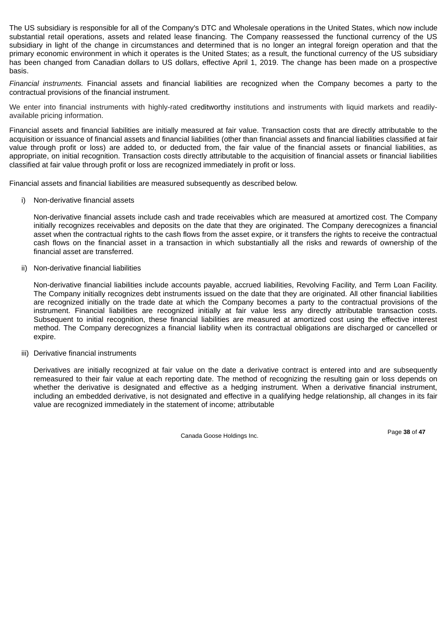The US subsidiary is responsible for all of the Company's DTC and Wholesale operations in the United States, which now include substantial retail operations, assets and related lease financing. The Company reassessed the functional currency of the US subsidiary in light of the change in circumstances and determined that is no longer an integral foreign operation and that the primary economic environment in which it operates is the United States; as a result, the functional currency of the US subsidiary has been changed from Canadian dollars to US dollars, effective April 1, 2019. The change has been made on a prospective basis.

*Financial instruments.* Financial assets and financial liabilities are recognized when the Company becomes a party to the contractual provisions of the financial instrument.

We enter into financial instruments with highly-rated creditworthy institutions and instruments with liquid markets and readilyavailable pricing information.

Financial assets and financial liabilities are initially measured at fair value. Transaction costs that are directly attributable to the acquisition or issuance of financial assets and financial liabilities (other than financial assets and financial liabilities classified at fair value through profit or loss) are added to, or deducted from, the fair value of the financial assets or financial liabilities, as appropriate, on initial recognition. Transaction costs directly attributable to the acquisition of financial assets or financial liabilities classified at fair value through profit or loss are recognized immediately in profit or loss.

Financial assets and financial liabilities are measured subsequently as described below.

i) Non-derivative financial assets

Non-derivative financial assets include cash and trade receivables which are measured at amortized cost. The Company initially recognizes receivables and deposits on the date that they are originated. The Company derecognizes a financial asset when the contractual rights to the cash flows from the asset expire, or it transfers the rights to receive the contractual cash flows on the financial asset in a transaction in which substantially all the risks and rewards of ownership of the financial asset are transferred.

ii) Non-derivative financial liabilities

Non-derivative financial liabilities include accounts payable, accrued liabilities, Revolving Facility, and Term Loan Facility. The Company initially recognizes debt instruments issued on the date that they are originated. All other financial liabilities are recognized initially on the trade date at which the Company becomes a party to the contractual provisions of the instrument. Financial liabilities are recognized initially at fair value less any directly attributable transaction costs. Subsequent to initial recognition, these financial liabilities are measured at amortized cost using the effective interest method. The Company derecognizes a financial liability when its contractual obligations are discharged or cancelled or expire.

iii) Derivative financial instruments

Derivatives are initially recognized at fair value on the date a derivative contract is entered into and are subsequently remeasured to their fair value at each reporting date. The method of recognizing the resulting gain or loss depends on whether the derivative is designated and effective as a hedging instrument. When a derivative financial instrument, including an embedded derivative, is not designated and effective in a qualifying hedge relationship, all changes in its fair value are recognized immediately in the statement of income; attributable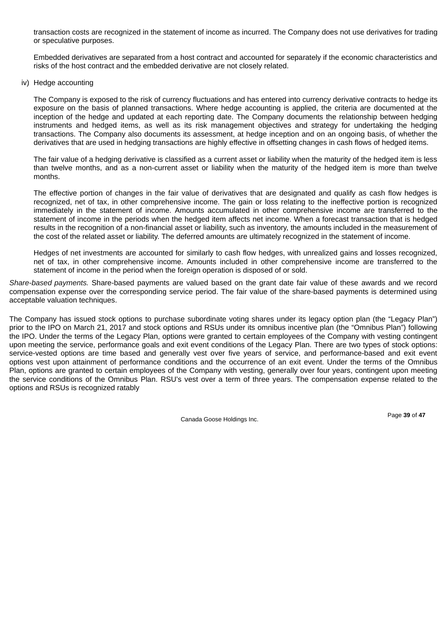transaction costs are recognized in the statement of income as incurred. The Company does not use derivatives for trading or speculative purposes.

Embedded derivatives are separated from a host contract and accounted for separately if the economic characteristics and risks of the host contract and the embedded derivative are not closely related.

#### iv) Hedge accounting

The Company is exposed to the risk of currency fluctuations and has entered into currency derivative contracts to hedge its exposure on the basis of planned transactions. Where hedge accounting is applied, the criteria are documented at the inception of the hedge and updated at each reporting date. The Company documents the relationship between hedging instruments and hedged items, as well as its risk management objectives and strategy for undertaking the hedging transactions. The Company also documents its assessment, at hedge inception and on an ongoing basis, of whether the derivatives that are used in hedging transactions are highly effective in offsetting changes in cash flows of hedged items.

The fair value of a hedging derivative is classified as a current asset or liability when the maturity of the hedged item is less than twelve months, and as a non-current asset or liability when the maturity of the hedged item is more than twelve months.

The effective portion of changes in the fair value of derivatives that are designated and qualify as cash flow hedges is recognized, net of tax, in other comprehensive income. The gain or loss relating to the ineffective portion is recognized immediately in the statement of income. Amounts accumulated in other comprehensive income are transferred to the statement of income in the periods when the hedged item affects net income. When a forecast transaction that is hedged results in the recognition of a non-financial asset or liability, such as inventory, the amounts included in the measurement of the cost of the related asset or liability. The deferred amounts are ultimately recognized in the statement of income.

Hedges of net investments are accounted for similarly to cash flow hedges, with unrealized gains and losses recognized, net of tax, in other comprehensive income. Amounts included in other comprehensive income are transferred to the statement of income in the period when the foreign operation is disposed of or sold.

*Share-based payments.* Share-based payments are valued based on the grant date fair value of these awards and we record compensation expense over the corresponding service period. The fair value of the share-based payments is determined using acceptable valuation techniques.

The Company has issued stock options to purchase subordinate voting shares under its legacy option plan (the "Legacy Plan") prior to the IPO on March 21, 2017 and stock options and RSUs under its omnibus incentive plan (the "Omnibus Plan") following the IPO. Under the terms of the Legacy Plan, options were granted to certain employees of the Company with vesting contingent upon meeting the service, performance goals and exit event conditions of the Legacy Plan. There are two types of stock options: service-vested options are time based and generally vest over five years of service, and performance-based and exit event options vest upon attainment of performance conditions and the occurrence of an exit event. Under the terms of the Omnibus Plan, options are granted to certain employees of the Company with vesting, generally over four years, contingent upon meeting the service conditions of the Omnibus Plan. RSU's vest over a term of three years. The compensation expense related to the options and RSUs is recognized ratably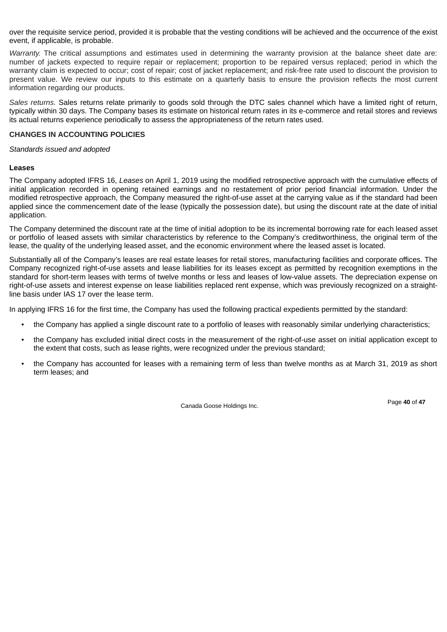over the requisite service period, provided it is probable that the vesting conditions will be achieved and the occurrence of the exist event, if applicable, is probable.

*Warranty.* The critical assumptions and estimates used in determining the warranty provision at the balance sheet date are: number of jackets expected to require repair or replacement; proportion to be repaired versus replaced; period in which the warranty claim is expected to occur; cost of repair; cost of jacket replacement; and risk-free rate used to discount the provision to present value. We review our inputs to this estimate on a quarterly basis to ensure the provision reflects the most current information regarding our products.

*Sales returns.* Sales returns relate primarily to goods sold through the DTC sales channel which have a limited right of return, typically within 30 days. The Company bases its estimate on historical return rates in its e-commerce and retail stores and reviews its actual returns experience periodically to assess the appropriateness of the return rates used.

#### **CHANGES IN ACCOUNTING POLICIES**

#### *Standards issued and adopted*

#### **Leases**

The Company adopted IFRS 16, *Leases* on April 1, 2019 using the modified retrospective approach with the cumulative effects of initial application recorded in opening retained earnings and no restatement of prior period financial information. Under the modified retrospective approach, the Company measured the right-of-use asset at the carrying value as if the standard had been applied since the commencement date of the lease (typically the possession date), but using the discount rate at the date of initial application.

The Company determined the discount rate at the time of initial adoption to be its incremental borrowing rate for each leased asset or portfolio of leased assets with similar characteristics by reference to the Company's creditworthiness, the original term of the lease, the quality of the underlying leased asset, and the economic environment where the leased asset is located.

Substantially all of the Company's leases are real estate leases for retail stores, manufacturing facilities and corporate offices. The Company recognized right-of-use assets and lease liabilities for its leases except as permitted by recognition exemptions in the standard for short-term leases with terms of twelve months or less and leases of low-value assets. The depreciation expense on right-of-use assets and interest expense on lease liabilities replaced rent expense, which was previously recognized on a straightline basis under IAS 17 over the lease term.

In applying IFRS 16 for the first time, the Company has used the following practical expedients permitted by the standard:

- the Company has applied a single discount rate to a portfolio of leases with reasonably similar underlying characteristics;
- the Company has excluded initial direct costs in the measurement of the right-of-use asset on initial application except to the extent that costs, such as lease rights, were recognized under the previous standard;
- the Company has accounted for leases with a remaining term of less than twelve months as at March 31, 2019 as short term leases; and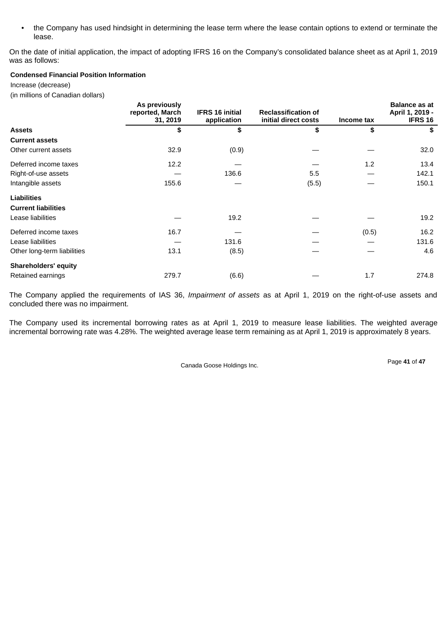• the Company has used hindsight in determining the lease term where the lease contain options to extend or terminate the lease.

On the date of initial application, the impact of adopting IFRS 16 on the Company's consolidated balance sheet as at April 1, 2019 was as follows:

## **Condensed Financial Position Information**

Increase (decrease)

(in millions of Canadian dollars)

|                             | As previously<br>reported, March<br>31, 2019 | <b>IFRS 16 initial</b><br>application | <b>Reclassification of</b><br>initial direct costs | Income tax | <b>Balance as at</b><br>April 1, 2019 -<br><b>IFRS 16</b> |
|-----------------------------|----------------------------------------------|---------------------------------------|----------------------------------------------------|------------|-----------------------------------------------------------|
| <b>Assets</b>               | \$                                           | \$                                    | \$                                                 | \$         | \$                                                        |
| <b>Current assets</b>       |                                              |                                       |                                                    |            |                                                           |
| Other current assets        | 32.9                                         | (0.9)                                 |                                                    |            | 32.0                                                      |
| Deferred income taxes       | 12.2                                         |                                       |                                                    | 1.2        | 13.4                                                      |
| Right-of-use assets         |                                              | 136.6                                 | 5.5                                                |            | 142.1                                                     |
| Intangible assets           | 155.6                                        |                                       | (5.5)                                              |            | 150.1                                                     |
| <b>Liabilities</b>          |                                              |                                       |                                                    |            |                                                           |
| <b>Current liabilities</b>  |                                              |                                       |                                                    |            |                                                           |
| Lease liabilities           |                                              | 19.2                                  |                                                    |            | 19.2                                                      |
| Deferred income taxes       | 16.7                                         |                                       |                                                    | (0.5)      | 16.2                                                      |
| Lease liabilities           |                                              | 131.6                                 |                                                    |            | 131.6                                                     |
| Other long-term liabilities | 13.1                                         | (8.5)                                 |                                                    |            | 4.6                                                       |
| <b>Shareholders' equity</b> |                                              |                                       |                                                    |            |                                                           |
| Retained earnings           | 279.7                                        | (6.6)                                 |                                                    | 1.7        | 274.8                                                     |

The Company applied the requirements of IAS 36, *Impairment of assets* as at April 1, 2019 on the right-of-use assets and concluded there was no impairment.

The Company used its incremental borrowing rates as at April 1, 2019 to measure lease liabilities. The weighted average incremental borrowing rate was 4.28%. The weighted average lease term remaining as at April 1, 2019 is approximately 8 years.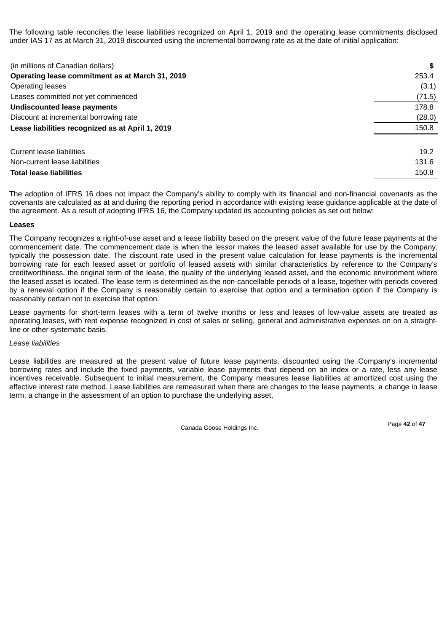The following table reconciles the lease liabilities recognized on April 1, 2019 and the operating lease commitments disclosed under IAS 17 as at March 31, 2019 discounted using the incremental borrowing rate as at the date of initial application:

| (in millions of Canadian dollars)                | \$     |
|--------------------------------------------------|--------|
| Operating lease commitment as at March 31, 2019  | 253.4  |
| <b>Operating leases</b>                          | (3.1)  |
| Leases committed not yet commenced               | (71.5) |
| <b>Undiscounted lease payments</b>               | 178.8  |
| Discount at incremental borrowing rate           | (28.0) |
| Lease liabilities recognized as at April 1, 2019 | 150.8  |
| <b>Current lease liabilities</b>                 | 19.2   |
| Non-current lease liabilities                    | 131.6  |
| <b>Total lease liabilities</b>                   | 150.8  |

The adoption of IFRS 16 does not impact the Company's ability to comply with its financial and non-financial covenants as the covenants are calculated as at and during the reporting period in accordance with existing lease guidance applicable at the date of the agreement. As a result of adopting IFRS 16, the Company updated its accounting policies as set out below:

#### **Leases**

The Company recognizes a right-of-use asset and a lease liability based on the present value of the future lease payments at the commencement date. The commencement date is when the lessor makes the leased asset available for use by the Company, typically the possession date. The discount rate used in the present value calculation for lease payments is the incremental borrowing rate for each leased asset or portfolio of leased assets with similar characteristics by reference to the Company's creditworthiness, the original term of the lease, the quality of the underlying leased asset, and the economic environment where the leased asset is located. The lease term is determined as the non-cancellable periods of a lease, together with periods covered by a renewal option if the Company is reasonably certain to exercise that option and a termination option if the Company is reasonably certain not to exercise that option.

Lease payments for short-term leases with a term of twelve months or less and leases of low-value assets are treated as operating leases, with rent expense recognized in cost of sales or selling, general and administrative expenses on on a straightline or other systematic basis.

#### *Lease liabilities*

Lease liabilities are measured at the present value of future lease payments, discounted using the Company's incremental borrowing rates and include the fixed payments, variable lease payments that depend on an index or a rate, less any lease incentives receivable. Subsequent to initial measurement, the Company measures lease liabilities at amortized cost using the effective interest rate method. Lease liabilities are remeasured when there are changes to the lease payments, a change in lease term, a change in the assessment of an option to purchase the underlying asset,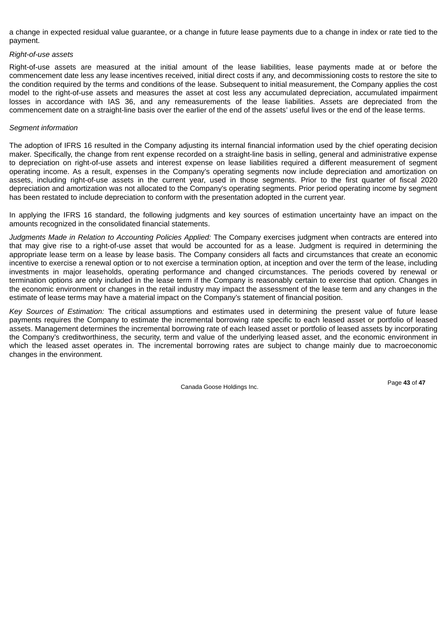a change in expected residual value guarantee, or a change in future lease payments due to a change in index or rate tied to the payment.

#### *Right-of-use assets*

Right-of-use assets are measured at the initial amount of the lease liabilities, lease payments made at or before the commencement date less any lease incentives received, initial direct costs if any, and decommissioning costs to restore the site to the condition required by the terms and conditions of the lease. Subsequent to initial measurement, the Company applies the cost model to the right-of-use assets and measures the asset at cost less any accumulated depreciation, accumulated impairment losses in accordance with IAS 36, and any remeasurements of the lease liabilities. Assets are depreciated from the commencement date on a straight-line basis over the earlier of the end of the assets' useful lives or the end of the lease terms.

#### *Segment information*

The adoption of IFRS 16 resulted in the Company adjusting its internal financial information used by the chief operating decision maker. Specifically, the change from rent expense recorded on a straight-line basis in selling, general and administrative expense to depreciation on right-of-use assets and interest expense on lease liabilities required a different measurement of segment operating income. As a result, expenses in the Company's operating segments now include depreciation and amortization on assets, including right-of-use assets in the current year, used in those segments. Prior to the first quarter of fiscal 2020 depreciation and amortization was not allocated to the Company's operating segments. Prior period operating income by segment has been restated to include depreciation to conform with the presentation adopted in the current year.

In applying the IFRS 16 standard, the following judgments and key sources of estimation uncertainty have an impact on the amounts recognized in the consolidated financial statements.

*Judgments Made in Relation to Accounting Policies Applied:* The Company exercises judgment when contracts are entered into that may give rise to a right-of-use asset that would be accounted for as a lease. Judgment is required in determining the appropriate lease term on a lease by lease basis. The Company considers all facts and circumstances that create an economic incentive to exercise a renewal option or to not exercise a termination option, at inception and over the term of the lease, including investments in major leaseholds, operating performance and changed circumstances. The periods covered by renewal or termination options are only included in the lease term if the Company is reasonably certain to exercise that option. Changes in the economic environment or changes in the retail industry may impact the assessment of the lease term and any changes in the estimate of lease terms may have a material impact on the Company's statement of financial position.

*Key Sources of Estimation:* The critical assumptions and estimates used in determining the present value of future lease payments requires the Company to estimate the incremental borrowing rate specific to each leased asset or portfolio of leased assets. Management determines the incremental borrowing rate of each leased asset or portfolio of leased assets by incorporating the Company's creditworthiness, the security, term and value of the underlying leased asset, and the economic environment in which the leased asset operates in. The incremental borrowing rates are subject to change mainly due to macroeconomic changes in the environment.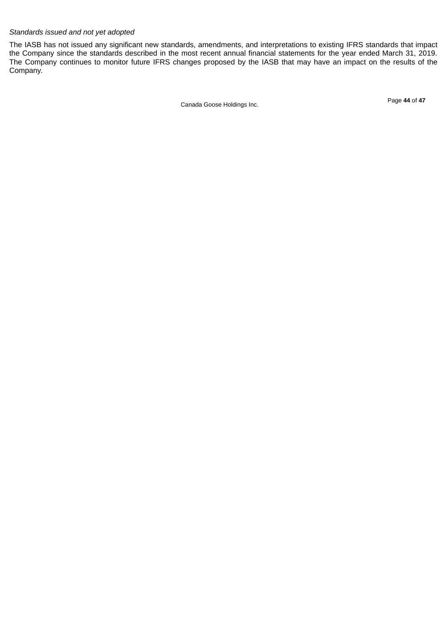## *Standards issued and not yet adopted*

The IASB has not issued any significant new standards, amendments, and interpretations to existing IFRS standards that impact the Company since the standards described in the most recent annual financial statements for the year ended March 31, 2019. The Company continues to monitor future IFRS changes proposed by the IASB that may have an impact on the results of the Company.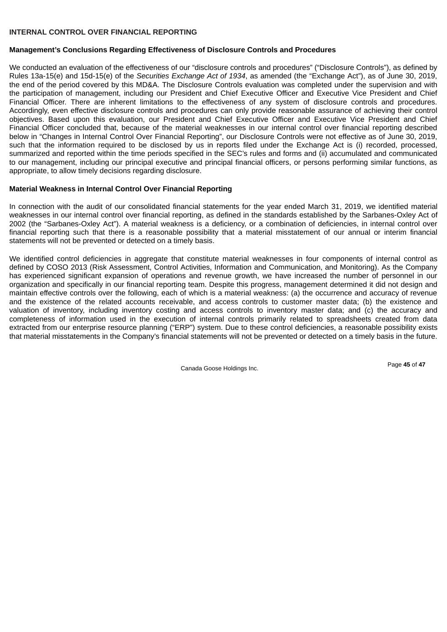#### **INTERNAL CONTROL OVER FINANCIAL REPORTING**

#### **Management's Conclusions Regarding Effectiveness of Disclosure Controls and Procedures**

We conducted an evaluation of the effectiveness of our "disclosure controls and procedures" ("Disclosure Controls"), as defined by Rules 13a-15(e) and 15d-15(e) of the *Securities Exchange Act of 1934*, as amended (the "Exchange Act"), as of June 30, 2019, the end of the period covered by this MD&A. The Disclosure Controls evaluation was completed under the supervision and with the participation of management, including our President and Chief Executive Officer and Executive Vice President and Chief Financial Officer. There are inherent limitations to the effectiveness of any system of disclosure controls and procedures. Accordingly, even effective disclosure controls and procedures can only provide reasonable assurance of achieving their control objectives. Based upon this evaluation, our President and Chief Executive Officer and Executive Vice President and Chief Financial Officer concluded that, because of the material weaknesses in our internal control over financial reporting described below in "Changes in Internal Control Over Financial Reporting", our Disclosure Controls were not effective as of June 30, 2019, such that the information required to be disclosed by us in reports filed under the Exchange Act is (i) recorded, processed, summarized and reported within the time periods specified in the SEC's rules and forms and (ii) accumulated and communicated to our management, including our principal executive and principal financial officers, or persons performing similar functions, as appropriate, to allow timely decisions regarding disclosure.

#### **Material Weakness in Internal Control Over Financial Reporting**

In connection with the audit of our consolidated financial statements for the year ended March 31, 2019, we identified material weaknesses in our internal control over financial reporting, as defined in the standards established by the Sarbanes-Oxley Act of 2002 (the "Sarbanes-Oxley Act"). A material weakness is a deficiency, or a combination of deficiencies, in internal control over financial reporting such that there is a reasonable possibility that a material misstatement of our annual or interim financial statements will not be prevented or detected on a timely basis.

We identified control deficiencies in aggregate that constitute material weaknesses in four components of internal control as defined by COSO 2013 (Risk Assessment, Control Activities, Information and Communication, and Monitoring). As the Company has experienced significant expansion of operations and revenue growth, we have increased the number of personnel in our organization and specifically in our financial reporting team. Despite this progress, management determined it did not design and maintain effective controls over the following, each of which is a material weakness: (a) the occurrence and accuracy of revenue and the existence of the related accounts receivable, and access controls to customer master data; (b) the existence and valuation of inventory, including inventory costing and access controls to inventory master data; and (c) the accuracy and completeness of information used in the execution of internal controls primarily related to spreadsheets created from data extracted from our enterprise resource planning ("ERP") system. Due to these control deficiencies, a reasonable possibility exists that material misstatements in the Company's financial statements will not be prevented or detected on a timely basis in the future.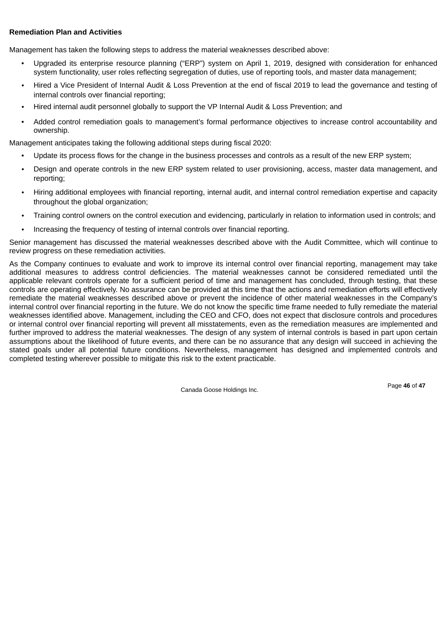#### **Remediation Plan and Activities**

Management has taken the following steps to address the material weaknesses described above:

- Upgraded its enterprise resource planning ("ERP") system on April 1, 2019, designed with consideration for enhanced system functionality, user roles reflecting segregation of duties, use of reporting tools, and master data management;
- Hired a Vice President of Internal Audit & Loss Prevention at the end of fiscal 2019 to lead the governance and testing of internal controls over financial reporting;
- Hired internal audit personnel globally to support the VP Internal Audit & Loss Prevention; and
- Added control remediation goals to management's formal performance objectives to increase control accountability and ownership.

Management anticipates taking the following additional steps during fiscal 2020:

- Update its process flows for the change in the business processes and controls as a result of the new ERP system;
- Design and operate controls in the new ERP system related to user provisioning, access, master data management, and reporting;
- Hiring additional employees with financial reporting, internal audit, and internal control remediation expertise and capacity throughout the global organization;
- Training control owners on the control execution and evidencing, particularly in relation to information used in controls; and
- Increasing the frequency of testing of internal controls over financial reporting.

Senior management has discussed the material weaknesses described above with the Audit Committee, which will continue to review progress on these remediation activities.

As the Company continues to evaluate and work to improve its internal control over financial reporting, management may take additional measures to address control deficiencies. The material weaknesses cannot be considered remediated until the applicable relevant controls operate for a sufficient period of time and management has concluded, through testing, that these controls are operating effectively. No assurance can be provided at this time that the actions and remediation efforts will effectively remediate the material weaknesses described above or prevent the incidence of other material weaknesses in the Company's internal control over financial reporting in the future. We do not know the specific time frame needed to fully remediate the material weaknesses identified above. Management, including the CEO and CFO, does not expect that disclosure controls and procedures or internal control over financial reporting will prevent all misstatements, even as the remediation measures are implemented and further improved to address the material weaknesses. The design of any system of internal controls is based in part upon certain assumptions about the likelihood of future events, and there can be no assurance that any design will succeed in achieving the stated goals under all potential future conditions. Nevertheless, management has designed and implemented controls and completed testing wherever possible to mitigate this risk to the extent practicable.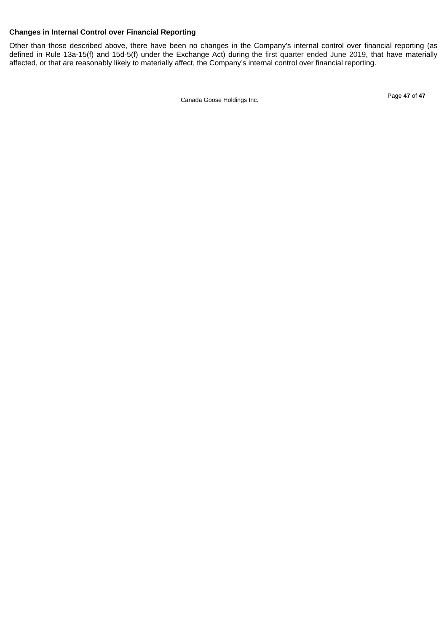## **Changes in Internal Control over Financial Reporting**

<span id="page-86-0"></span>Other than those described above, there have been no changes in the Company's internal control over financial reporting (as defined in Rule 13a-15(f) and 15d-5(f) under the Exchange Act) during the first quarter ended June 2019, that have materially affected, or that are reasonably likely to materially affect, the Company's internal control over financial reporting.

Canada Goose Holdings Inc. **Page [47](#page-86-0)** of 47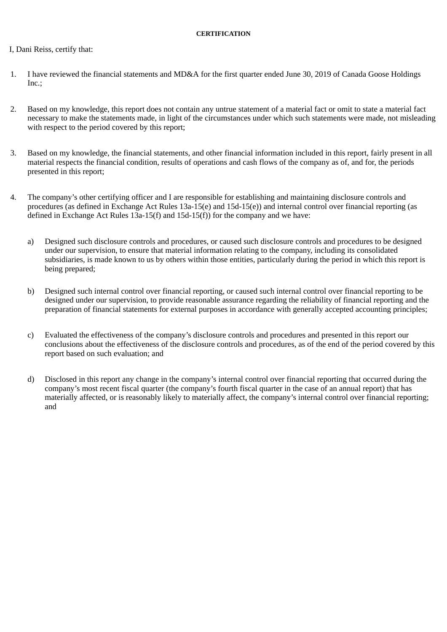#### **CERTIFICATION**

# I, Dani Reiss, certify that:

- 1. I have reviewed the financial statements and MD&A for the first quarter ended June 30, 2019 of Canada Goose Holdings Inc.;
- 2. Based on my knowledge, this report does not contain any untrue statement of a material fact or omit to state a material fact necessary to make the statements made, in light of the circumstances under which such statements were made, not misleading with respect to the period covered by this report;
- 3. Based on my knowledge, the financial statements, and other financial information included in this report, fairly present in all material respects the financial condition, results of operations and cash flows of the company as of, and for, the periods presented in this report;
- 4. The company's other certifying officer and I are responsible for establishing and maintaining disclosure controls and procedures (as defined in Exchange Act Rules 13a-15(e) and 15d-15(e)) and internal control over financial reporting (as defined in Exchange Act Rules 13a-15(f) and 15d-15(f)) for the company and we have:
	- a) Designed such disclosure controls and procedures, or caused such disclosure controls and procedures to be designed under our supervision, to ensure that material information relating to the company, including its consolidated subsidiaries, is made known to us by others within those entities, particularly during the period in which this report is being prepared;
	- b) Designed such internal control over financial reporting, or caused such internal control over financial reporting to be designed under our supervision, to provide reasonable assurance regarding the reliability of financial reporting and the preparation of financial statements for external purposes in accordance with generally accepted accounting principles;
	- c) Evaluated the effectiveness of the company's disclosure controls and procedures and presented in this report our conclusions about the effectiveness of the disclosure controls and procedures, as of the end of the period covered by this report based on such evaluation; and
	- d) Disclosed in this report any change in the company's internal control over financial reporting that occurred during the company's most recent fiscal quarter (the company's fourth fiscal quarter in the case of an annual report) that has materially affected, or is reasonably likely to materially affect, the company's internal control over financial reporting; and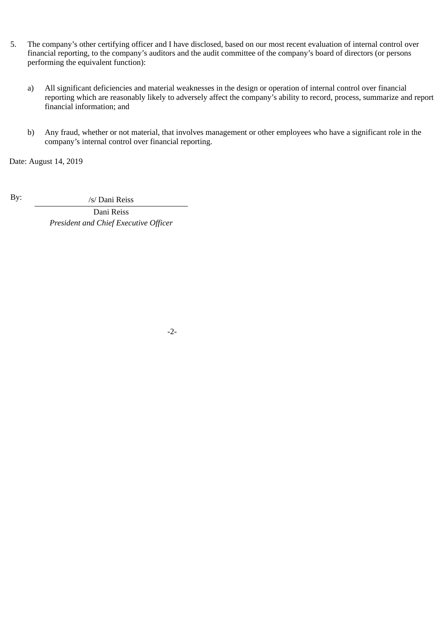- 5. The company's other certifying officer and I have disclosed, based on our most recent evaluation of internal control over financial reporting, to the company's auditors and the audit committee of the company's board of directors (or persons performing the equivalent function):
	- a) All significant deficiencies and material weaknesses in the design or operation of internal control over financial reporting which are reasonably likely to adversely affect the company's ability to record, process, summarize and report financial information; and
	- b) Any fraud, whether or not material, that involves management or other employees who have a significant role in the company's internal control over financial reporting.

Date: August 14, 2019

By:  $\frac{1}{s}$  /s/ Dani Reiss

Dani Reiss *President and Chief Executive Officer*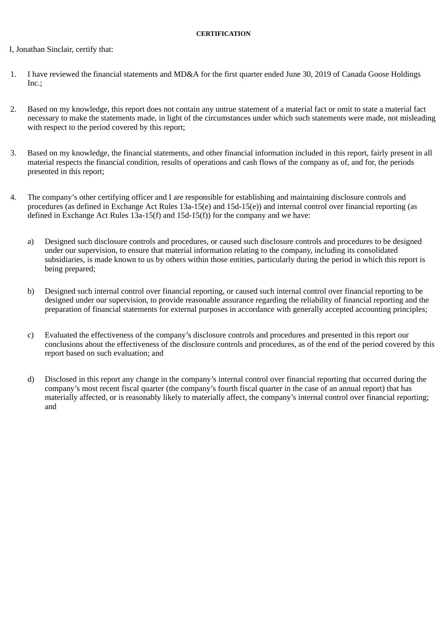#### **CERTIFICATION**

I, Jonathan Sinclair, certify that:

- 1. I have reviewed the financial statements and MD&A for the first quarter ended June 30, 2019 of Canada Goose Holdings Inc.;
- 2. Based on my knowledge, this report does not contain any untrue statement of a material fact or omit to state a material fact necessary to make the statements made, in light of the circumstances under which such statements were made, not misleading with respect to the period covered by this report;
- 3. Based on my knowledge, the financial statements, and other financial information included in this report, fairly present in all material respects the financial condition, results of operations and cash flows of the company as of, and for, the periods presented in this report;
- 4. The company's other certifying officer and I are responsible for establishing and maintaining disclosure controls and procedures (as defined in Exchange Act Rules 13a-15(e) and 15d-15(e)) and internal control over financial reporting (as defined in Exchange Act Rules 13a-15(f) and 15d-15(f)) for the company and we have:
	- a) Designed such disclosure controls and procedures, or caused such disclosure controls and procedures to be designed under our supervision, to ensure that material information relating to the company, including its consolidated subsidiaries, is made known to us by others within those entities, particularly during the period in which this report is being prepared;
	- b) Designed such internal control over financial reporting, or caused such internal control over financial reporting to be designed under our supervision, to provide reasonable assurance regarding the reliability of financial reporting and the preparation of financial statements for external purposes in accordance with generally accepted accounting principles;
	- c) Evaluated the effectiveness of the company's disclosure controls and procedures and presented in this report our conclusions about the effectiveness of the disclosure controls and procedures, as of the end of the period covered by this report based on such evaluation; and
	- d) Disclosed in this report any change in the company's internal control over financial reporting that occurred during the company's most recent fiscal quarter (the company's fourth fiscal quarter in the case of an annual report) that has materially affected, or is reasonably likely to materially affect, the company's internal control over financial reporting; and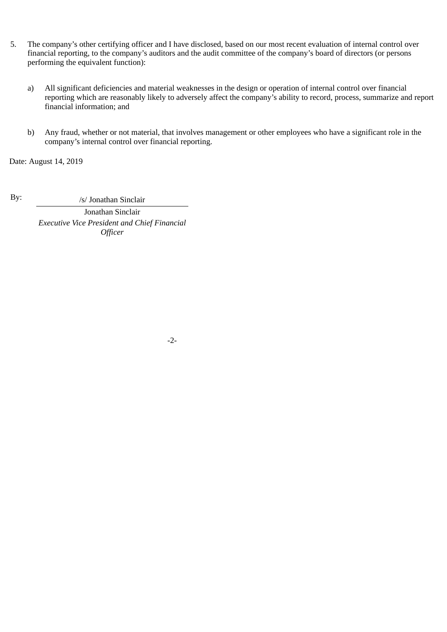- 5. The company's other certifying officer and I have disclosed, based on our most recent evaluation of internal control over financial reporting, to the company's auditors and the audit committee of the company's board of directors (or persons performing the equivalent function):
	- a) All significant deficiencies and material weaknesses in the design or operation of internal control over financial reporting which are reasonably likely to adversely affect the company's ability to record, process, summarize and report financial information; and
	- b) Any fraud, whether or not material, that involves management or other employees who have a significant role in the company's internal control over financial reporting.

Date: August 14, 2019

By:  $\frac{1}{s}$  /s/ Jonathan Sinclair

Jonathan Sinclair *Executive Vice President and Chief Financial Officer*

-2-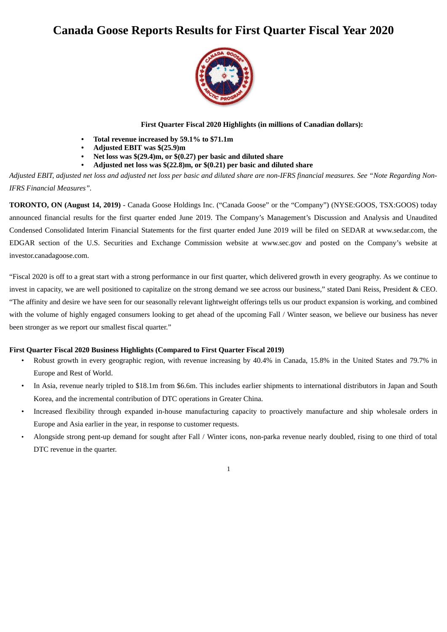# **Canada Goose Reports Results for First Quarter Fiscal Year 2020**



## **First Quarter Fiscal 2020 Highlights (in millions of Canadian dollars):**

- **• Total revenue increased by 59.1% to \$71.1m**
- **• Adjusted EBIT was \$(25.9)m**
- **• Net loss was \$(29.4)m, or \$(0.27) per basic and diluted share**
- **• Adjusted net loss was \$(22.8)m, or \$(0.21) per basic and diluted share**

Adjusted EBIT, adjusted net loss and adjusted net loss per basic and diluted share are non-IFRS financial measures. See "Note Regarding Non-*IFRS Financial Measures".*

**TORONTO, ON (August 14, 2019)** - Canada Goose Holdings Inc. ("Canada Goose" or the "Company") (NYSE:GOOS, TSX:GOOS) today announced financial results for the first quarter ended June 2019. The Company's Management's Discussion and Analysis and Unaudited Condensed Consolidated Interim Financial Statements for the first quarter ended June 2019 will be filed on SEDAR at www.sedar.com, the EDGAR section of the U.S. Securities and Exchange Commission website at www.sec.gov and posted on the Company's website at investor.canadagoose.com.

"Fiscal 2020 is off to a great start with a strong performance in our first quarter, which delivered growth in every geography. As we continue to invest in capacity, we are well positioned to capitalize on the strong demand we see across our business," stated Dani Reiss, President & CEO. "The affinity and desire we have seen for our seasonally relevant lightweight offerings tells us our product expansion is working, and combined with the volume of highly engaged consumers looking to get ahead of the upcoming Fall / Winter season, we believe our business has never been stronger as we report our smallest fiscal quarter."

#### **First Quarter Fiscal 2020 Business Highlights (Compared to First Quarter Fiscal 2019)**

- Robust growth in every geographic region, with revenue increasing by 40.4% in Canada, 15.8% in the United States and 79.7% in Europe and Rest of World.
- In Asia, revenue nearly tripled to \$18.1m from \$6.6m. This includes earlier shipments to international distributors in Japan and South Korea, and the incremental contribution of DTC operations in Greater China.
- Increased flexibility through expanded in-house manufacturing capacity to proactively manufacture and ship wholesale orders in Europe and Asia earlier in the year, in response to customer requests.
- Alongside strong pent-up demand for sought after Fall / Winter icons, non-parka revenue nearly doubled, rising to one third of total DTC revenue in the quarter.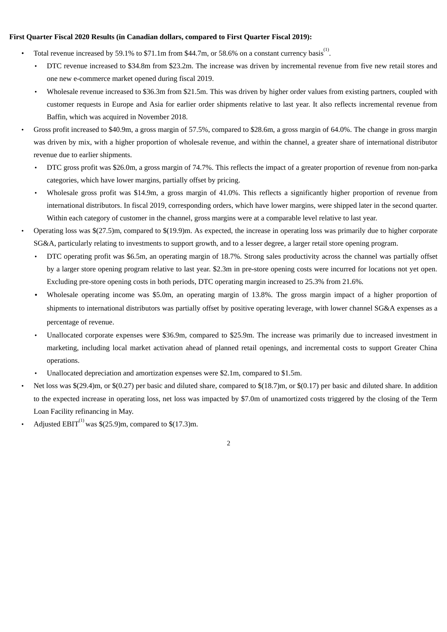#### **First Quarter Fiscal 2020 Results (in Canadian dollars, compared to First Quarter Fiscal 2019):**

- Total revenue increased by 59.1% to \$71.1m from \$44.7m, or 58.6% on a constant currency basis<sup>(1)</sup>.
	- DTC revenue increased to \$34.8m from \$23.2m. The increase was driven by incremental revenue from five new retail stores and one new e-commerce market opened during fiscal 2019.
	- Wholesale revenue increased to \$36.3m from \$21.5m. This was driven by higher order values from existing partners, coupled with customer requests in Europe and Asia for earlier order shipments relative to last year. It also reflects incremental revenue from Baffin, which was acquired in November 2018.
- Gross profit increased to \$40.9m, a gross margin of 57.5%, compared to \$28.6m, a gross margin of 64.0%. The change in gross margin was driven by mix, with a higher proportion of wholesale revenue, and within the channel, a greater share of international distributor revenue due to earlier shipments.
	- DTC gross profit was \$26.0m, a gross margin of 74.7%. This reflects the impact of a greater proportion of revenue from non-parka categories, which have lower margins, partially offset by pricing.
	- Wholesale gross profit was \$14.9m, a gross margin of 41.0%. This reflects a significantly higher proportion of revenue from international distributors. In fiscal 2019, corresponding orders, which have lower margins, were shipped later in the second quarter. Within each category of customer in the channel, gross margins were at a comparable level relative to last year.
- Operating loss was \$(27.5)m, compared to \$(19.9)m. As expected, the increase in operating loss was primarily due to higher corporate SG&A, particularly relating to investments to support growth, and to a lesser degree, a larger retail store opening program.
	- DTC operating profit was \$6.5m, an operating margin of 18.7%. Strong sales productivity across the channel was partially offset by a larger store opening program relative to last year. \$2.3m in pre-store opening costs were incurred for locations not yet open. Excluding pre-store opening costs in both periods, DTC operating margin increased to 25.3% from 21.6%.
	- Wholesale operating income was \$5.0m, an operating margin of 13.8%. The gross margin impact of a higher proportion of shipments to international distributors was partially offset by positive operating leverage, with lower channel SG&A expenses as a percentage of revenue.
	- Unallocated corporate expenses were \$36.9m, compared to \$25.9m. The increase was primarily due to increased investment in marketing, including local market activation ahead of planned retail openings, and incremental costs to support Greater China operations.
	- Unallocated depreciation and amortization expenses were \$2.1m, compared to \$1.5m.
- Net loss was \$(29.4)m, or \$(0.27) per basic and diluted share, compared to \$(18.7)m, or \$(0.17) per basic and diluted share. In addition to the expected increase in operating loss, net loss was impacted by \$7.0m of unamortized costs triggered by the closing of the Term Loan Facility refinancing in May.
- Adjusted  $EBIT^{(1)}$  was \$(25.9)m, compared to \$(17.3)m.

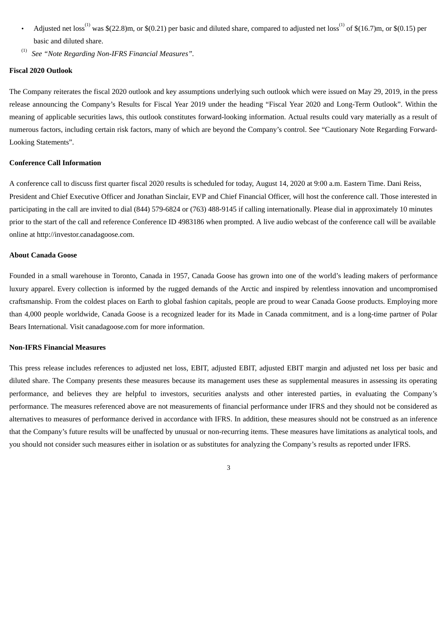- Adjusted net loss<sup>(1)</sup> was \$(22.8)m, or \$(0.21) per basic and diluted share, compared to adjusted net loss<sup>(1)</sup> of \$(16.7)m, or \$(0.15) per basic and diluted share.
- (1) *See "Note Regarding Non-IFRS Financial Measures".*

#### **Fiscal 2020 Outlook**

The Company reiterates the fiscal 2020 outlook and key assumptions underlying such outlook which were issued on May 29, 2019, in the press release announcing the Company's Results for Fiscal Year 2019 under the heading "Fiscal Year 2020 and Long-Term Outlook". Within the meaning of applicable securities laws, this outlook constitutes forward-looking information. Actual results could vary materially as a result of numerous factors, including certain risk factors, many of which are beyond the Company's control. See "Cautionary Note Regarding Forward-Looking Statements".

#### **Conference Call Information**

A conference call to discuss first quarter fiscal 2020 results is scheduled for today, August 14, 2020 at 9:00 a.m. Eastern Time. Dani Reiss, President and Chief Executive Officer and Jonathan Sinclair, EVP and Chief Financial Officer, will host the conference call. Those interested in participating in the call are invited to dial (844) 579-6824 or (763) 488-9145 if calling internationally. Please dial in approximately 10 minutes prior to the start of the call and reference Conference ID 4983186 when prompted. A live audio webcast of the conference call will be available online at http://investor.canadagoose.com.

#### **About Canada Goose**

Founded in a small warehouse in Toronto, Canada in 1957, Canada Goose has grown into one of the world's leading makers of performance luxury apparel. Every collection is informed by the rugged demands of the Arctic and inspired by relentless innovation and uncompromised craftsmanship. From the coldest places on Earth to global fashion capitals, people are proud to wear Canada Goose products. Employing more than 4,000 people worldwide, Canada Goose is a recognized leader for its Made in Canada commitment, and is a long-time partner of Polar Bears International. Visit canadagoose.com for more information.

#### **Non-IFRS Financial Measures**

This press release includes references to adjusted net loss, EBIT, adjusted EBIT, adjusted EBIT margin and adjusted net loss per basic and diluted share. The Company presents these measures because its management uses these as supplemental measures in assessing its operating performance, and believes they are helpful to investors, securities analysts and other interested parties, in evaluating the Company's performance. The measures referenced above are not measurements of financial performance under IFRS and they should not be considered as alternatives to measures of performance derived in accordance with IFRS. In addition, these measures should not be construed as an inference that the Company's future results will be unaffected by unusual or non-recurring items. These measures have limitations as analytical tools, and you should not consider such measures either in isolation or as substitutes for analyzing the Company's results as reported under IFRS.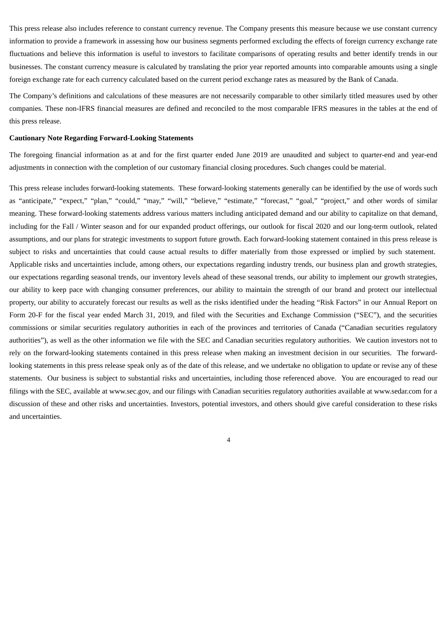This press release also includes reference to constant currency revenue. The Company presents this measure because we use constant currency information to provide a framework in assessing how our business segments performed excluding the effects of foreign currency exchange rate fluctuations and believe this information is useful to investors to facilitate comparisons of operating results and better identify trends in our businesses. The constant currency measure is calculated by translating the prior year reported amounts into comparable amounts using a single foreign exchange rate for each currency calculated based on the current period exchange rates as measured by the Bank of Canada.

The Company's definitions and calculations of these measures are not necessarily comparable to other similarly titled measures used by other companies. These non-IFRS financial measures are defined and reconciled to the most comparable IFRS measures in the tables at the end of this press release.

#### **Cautionary Note Regarding Forward-Looking Statements**

The foregoing financial information as at and for the first quarter ended June 2019 are unaudited and subject to quarter-end and year-end adjustments in connection with the completion of our customary financial closing procedures. Such changes could be material.

This press release includes forward-looking statements. These forward-looking statements generally can be identified by the use of words such as "anticipate," "expect," "plan," "could," "may," "will," "believe," "estimate," "forecast," "goal," "project," and other words of similar meaning. These forward-looking statements address various matters including anticipated demand and our ability to capitalize on that demand, including for the Fall / Winter season and for our expanded product offerings, our outlook for fiscal 2020 and our long-term outlook, related assumptions, and our plans for strategic investments to support future growth. Each forward-looking statement contained in this press release is subject to risks and uncertainties that could cause actual results to differ materially from those expressed or implied by such statement. Applicable risks and uncertainties include, among others, our expectations regarding industry trends, our business plan and growth strategies, our expectations regarding seasonal trends, our inventory levels ahead of these seasonal trends, our ability to implement our growth strategies, our ability to keep pace with changing consumer preferences, our ability to maintain the strength of our brand and protect our intellectual property, our ability to accurately forecast our results as well as the risks identified under the heading "Risk Factors" in our Annual Report on Form 20-F for the fiscal year ended March 31, 2019, and filed with the Securities and Exchange Commission ("SEC"), and the securities commissions or similar securities regulatory authorities in each of the provinces and territories of Canada ("Canadian securities regulatory authorities"), as well as the other information we file with the SEC and Canadian securities regulatory authorities. We caution investors not to rely on the forward-looking statements contained in this press release when making an investment decision in our securities. The forwardlooking statements in this press release speak only as of the date of this release, and we undertake no obligation to update or revise any of these statements. Our business is subject to substantial risks and uncertainties, including those referenced above. You are encouraged to read our filings with the SEC, available at www.sec.gov, and our filings with Canadian securities regulatory authorities available at www.sedar.com for a discussion of these and other risks and uncertainties. Investors, potential investors, and others should give careful consideration to these risks and uncertainties.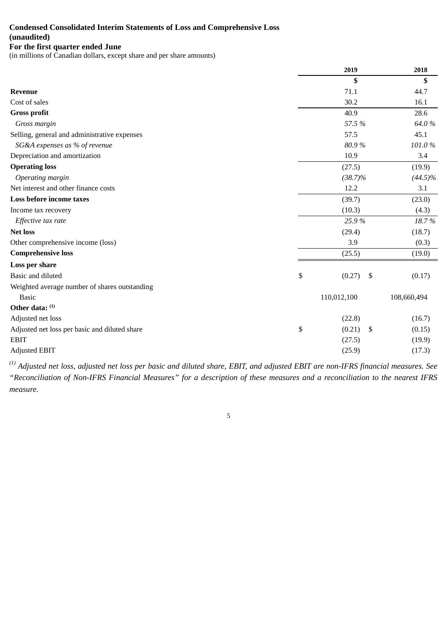# **Condensed Consolidated Interim Statements of Loss and Comprehensive Loss (unaudited) For the first quarter ended June**

(in millions of Canadian dollars, except share and per share amounts)

|                                               | 2019         |        | 2018        |
|-----------------------------------------------|--------------|--------|-------------|
|                                               | \$           |        | \$          |
| <b>Revenue</b>                                | 71.1         |        | 44.7        |
| Cost of sales                                 | 30.2         |        | 16.1        |
| <b>Gross profit</b>                           | 40.9         |        | 28.6        |
| Gross margin                                  | 57.5%        |        |             |
| Selling, general and administrative expenses  | 57.5         |        | 45.1        |
| SG&A expenses as % of revenue                 | 80.9%        |        | 101.0%      |
| Depreciation and amortization                 | 10.9         |        | 3.4         |
| <b>Operating loss</b>                         | (27.5)       |        | (19.9)      |
| Operating margin                              | $(38.7)\%$   |        | $(44.5)\%$  |
| Net interest and other finance costs          | 12.2         |        |             |
| Loss before income taxes                      | (39.7)       | (23.0) |             |
| Income tax recovery                           | (10.3)       | (4.3)  |             |
| Effective tax rate                            | 25.9%        | 18.7%  |             |
| <b>Net loss</b>                               | (29.4)       | (18.7) |             |
| Other comprehensive income (loss)             | 3.9          | (0.3)  |             |
| <b>Comprehensive loss</b>                     | (25.5)       |        | (19.0)      |
| <b>Loss per share</b>                         |              |        |             |
| Basic and diluted                             | \$<br>(0.27) | \$     | (0.17)      |
| Weighted average number of shares outstanding |              |        |             |
| <b>Basic</b>                                  | 110,012,100  |        | 108,660,494 |
| Other data: (1)                               |              |        |             |
| Adjusted net loss                             | (22.8)       |        | (16.7)      |
| Adjusted net loss per basic and diluted share | \$<br>(0.21) | \$     | (0.15)      |
| <b>EBIT</b>                                   | (27.5)       |        | (19.9)      |
| <b>Adjusted EBIT</b>                          | (25.9)       |        | (17.3)      |
|                                               |              |        |             |

*(1) Adjusted net loss, adjusted net loss per basic and diluted share, EBIT, and adjusted EBIT are non-IFRS financial measures. See "Reconciliation of Non-IFRS Financial Measures" for a description of these measures and a reconciliation to the nearest IFRS measure.*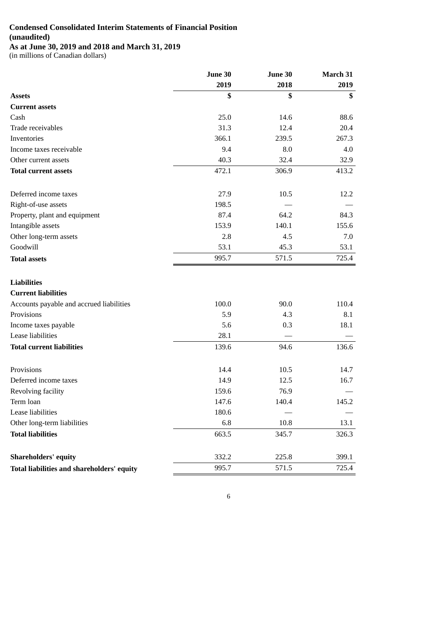# **Condensed Consolidated Interim Statements of Financial Position (unaudited)**

## **As at June 30, 2019 and 2018 and March 31, 2019**

(in millions of Canadian dollars)

|                                            | June 30 | June 30 |       |
|--------------------------------------------|---------|---------|-------|
|                                            | 2019    | 2018    | 2019  |
| <b>Assets</b>                              | \$      | \$      | \$    |
| <b>Current assets</b>                      |         |         |       |
| Cash                                       | 25.0    | 14.6    | 88.6  |
| Trade receivables                          | 31.3    | 12.4    | 20.4  |
| Inventories                                | 366.1   | 239.5   | 267.3 |
| Income taxes receivable                    | 9.4     | 8.0     | 4.0   |
| Other current assets                       | 40.3    | 32.4    | 32.9  |
| <b>Total current assets</b>                | 472.1   | 306.9   | 413.2 |
| Deferred income taxes                      | 27.9    | 10.5    | 12.2  |
| Right-of-use assets                        | 198.5   |         |       |
| Property, plant and equipment              | 87.4    | 64.2    | 84.3  |
| Intangible assets                          | 153.9   | 140.1   | 155.6 |
| Other long-term assets                     | 2.8     | 4.5     | 7.0   |
| Goodwill                                   | 53.1    | 45.3    | 53.1  |
| <b>Total assets</b>                        | 995.7   | 571.5   | 725.4 |
| <b>Liabilities</b>                         |         |         |       |
| <b>Current liabilities</b>                 |         |         |       |
| Accounts payable and accrued liabilities   | 100.0   | 90.0    | 110.4 |
| Provisions                                 | 5.9     | 4.3     | 8.1   |
| Income taxes payable                       | 5.6     | 0.3     | 18.1  |
| Lease liabilities                          | 28.1    |         |       |
| <b>Total current liabilities</b>           | 139.6   | 94.6    | 136.6 |
| Provisions                                 | 14.4    | 10.5    | 14.7  |
| Deferred income taxes                      | 14.9    | 12.5    | 16.7  |
| Revolving facility                         | 159.6   | 76.9    |       |
| Term loan                                  | 147.6   | 140.4   | 145.2 |
| Lease liabilities                          | 180.6   |         |       |
| Other long-term liabilities                | 6.8     | 10.8    | 13.1  |
| <b>Total liabilities</b>                   | 663.5   | 345.7   | 326.3 |
| <b>Shareholders' equity</b>                | 332.2   | 225.8   | 399.1 |
| Total liabilities and shareholders' equity | 995.7   | 571.5   | 725.4 |

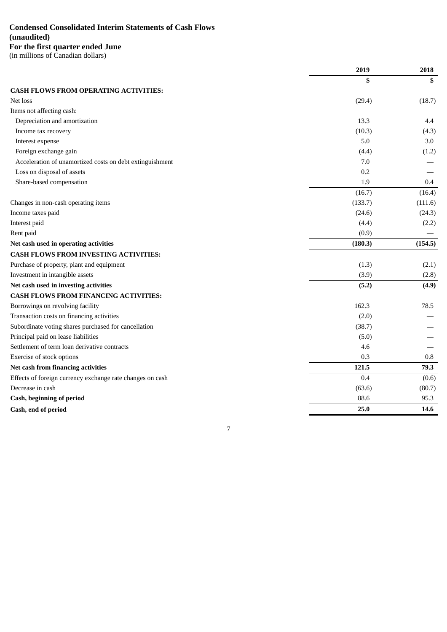|                                                           | 2019    | 2018    |
|-----------------------------------------------------------|---------|---------|
|                                                           | \$      | \$      |
| <b>CASH FLOWS FROM OPERATING ACTIVITIES:</b>              |         |         |
| Net loss                                                  | (29.4)  | (18.7)  |
| Items not affecting cash:                                 |         |         |
| Depreciation and amortization                             | 13.3    | 4.4     |
| Income tax recovery                                       | (10.3)  | (4.3)   |
| Interest expense                                          | 5.0     | 3.0     |
| Foreign exchange gain                                     | (4.4)   | (1.2)   |
| Acceleration of unamortized costs on debt extinguishment  | 7.0     |         |
| Loss on disposal of assets                                | 0.2     |         |
| Share-based compensation                                  | 1.9     | 0.4     |
|                                                           | (16.7)  | (16.4)  |
| Changes in non-cash operating items                       | (133.7) | (111.6) |
| Income taxes paid                                         | (24.6)  | (24.3)  |
| Interest paid                                             | (4.4)   | (2.2)   |
| Rent paid                                                 | (0.9)   |         |
| Net cash used in operating activities                     | (180.3) | (154.5) |
| <b>CASH FLOWS FROM INVESTING ACTIVITIES:</b>              |         |         |
| Purchase of property, plant and equipment                 | (1.3)   | (2.1)   |
| Investment in intangible assets                           | (3.9)   | (2.8)   |
| Net cash used in investing activities                     | (5.2)   | (4.9)   |
| <b>CASH FLOWS FROM FINANCING ACTIVITIES:</b>              |         |         |
| Borrowings on revolving facility                          | 162.3   | 78.5    |
| Transaction costs on financing activities                 | (2.0)   |         |
| Subordinate voting shares purchased for cancellation      | (38.7)  |         |
| Principal paid on lease liabilities                       | (5.0)   |         |
| Settlement of term loan derivative contracts              | 4.6     |         |
| Exercise of stock options                                 | 0.3     | 0.8     |
| Net cash from financing activities                        | 121.5   | 79.3    |
| Effects of foreign currency exchange rate changes on cash | 0.4     | (0.6)   |
| Decrease in cash                                          | (63.6)  | (80.7)  |
| Cash, beginning of period                                 | 88.6    | 95.3    |
| Cash, end of period                                       | 25.0    | 14.6    |
|                                                           |         |         |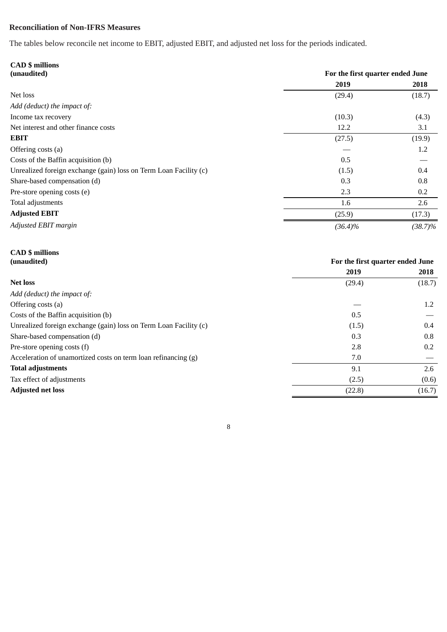# **Reconciliation of Non-IFRS Measures**

The tables below reconcile net income to EBIT, adjusted EBIT, and adjusted net loss for the periods indicated.

| <b>CAD</b> \$ millions                                            |                                  |            |  |
|-------------------------------------------------------------------|----------------------------------|------------|--|
| (unaudited)                                                       | For the first quarter ended June |            |  |
|                                                                   | 2019                             | 2018       |  |
| Net loss                                                          | (29.4)                           | (18.7)     |  |
| Add (deduct) the impact of:                                       |                                  |            |  |
| Income tax recovery                                               | (10.3)                           | (4.3)      |  |
| Net interest and other finance costs                              | 12.2                             | 3.1        |  |
| <b>EBIT</b>                                                       | (27.5)                           | (19.9)     |  |
| Offering costs (a)                                                |                                  | 1.2        |  |
| Costs of the Baffin acquisition (b)                               | 0.5                              |            |  |
| Unrealized foreign exchange (gain) loss on Term Loan Facility (c) | (1.5)                            | 0.4        |  |
| Share-based compensation (d)                                      | 0.3                              | 0.8        |  |
| Pre-store opening costs (e)                                       | 2.3                              | 0.2        |  |
| Total adjustments                                                 | 1.6                              | 2.6        |  |
| <b>Adjusted EBIT</b>                                              | (25.9)                           | (17.3)     |  |
| Adjusted EBIT margin                                              | $(36.4)\%$                       | $(38.7)\%$ |  |
| <b>CAD</b> \$ millions                                            |                                  |            |  |

| (unaudited)                                                       | For the first quarter ended June |        |  |
|-------------------------------------------------------------------|----------------------------------|--------|--|
|                                                                   | 2019                             | 2018   |  |
| <b>Net loss</b>                                                   | (29.4)                           | (18.7) |  |
| Add (deduct) the impact of:                                       |                                  |        |  |
| Offering costs (a)                                                |                                  | 1.2    |  |
| Costs of the Baffin acquisition (b)                               | 0.5                              |        |  |
| Unrealized foreign exchange (gain) loss on Term Loan Facility (c) | (1.5)                            | 0.4    |  |
| Share-based compensation (d)                                      | 0.3                              | 0.8    |  |
| Pre-store opening costs (f)                                       | 2.8                              | 0.2    |  |
| Acceleration of unamortized costs on term loan refinancing (g)    | 7.0                              |        |  |
| <b>Total adjustments</b>                                          | 9.1                              | 2.6    |  |
| Tax effect of adjustments                                         | (2.5)                            | (0.6)  |  |
| <b>Adjusted net loss</b>                                          | (22.8)                           | (16.7) |  |